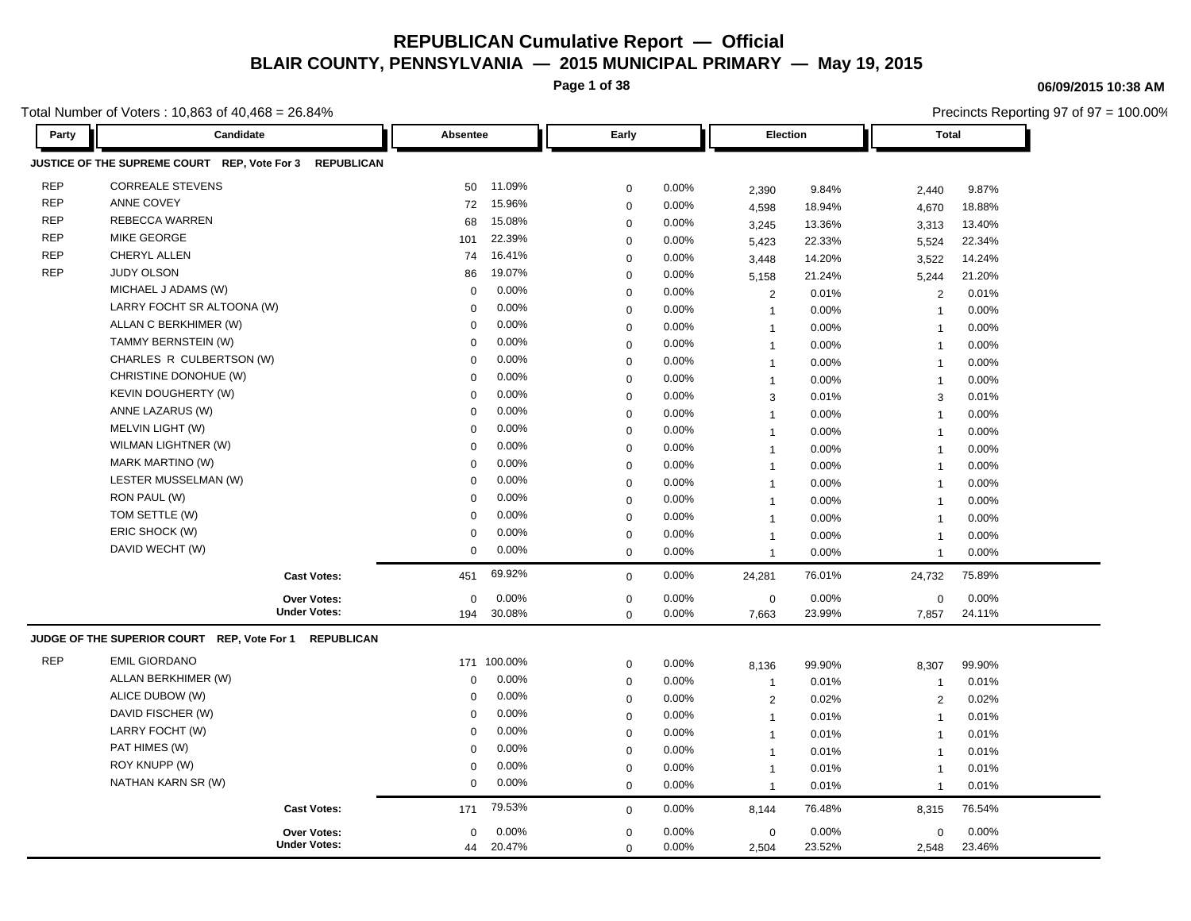**Page 1 of 38**

**06/09/2015 10:38 AM**

|            | Total Number of Voters: 10,863 of 40,468 = 26.84%                 |             |             |             |          |                |        | Precincts Reporting 97 of 97 = 100.00% |        |
|------------|-------------------------------------------------------------------|-------------|-------------|-------------|----------|----------------|--------|----------------------------------------|--------|
| Party      | Candidate                                                         | Absentee    |             | Early       |          | Election       |        | <b>Total</b>                           |        |
|            | JUSTICE OF THE SUPREME COURT REP, Vote For 3<br><b>REPUBLICAN</b> |             |             |             |          |                |        |                                        |        |
| <b>REP</b> | <b>CORREALE STEVENS</b>                                           | 50          | 11.09%      | 0           | 0.00%    | 2,390          | 9.84%  | 2,440                                  | 9.87%  |
| <b>REP</b> | ANNE COVEY                                                        | 72          | 15.96%      | $\mathbf 0$ | 0.00%    | 4,598          | 18.94% | 4,670                                  | 18.88% |
| <b>REP</b> | <b>REBECCA WARREN</b>                                             | 68          | 15.08%      | $\mathbf 0$ | 0.00%    | 3,245          | 13.36% | 3,313                                  | 13.40% |
| <b>REP</b> | <b>MIKE GEORGE</b>                                                | 101         | 22.39%      | 0           | 0.00%    | 5,423          | 22.33% | 5,524                                  | 22.34% |
| <b>REP</b> | CHERYL ALLEN                                                      | 74          | 16.41%      | 0           | 0.00%    | 3,448          | 14.20% | 3,522                                  | 14.24% |
| <b>REP</b> | <b>JUDY OLSON</b>                                                 | 86          | 19.07%      | $\mathbf 0$ | 0.00%    | 5,158          | 21.24% | 5,244                                  | 21.20% |
|            | MICHAEL J ADAMS (W)                                               | $\mathbf 0$ | 0.00%       | $\mathbf 0$ | 0.00%    | 2              | 0.01%  | $\overline{2}$                         | 0.01%  |
|            | LARRY FOCHT SR ALTOONA (W)                                        | $\Omega$    | 0.00%       | $\mathbf 0$ | 0.00%    | $\mathbf{1}$   | 0.00%  | $\overline{1}$                         | 0.00%  |
|            | ALLAN C BERKHIMER (W)                                             | 0           | 0.00%       | $\mathbf 0$ | 0.00%    | $\mathbf{1}$   | 0.00%  | $\overline{1}$                         | 0.00%  |
|            | TAMMY BERNSTEIN (W)                                               | 0           | 0.00%       | $\mathbf 0$ | 0.00%    | $\mathbf 1$    | 0.00%  | $\overline{\mathbf{1}}$                | 0.00%  |
|            | CHARLES R CULBERTSON (W)                                          | $\Omega$    | 0.00%       | 0           | 0.00%    | $\overline{1}$ | 0.00%  | $\overline{\mathbf{1}}$                | 0.00%  |
|            | CHRISTINE DONOHUE (W)                                             | $\Omega$    | 0.00%       | 0           | 0.00%    | $\overline{1}$ | 0.00%  | $\overline{1}$                         | 0.00%  |
|            | KEVIN DOUGHERTY (W)                                               | $\Omega$    | 0.00%       | 0           | 0.00%    | 3              | 0.01%  | 3                                      | 0.01%  |
|            | ANNE LAZARUS (W)                                                  | $\Omega$    | 0.00%       | 0           | 0.00%    | $\mathbf{1}$   | 0.00%  | $\overline{1}$                         | 0.00%  |
|            | MELVIN LIGHT (W)                                                  | 0           | 0.00%       | $\mathbf 0$ | 0.00%    | $\mathbf{1}$   | 0.00%  | $\overline{1}$                         | 0.00%  |
|            | WILMAN LIGHTNER (W)                                               | $\mathbf 0$ | 0.00%       | $\mathbf 0$ | 0.00%    | $\mathbf{1}$   | 0.00%  | $\overline{1}$                         | 0.00%  |
|            | MARK MARTINO (W)                                                  | 0           | 0.00%       | $\Omega$    | 0.00%    | $\mathbf{1}$   | 0.00%  | $\overline{\mathbf{1}}$                | 0.00%  |
|            | LESTER MUSSELMAN (W)                                              | $\Omega$    | 0.00%       | 0           | 0.00%    | $\mathbf{1}$   | 0.00%  | $\overline{1}$                         | 0.00%  |
|            | RON PAUL (W)                                                      | $\Omega$    | 0.00%       | 0           | 0.00%    | $\mathbf{1}$   | 0.00%  | $\overline{1}$                         | 0.00%  |
|            | TOM SETTLE (W)                                                    | $\mathbf 0$ | 0.00%       | 0           | 0.00%    | $\mathbf 1$    | 0.00%  | $\overline{1}$                         | 0.00%  |
|            | ERIC SHOCK (W)                                                    | $\mathbf 0$ | 0.00%       | 0           | 0.00%    | $\overline{1}$ | 0.00%  | $\overline{1}$                         | 0.00%  |
|            | DAVID WECHT (W)                                                   | $\mathsf 0$ | 0.00%       | 0           | 0.00%    | $\overline{1}$ | 0.00%  | $\overline{1}$                         | 0.00%  |
|            | <b>Cast Votes:</b>                                                | 451         | 69.92%      | $\mathbf 0$ | 0.00%    | 24,281         | 76.01% | 24,732                                 | 75.89% |
|            | <b>Over Votes:</b><br><b>Under Votes:</b>                         | $\mathbf 0$ | 0.00%       | $\mathbf 0$ | 0.00%    | $\mathbf 0$    | 0.00%  | 0                                      | 0.00%  |
|            |                                                                   | 194         | 30.08%      | $\mathbf 0$ | 0.00%    | 7,663          | 23.99% | 7,857                                  | 24.11% |
|            | JUDGE OF THE SUPERIOR COURT REP, Vote For 1<br><b>REPUBLICAN</b>  |             |             |             |          |                |        |                                        |        |
| <b>REP</b> | <b>EMIL GIORDANO</b>                                              |             | 171 100.00% | 0           | 0.00%    | 8,136          | 99.90% | 8,307                                  | 99.90% |
|            | ALLAN BERKHIMER (W)                                               | $\mathbf 0$ | 0.00%       | $\mathbf 0$ | 0.00%    | $\mathbf{1}$   | 0.01%  | $\overline{1}$                         | 0.01%  |
|            | ALICE DUBOW (W)                                                   | $\Omega$    | 0.00%       | 0           | 0.00%    | 2              | 0.02%  | 2                                      | 0.02%  |
|            | DAVID FISCHER (W)                                                 | $\Omega$    | 0.00%       | 0           | 0.00%    | $\overline{1}$ | 0.01%  | $\overline{1}$                         | 0.01%  |
|            | LARRY FOCHT (W)                                                   | $\mathbf 0$ | 0.00%       | $\mathbf 0$ | 0.00%    | $\mathbf{1}$   | 0.01%  | $\overline{1}$                         | 0.01%  |
|            | PAT HIMES (W)                                                     | $\mathbf 0$ | 0.00%       | $\mathbf 0$ | 0.00%    | $\overline{1}$ | 0.01%  | $\overline{1}$                         | 0.01%  |
|            | ROY KNUPP (W)                                                     | $\mathbf 0$ | 0.00%       | $\Omega$    | 0.00%    | $\mathbf{1}$   | 0.01%  | $\overline{1}$                         | 0.01%  |
|            | NATHAN KARN SR (W)                                                | $\mathbf 0$ | 0.00%       | 0           | 0.00%    | $\mathbf{1}$   | 0.01%  | $\overline{1}$                         | 0.01%  |
|            | <b>Cast Votes:</b>                                                | 171         | 79.53%      | $\mathbf 0$ | 0.00%    | 8,144          | 76.48% | 8,315                                  | 76.54% |
|            | <b>Over Votes:</b>                                                | $\mathbf 0$ | 0.00%       | 0           | $0.00\%$ | $\mathbf 0$    | 0.00%  | 0                                      | 0.00%  |
|            | <b>Under Votes:</b>                                               | 44          | 20.47%      | $\mathbf 0$ | 0.00%    | 2,504          | 23.52% | 2,548                                  | 23.46% |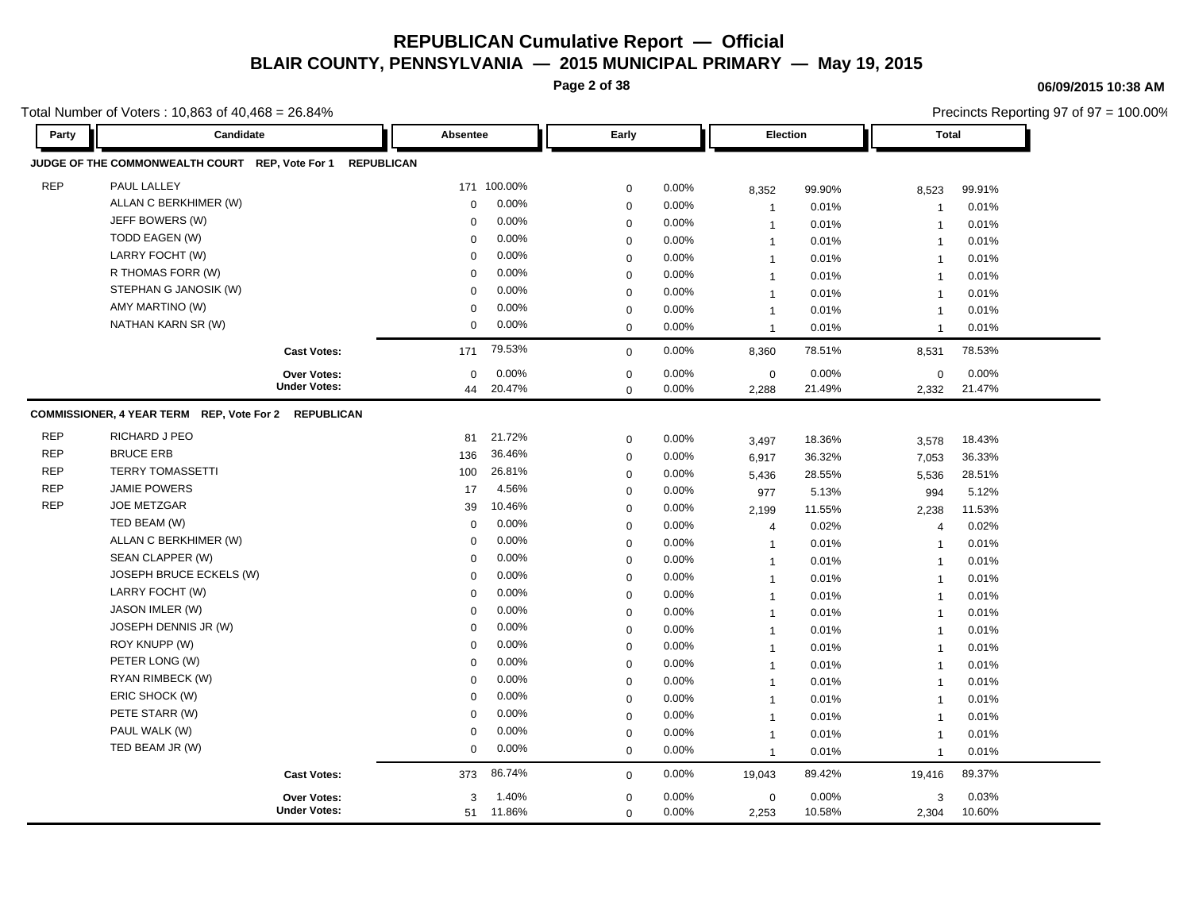**Page 2 of 38**

#### **06/09/2015 10:38 AM**

Total Number of Voters : 10,863 of 40,468 = 26.84%

Precincts Reporting 97 of 97 = 100.00% **Party Candidate Absentee Early Election Total JUDGE OF THE COMMONWEALTH COURT REP, Vote For 1 REPUBLICAN** REP PAUL LALLEY 171 100.00% 0 0.00% 8,352 99.90% 8,523 99.91% ALLAN C BERKHIMER (W) 0 0.00% 0 0.00% 1 0.01% 1 0.01% JEFF BOWERS (W) 0 0.00% 0 0.00% 1 0.01% 1 0.01% TODD EAGEN (W) 0 0.00% 0 0.00% 1 0.01% 1 0.01% LARRY FOCHT (W) 0 0.00% 0 0.00% 1 0.01% 1 0.01% R THOMAS FORR (W) 0 0.00% 0 0.00% 1 0.01% 1 0.01% STEPHAN G JANOSIK (W) 0 0.00% 0 0.00% 1 0.01% 1 0.01% AMY MARTINO (W) 0 0.00% 0 0.00% 1 0.01% 1 0.01% NATHAN KARN SR (W) 0 0.00% 0 0.00% 1 0.01% 1 0.01% **Cast Votes:** 171 79.53% 0 0.00% 8,360 78.51% 8,531 78.53% 2,332 21.47% 21.49% 0 0.00% 2,288 0.00% 0 0.00% **Under Votes: Over Votes:** 20.47% 44  $0.00\%$  0.00% 0.00% 0.00% 0.00% 0.00%  $0.00\%$  $0.00\%$ 0 0.00% 2,288 **COMMISSIONER, 4 YEAR TERM REP, Vote For 2 REPUBLICAN** REP RICHARD J PEO 81 21.72% 0 0.00% 3,497 18.36% 3,578 18.43% REP BRUCE ERB 136 36.46% 0 0.00% 6,917 36.32% 7,053 36.33% REP TERRY TOMASSETTI 100 26.81% 0 0.00% 5,436 28.55% 5,536 28.51% REP JAMIE POWERS 17 4.56% 0 0.00% 977 5.13% 994 5.12% REP JOE METZGAR 39 10.46% 0 0.00% 2,199 11.55% 2,238 11.53% TED BEAM (W) 0 0.00% 0 0.00% 4 0.02% 4 0.02% ALLAN C BERKHIMER (W) 0 0.00% 0 0.00% 1 0.01% 1 0.01% SEAN CLAPPER (W) 0 0.00% 0 0.00% 1 0.01% 1 0.01% JOSEPH BRUCE ECKELS (W) 0 0.00% 0 0.00% 1 0.01% 1 0.01% LARRY FOCHT (W) 0 0.00% 0 0.00% 1 0.01% 1 0.01% JASON IMLER (W) 0 0.00% 0 0.00% 1 0.01% 1 0.01% JOSEPH DENNIS JR (W) 0 0.00% 0 0.00% 1 0.01% 1 0.01% ROY KNUPP (W) 0 0.00% 0 0.00% 1 0.01% 1 0.01% 1 PETER LONG (W) 0 0.00% 0 0.00% 1 0.01% 1 0.01% RYAN RIMBECK (W) 0 0.00% 0 0.00% 1 0.01% 1 0.01% ERIC SHOCK (W) 0 0.00% 0 0.00% 1 0.01% 1 0.01% PETE STARR (W) 0 0.00% 0 0.00% 1 0.01% 1 0.01% PAUL WALK (W) 0 0.00% 0 0.00% 1 0.01% 1 0.01% TED BEAM JR (W) 0 0.00% 0 0.00% 1 0.01% 1 0.01% **Cast Votes:** 373 86.74% 0 0.00% 19,043 89.42% 19,416 89.37% 2,304 10.60% 10.58% 3 0.03% 2,253 0.00% 0 0.00% **Under Votes: Over Votes:** 0 0.00% 0 0.00% 11.86% 51 1.40% 0.00% 3 1.40%  $\Omega$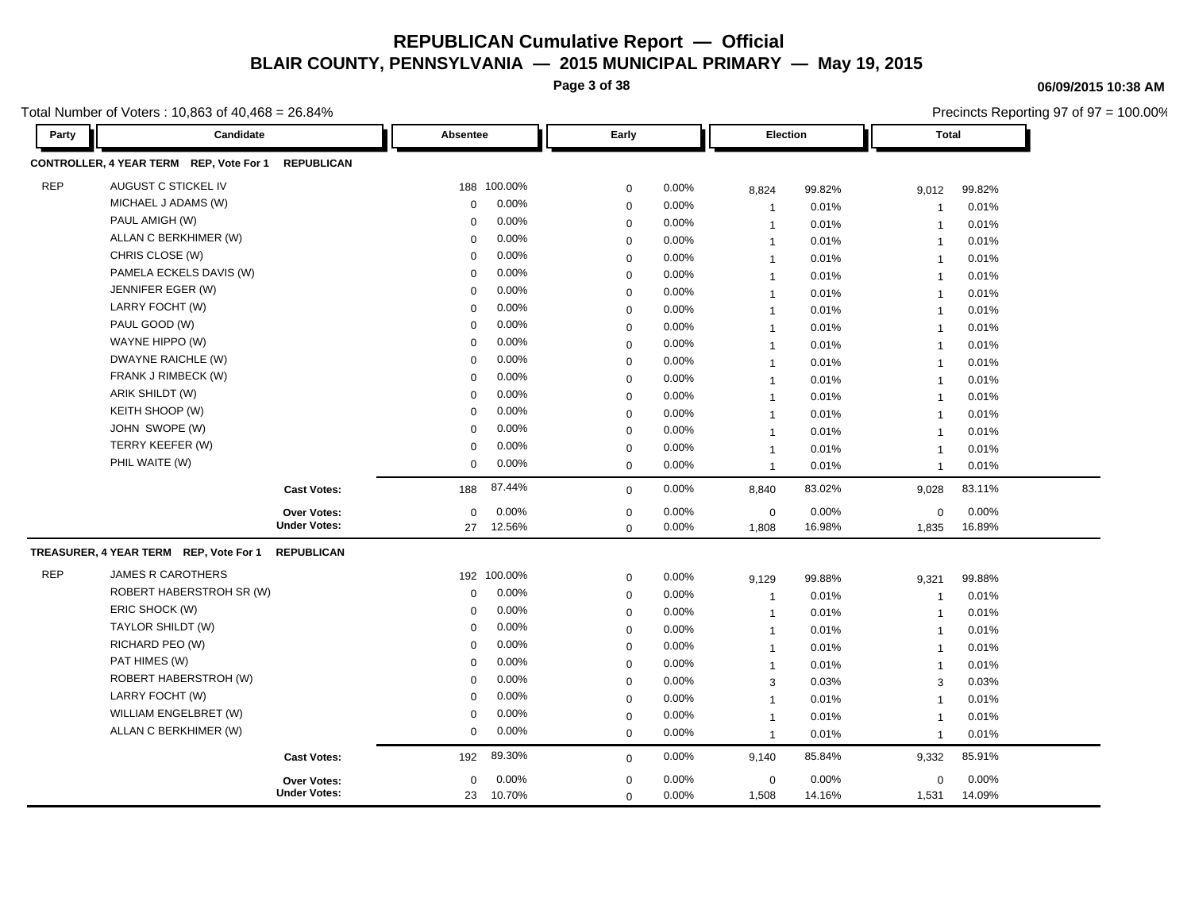**Page 3 of 38**

### **06/09/2015 10:38 AM**

Precincts Reporting 97 of 97 = 100.00%

| Party      | Candidate                               |                     | Absentee    | Early    |             |          |                | <b>Election</b> |                | <b>Total</b> |  |
|------------|-----------------------------------------|---------------------|-------------|----------|-------------|----------|----------------|-----------------|----------------|--------------|--|
|            | CONTROLLER, 4 YEAR TERM REP, Vote For 1 | <b>REPUBLICAN</b>   |             |          |             |          |                |                 |                |              |  |
| <b>REP</b> | AUGUST C STICKEL IV                     |                     | 188         | 100.00%  | $\mathbf 0$ | 0.00%    | 8,824          | 99.82%          | 9,012          | 99.82%       |  |
|            | MICHAEL J ADAMS (W)                     |                     | $\Omega$    | 0.00%    | 0           | 0.00%    | $\overline{1}$ | 0.01%           | $\overline{1}$ | 0.01%        |  |
|            | PAUL AMIGH (W)                          |                     | $\mathbf 0$ | 0.00%    | $\mathbf 0$ | 0.00%    | $\mathbf 1$    | 0.01%           | $\overline{1}$ | 0.01%        |  |
|            | ALLAN C BERKHIMER (W)                   |                     | $\Omega$    | 0.00%    | 0           | 0.00%    | $\mathbf{1}$   | 0.01%           | $\overline{1}$ | 0.01%        |  |
|            | CHRIS CLOSE (W)                         |                     | $\Omega$    | 0.00%    | $\mathbf 0$ | 0.00%    | $\mathbf{1}$   | 0.01%           | -1             | 0.01%        |  |
|            | PAMELA ECKELS DAVIS (W)                 |                     | $\Omega$    | 0.00%    | 0           | 0.00%    | $\mathbf{1}$   | 0.01%           | $\overline{1}$ | 0.01%        |  |
|            | JENNIFER EGER (W)                       |                     | $\Omega$    | 0.00%    | $\mathbf 0$ | 0.00%    | $\mathbf{1}$   | 0.01%           | $\overline{1}$ | 0.01%        |  |
|            | LARRY FOCHT (W)                         |                     | $\Omega$    | 0.00%    | $\mathbf 0$ | 0.00%    | $\overline{1}$ | 0.01%           | $\overline{1}$ | 0.01%        |  |
|            | PAUL GOOD (W)                           |                     | 0           | 0.00%    | $\mathbf 0$ | 0.00%    | $\overline{1}$ | 0.01%           | $\overline{1}$ | 0.01%        |  |
|            | WAYNE HIPPO (W)                         |                     | $\mathbf 0$ | 0.00%    | $\mathbf 0$ | 0.00%    | $\overline{1}$ | 0.01%           | $\overline{1}$ | 0.01%        |  |
|            | DWAYNE RAICHLE (W)                      |                     | $\Omega$    | 0.00%    | $\mathbf 0$ | 0.00%    | $\mathbf{1}$   | 0.01%           | $\overline{1}$ | 0.01%        |  |
|            | FRANK J RIMBECK (W)                     |                     | 0           | 0.00%    | $\mathbf 0$ | 0.00%    | $\overline{1}$ | 0.01%           | $\overline{1}$ | 0.01%        |  |
|            | ARIK SHILDT (W)                         |                     | $\Omega$    | $0.00\%$ | $\mathbf 0$ | 0.00%    | $\mathbf{1}$   | 0.01%           | $\overline{1}$ | 0.01%        |  |
|            | KEITH SHOOP (W)                         |                     | $\mathbf 0$ | 0.00%    | 0           | 0.00%    | $\mathbf{1}$   | 0.01%           | $\overline{1}$ | 0.01%        |  |
|            | JOHN SWOPE (W)                          |                     | 0           | 0.00%    | $\mathbf 0$ | 0.00%    | $\mathbf{1}$   | 0.01%           | $\overline{1}$ | 0.01%        |  |
|            | TERRY KEEFER (W)                        |                     | $\Omega$    | 0.00%    | 0           | 0.00%    | $\overline{1}$ | 0.01%           | $\overline{1}$ | 0.01%        |  |
|            | PHIL WAITE (W)                          |                     | 0           | 0.00%    | $\mathbf 0$ | 0.00%    | $\mathbf{1}$   | 0.01%           | $\overline{1}$ | 0.01%        |  |
|            |                                         | <b>Cast Votes:</b>  | 188         | 87.44%   | $\mathbf 0$ | 0.00%    | 8,840          | 83.02%          | 9,028          | 83.11%       |  |
|            |                                         | <b>Over Votes:</b>  | $\mathbf 0$ | 0.00%    | $\mathbf 0$ | 0.00%    | $\mathbf 0$    | 0.00%           | 0              | 0.00%        |  |
|            |                                         | <b>Under Votes:</b> | 27          | 12.56%   | $\mathbf 0$ | 0.00%    | 1,808          | 16.98%          | 1,835          | 16.89%       |  |
|            | TREASURER, 4 YEAR TERM REP, Vote For 1  | <b>REPUBLICAN</b>   |             |          |             |          |                |                 |                |              |  |
| <b>REP</b> | <b>JAMES R CAROTHERS</b>                |                     | 192         | 100.00%  | 0           | 0.00%    | 9,129          | 99.88%          | 9,321          | 99.88%       |  |
|            | ROBERT HABERSTROH SR (W)                |                     | $\mathbf 0$ | 0.00%    | $\mathbf 0$ | 0.00%    | $\overline{1}$ | 0.01%           | -1             | 0.01%        |  |
|            | ERIC SHOCK (W)                          |                     | $\Omega$    | 0.00%    | $\mathbf 0$ | 0.00%    | $\mathbf{1}$   | 0.01%           | $\overline{1}$ | 0.01%        |  |
|            | TAYLOR SHILDT (W)                       |                     | $\Omega$    | 0.00%    | $\mathbf 0$ | 0.00%    | $\overline{1}$ | 0.01%           | $\overline{1}$ | 0.01%        |  |
|            | RICHARD PEO (W)                         |                     | $\Omega$    | 0.00%    | $\mathbf 0$ | 0.00%    | $\overline{1}$ | 0.01%           | $\overline{1}$ | 0.01%        |  |
|            | PAT HIMES (W)                           |                     | 0           | 0.00%    | $\mathbf 0$ | 0.00%    | $\mathbf{1}$   | 0.01%           | $\overline{1}$ | 0.01%        |  |
|            | ROBERT HABERSTROH (W)                   |                     | $\Omega$    | $0.00\%$ | $\mathbf 0$ | 0.00%    | 3              | 0.03%           | 3              | 0.03%        |  |
|            | LARRY FOCHT (W)                         |                     | $\Omega$    | 0.00%    | $\mathbf 0$ | 0.00%    | $\overline{1}$ | 0.01%           | $\overline{1}$ | 0.01%        |  |
|            | WILLIAM ENGELBRET (W)                   |                     | $\Omega$    | 0.00%    | $\mathbf 0$ | 0.00%    | $\mathbf 1$    | 0.01%           | $\overline{1}$ | 0.01%        |  |
|            | ALLAN C BERKHIMER (W)                   |                     | $\mathbf 0$ | 0.00%    | $\mathbf 0$ | 0.00%    | $\overline{1}$ | 0.01%           | $\overline{1}$ | 0.01%        |  |
|            |                                         | <b>Cast Votes:</b>  | 192         | 89.30%   | $\mathbf 0$ | 0.00%    | 9,140          | 85.84%          | 9,332          | 85.91%       |  |
|            |                                         | <b>Over Votes:</b>  | $\mathbf 0$ | 0.00%    | $\mathbf 0$ | $0.00\%$ | $\mathbf 0$    | 0.00%           | $\mathbf 0$    | 0.00%        |  |
|            |                                         | <b>Under Votes:</b> | 23          | 10.70%   | $\mathbf 0$ | 0.00%    | 1,508          | 14.16%          | 1,531          | 14.09%       |  |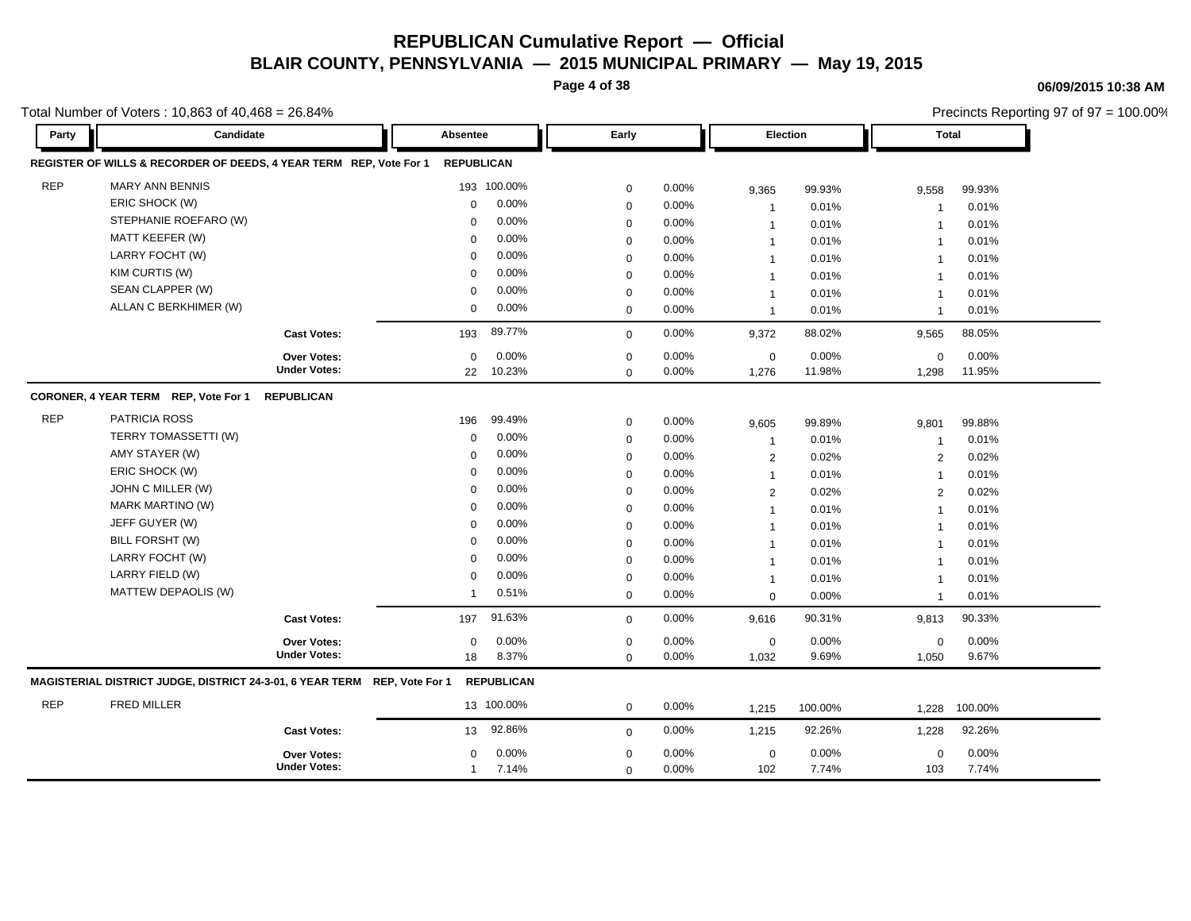**Page 4 of 38**

#### **06/09/2015 10:38 AM**

Total Number of Voters : 10,863 of 40,468 = 26.84%

Precincts Reporting 97 of 97 = 100.00% **Party Candidate Absentee Early Election Total REGISTER OF WILLS & RECORDER OF DEEDS, 4 YEAR TERM REP, Vote For 1 REPUBLICAN** REP MARY ANN BENNIS 193 100.00% 0 0.00% 9.365 99.93% 9,558 99.93% ERIC SHOCK (W) 0 0.00% 0 0.00% 1 0.01% 1 0.01% STEPHANIE ROEFARO (W) 0 0.00% 0 0.00% 1 0.01% 1 0.01% MATT KEEFER (W) 0 0.00% 0 0.00% 1 0.01% 1 0.01% LARRY FOCHT (W) 0 0.00% 0 0.00% 1 0.01% 1 0.01% KIM CURTIS (W) 0 0.00% 0 0.00% 1 0.01% 1 0.01% SEAN CLAPPER (W) 0 0.00% 0 0.00% 1 0.01% 1 0.01% ALLAN C BERKHIMER (W) 0 0.00% 0 0.00% 1 0.01% 1 0.01% **Cast Votes:** 193 89.77% 0 0.00% 9,372 88.02% 9,565 88.05% 1,298 11.95% 11.98% 0 0.00% 1,276 0.00% 0 0.00% **Under Votes: Over Votes:** 10.23% 22  $0.00\%$  0.00% 0.00% 0.00% 0.00% 0.00%  $0\qquad 0.00\%$  $0\qquad 0.00\%$  $0.00\%$  1,276 **CORONER, 4 YEAR TERM REP, Vote For 1 REPUBLICAN** REP PATRICIA ROSS 196 99.49% 0 0.00% 9,605 99.89% 9,801 99.88% TERRY TOMASSETTI (W) 0 0.00% 0 0.00% 1 0.01% 1 0.01% AMY STAYER (W) 0 0.00% 0 0.00% 2 0.02% 2 0.02% ERIC SHOCK (W) 0 0.00% 0 0.00% 1 0.01% 1 0.01% JOHN C MILLER (W) 0 0.00% 0 0.00% 2 0.02% 2 0.02% MARK MARTINO (W) 0 0.00% 0 0.00% 1 0.01% 1 0.01% JEFF GUYER (W) 0 0.00% 0 0.00% 1 0.01% 1 0.01% BILL FORSHT (W) 0 0.00% 0 0.00% 1 0.01% 1 0.01% LARRY FOCHT (W) 0 0.00% 0 0.00% 1 0.01% 1 0.01% LARRY FIELD (W) 0 0.00% 0 0.00% 1 0.01% 1 0.01% MATTEW DEPAOLIS (W) 1 0.51% 0 0.00% 0 0.00% 1 0.01% **Cast Votes:** 197 91.63% 0 0.00% 9,616 90.31% 9,813 90.33% 1,050 9.67% 9.69% 0 0.00% 1,032 0.00% 0 0.00% **Under Votes: Over Votes:** 8.37% 0  $0.00\%$  0.00% 0.00% 0.00% 0.00% 0.00% 0 0.00% 18 8.37% 0 0.00% **MAGISTERIAL DISTRICT JUDGE, DISTRICT 24-3-01, 6 YEAR TERM REP, Vote For 1 REPUBLICAN** REP FRED MILLER 13 100.00% 0 0.00% 1,215 100.00% 1,228 100.00% **Cast Votes:** 13 92.86% 0 0.00% 1,215 92.26% 1,228 92.26% 103 7.74% 7.74% 0 0.00% 102 0.00% 0 0.00% **Under Votes: Over Votes:** 0.00%  $0.00\%$  0.00% 0.00% 0.00% 0.00% 0.00% 0 0.00% 1 7.14% 0 0.00% 0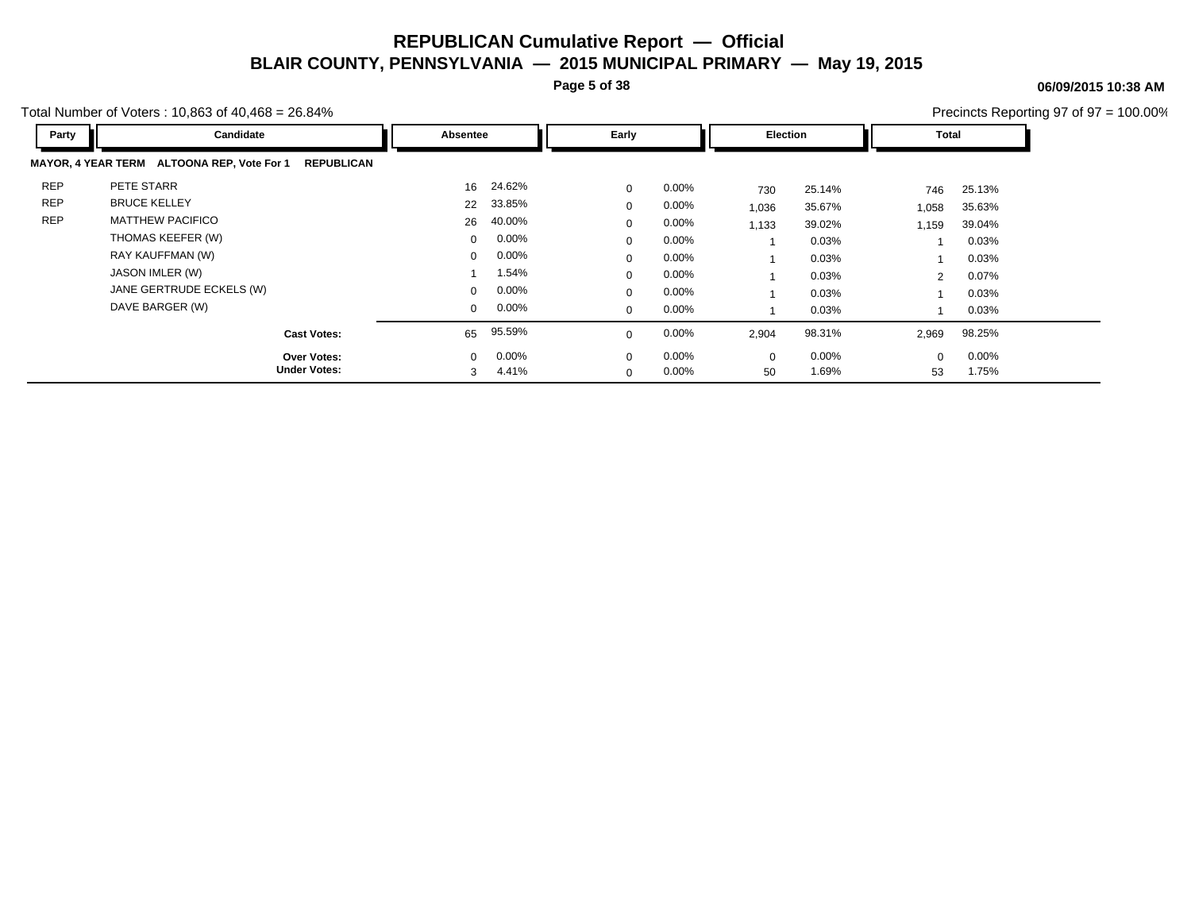**Page 5 of 38**

**06/09/2015 10:38 AM**

Total Number of Voters : 10,863 of 40,468 = 26.84%

| Party      | Candidate                                                | Absentee |          | Early       |          | Election     |          | <b>Total</b>   |          |
|------------|----------------------------------------------------------|----------|----------|-------------|----------|--------------|----------|----------------|----------|
|            | MAYOR, 4 YEAR TERM ALTOONA REP, Vote For 1<br>REPUBLICAN |          |          |             |          |              |          |                |          |
| <b>REP</b> | PETE STARR                                               | 16       | 24.62%   | $\mathbf 0$ | $0.00\%$ | 730          | 25.14%   | 746            | 25.13%   |
| <b>REP</b> | <b>BRUCE KELLEY</b>                                      | 22       | 33.85%   | $\Omega$    | 0.00%    | 1,036        | 35.67%   | 1,058          | 35.63%   |
| <b>REP</b> | <b>MATTHEW PACIFICO</b>                                  | 26       | 40.00%   | $\Omega$    | $0.00\%$ | 1,133        | 39.02%   | 1,159          | 39.04%   |
|            | THOMAS KEEFER (W)                                        | 0        | $0.00\%$ | $\Omega$    | $0.00\%$ |              | 0.03%    |                | 0.03%    |
|            | RAY KAUFFMAN (W)                                         | $\Omega$ | $0.00\%$ | $\Omega$    | $0.00\%$ |              | 0.03%    |                | 0.03%    |
|            | JASON IMLER (W)                                          |          | 1.54%    | $\Omega$    | $0.00\%$ |              | 0.03%    | $\overline{2}$ | 0.07%    |
|            | JANE GERTRUDE ECKELS (W)                                 | $\Omega$ | $0.00\%$ | $\Omega$    | $0.00\%$ |              | 0.03%    |                | 0.03%    |
|            | DAVE BARGER (W)                                          | 0        | $0.00\%$ | $\mathbf 0$ | 0.00%    |              | 0.03%    |                | 0.03%    |
|            | <b>Cast Votes:</b>                                       | 65       | 95.59%   | $\Omega$    | 0.00%    | 2,904        | 98.31%   | 2,969          | 98.25%   |
|            | <b>Over Votes:</b>                                       | $\Omega$ | $0.00\%$ | $\Omega$    | $0.00\%$ | $\mathbf{0}$ | $0.00\%$ | $\Omega$       | $0.00\%$ |
|            | <b>Under Votes:</b>                                      | 3        | 4.41%    | $\Omega$    | 0.00%    | 50           | 1.69%    | 53             | 1.75%    |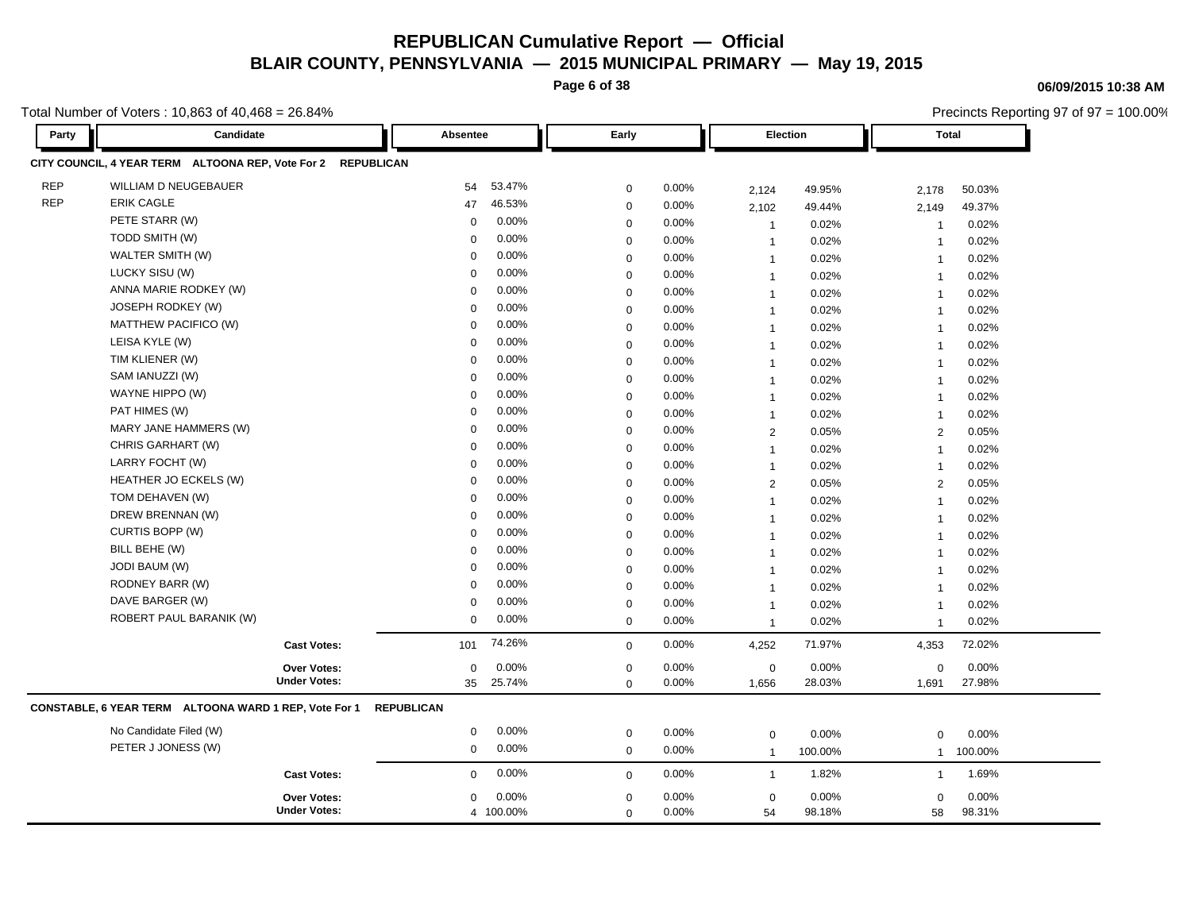**Page 6 of 38**

#### **06/09/2015 10:38 AM**

Precincts Reporting 97 of 97 = 100.00%

Total Number of Voters : 10,863 of 40,468 = 26.84%

**Party Candidate Absentee Early Election Total CITY COUNCIL, 4 YEAR TERM ALTOONA REP, Vote For 2 REPUBLICAN** REP WILLIAM D NEUGEBAUER 54 53.47% 0 0.00% 2,124 49.95% 2,178 50.03% REP ERIK CAGLE 47 46.53% 0 0.00% 2,102 49.44% 2,149 49.37% PETE STARR (W) 0 0.00% 0 0.00% 1 0.02% 1 0.02% TODD SMITH (W) 0 0.00% 0 0.00% 1 0.02% 1 0.02% WALTER SMITH (W) 0 0.00% 0 0.00% 1 0.02% 1 0.02% LUCKY SISU (W) 0 0.00% 0 0.00% 1 0.02% 1 0.02% ANNA MARIE RODKEY (W) 0 0.00% 0 0.00% 1 0.02% 1 0.02% JOSEPH RODKEY (W) 0 0.00% 0 0.00% 1 0.02% 1 0.02% MATTHEW PACIFICO (W) 0 0.00% 0 0.00% 1 0.02% 1 0.02% LEISA KYLE (W) 0 0.00% 0 0.00% 1 0.02% 1 0.02% TIM KLIENER (W) 0 0.00% 0 0.00% 1 0.02% 1 0.02% SAM IANUZZI (W) 0 0.00% 0 0.00% 1 0.02% 1 0.02% WAYNE HIPPO (W) 0 0.00% 0 0.00% 1 0.02% 1 0.02% PAT HIMES (W) 0 0.00% 0 0.00% 1 0.02% 1 0.02% MARY JANE HAMMERS (W) 0 0.00% 0 0.00% 2 0.05% 2 0.05% CHRIS GARHART (W) 0 0.00% 0 0.00% 1 0.02% 1 0.02% LARRY FOCHT (W) 0 0.00% 0 0.00% 1 0.02% 1 0.02% HEATHER JO ECKELS (W) 0 0.00% 0 0.00% 2 0.05% 2 0.05% TOM DEHAVEN (W) 0 0.00% 0 0.00% 1 0.02% 1 0.02% DREW BRENNAN (W) 0 0.00% 0 0.00% 1 0.02% 1 0.02% CURTIS BOPP (W) 0 0.00% 0 0.00% 1 0.02% 1 0.02% BILL BEHE (W) 0 0.00% 0 0.00% 1 0.02% 1 0.02% JODI BAUM (W) 0 0.00% 0 0.00% 1 0.02% 1 0.02% RODNEY BARR (W) 0 0.00% 0 0.00% 1 0.02% 1 0.02% DAVE BARGER (W) 0 0.00% 0 0.00% 1 0.02% 1 0.02% ROBERT PAUL BARANIK (W) 0 0.00% <sub>0</sub> 0.00% 1 0.02% 1 0.02% **Cast Votes:** 101 74.26% 0 0.00% 4,252 71.97% 4,353 72.02% 1,691 27.98% 28.03% 0 0.00% 1,656 0.00% 0 0.00% **Under Votes: Over Votes:** 25.74% 35  $0.00\%$  0.00% 0.00% 0.00% 0.00% 0.00% 0 0.00% 0 0.00% 0 0.00% 1,656 **CONSTABLE, 6 YEAR TERM ALTOONA WARD 1 REP, Vote For 1 REPUBLICAN** No Candidate Filed (W) 0 0.00% 0 0.00% 0 0.00% 0 0.00% PETER J JONESS (W) 0 0.00% 0 0.00% 1 100.00% 1 100.00% **Cast Votes:** 0 0.00% 0 0.00% 1 1.82% 1 1.69% 58 98.31% 98.18% 0 0.00% 54 0.00% 0 0.00% **Under Votes: Over Votes:** 0 0.00% 0 0.00% 100.00% 4  $0.00\%$  0.00% 0.00% 0.00% 0.00% 0.00% 0 0.00%  $\Omega$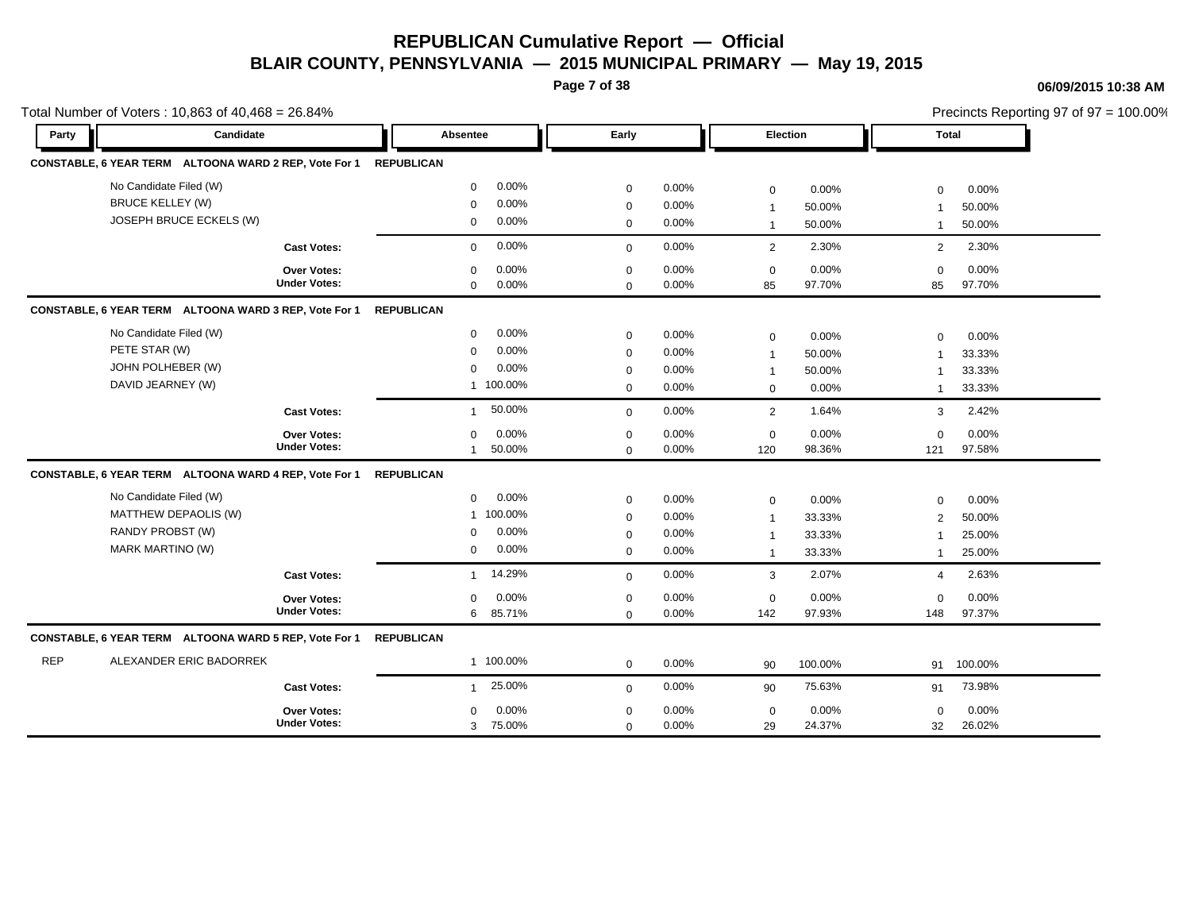**Page 7 of 38**

|            | Total Number of Voters: 10,863 of 40,468 = 26.84%                |                     |                   |           |                |       |                          |         |                |            | Precincts Reporting 97 of 97 = 100.00% |
|------------|------------------------------------------------------------------|---------------------|-------------------|-----------|----------------|-------|--------------------------|---------|----------------|------------|----------------------------------------|
| Party      | Candidate                                                        |                     | Absentee          |           | Early          |       | Election                 |         | <b>Total</b>   |            |                                        |
|            | CONSTABLE, 6 YEAR TERM ALTOONA WARD 2 REP, Vote For 1 REPUBLICAN |                     |                   |           |                |       |                          |         |                |            |                                        |
|            | No Candidate Filed (W)                                           |                     | $\Omega$          | $0.00\%$  | $\mathbf{0}$   | 0.00% | $\mathbf{0}$             | 0.00%   | $\Omega$       | 0.00%      |                                        |
|            | <b>BRUCE KELLEY (W)</b>                                          |                     | $\Omega$          | 0.00%     | $\Omega$       | 0.00% |                          | 50.00%  |                | 50.00%     |                                        |
|            | JOSEPH BRUCE ECKELS (W)                                          |                     | $\mathbf 0$       | 0.00%     | 0              | 0.00% | $\overline{\mathbf{1}}$  | 50.00%  |                | 50.00%     |                                        |
|            |                                                                  | <b>Cast Votes:</b>  | $\overline{0}$    | 0.00%     | $\mathbf{0}$   | 0.00% | 2                        | 2.30%   | $\overline{2}$ | 2.30%      |                                        |
|            |                                                                  | Over Votes:         | $\Omega$          | 0.00%     | $\Omega$       | 0.00% | $\overline{0}$           | 0.00%   | $\Omega$       | 0.00%      |                                        |
|            |                                                                  | <b>Under Votes:</b> | $\Omega$          | $0.00\%$  | $\Omega$       | 0.00% | 85                       | 97.70%  | 85             | 97.70%     |                                        |
|            | CONSTABLE, 6 YEAR TERM ALTOONA WARD 3 REP, Vote For 1            |                     | <b>REPUBLICAN</b> |           |                |       |                          |         |                |            |                                        |
|            | No Candidate Filed (W)                                           |                     | $\mathbf{0}$      | $0.00\%$  | $\mathbf{0}$   | 0.00% | $\mathbf{0}$             | 0.00%   | $\Omega$       | 0.00%      |                                        |
|            | PETE STAR (W)                                                    |                     | <sup>n</sup>      | 0.00%     | $\Omega$       | 0.00% | $\overline{\phantom{0}}$ | 50.00%  |                | 33.33%     |                                        |
|            | JOHN POLHEBER (W)                                                |                     | $\Omega$          | 0.00%     | $\Omega$       | 0.00% |                          | 50.00%  |                | 33.33%     |                                        |
|            | DAVID JEARNEY (W)                                                |                     |                   | 1 100.00% | $\mathbf 0$    | 0.00% | $\mathbf{0}$             | 0.00%   |                | 33.33%     |                                        |
|            |                                                                  | <b>Cast Votes:</b>  | $\mathbf{1}$      | 50.00%    | $\Omega$       | 0.00% | 2                        | 1.64%   | 3              | 2.42%      |                                        |
|            |                                                                  | Over Votes:         | $\mathbf 0$       | $0.00\%$  | 0              | 0.00% | $\mathbf 0$              | 0.00%   | 0              | 0.00%      |                                        |
|            |                                                                  | <b>Under Votes:</b> |                   | 50.00%    | $\Omega$       | 0.00% | 120                      | 98.36%  | 121            | 97.58%     |                                        |
|            | CONSTABLE, 6 YEAR TERM ALTOONA WARD 4 REP, Vote For 1            |                     | <b>REPUBLICAN</b> |           |                |       |                          |         |                |            |                                        |
|            | No Candidate Filed (W)                                           |                     | $\mathbf{0}$      | $0.00\%$  | $\mathbf 0$    | 0.00% | $\mathbf 0$              | 0.00%   | $\Omega$       | 0.00%      |                                        |
|            | MATTHEW DEPAOLIS (W)                                             |                     | 1                 | 100.00%   | $\Omega$       | 0.00% | - 1                      | 33.33%  | 2              | 50.00%     |                                        |
|            | RANDY PROBST (W)                                                 |                     | $\mathbf{0}$      | 0.00%     | 0              | 0.00% | - 1                      | 33.33%  |                | 25.00%     |                                        |
|            | <b>MARK MARTINO (W)</b>                                          |                     | $\mathbf{0}$      | 0.00%     | 0              | 0.00% | - 1                      | 33.33%  |                | 25.00%     |                                        |
|            |                                                                  | <b>Cast Votes:</b>  |                   | 1 14.29%  | $\mathbf{0}$   | 0.00% | $\mathbf{3}$             | 2.07%   | $\overline{a}$ | 2.63%      |                                        |
|            |                                                                  | <b>Over Votes:</b>  | $\mathbf{0}$      | 0.00%     | $\mathbf 0$    | 0.00% | $\mathbf 0$              | 0.00%   | $\mathbf 0$    | 0.00%      |                                        |
|            |                                                                  | <b>Under Votes:</b> |                   | 6 85.71%  | $\Omega$       | 0.00% | 142                      | 97.93%  | 148            | 97.37%     |                                        |
|            | CONSTABLE, 6 YEAR TERM ALTOONA WARD 5 REP, Vote For 1            |                     | <b>REPUBLICAN</b> |           |                |       |                          |         |                |            |                                        |
| <b>REP</b> | ALEXANDER ERIC BADORREK                                          |                     |                   | 1 100.00% | $\mathbf{0}$   | 0.00% | 90                       | 100.00% |                | 91 100.00% |                                        |
|            |                                                                  | <b>Cast Votes:</b>  | 1                 | 25.00%    | $\overline{0}$ | 0.00% | 90                       | 75.63%  | 91             | 73.98%     |                                        |
|            |                                                                  | <b>Over Votes:</b>  | $\Omega$          | 0.00%     | $\Omega$       | 0.00% | $\mathbf 0$              | 0.00%   | $\Omega$       | 0.00%      |                                        |
|            |                                                                  | <b>Under Votes:</b> |                   | 3 75.00%  | $\Omega$       | 0.00% | 29                       | 24.37%  | 32             | 26.02%     |                                        |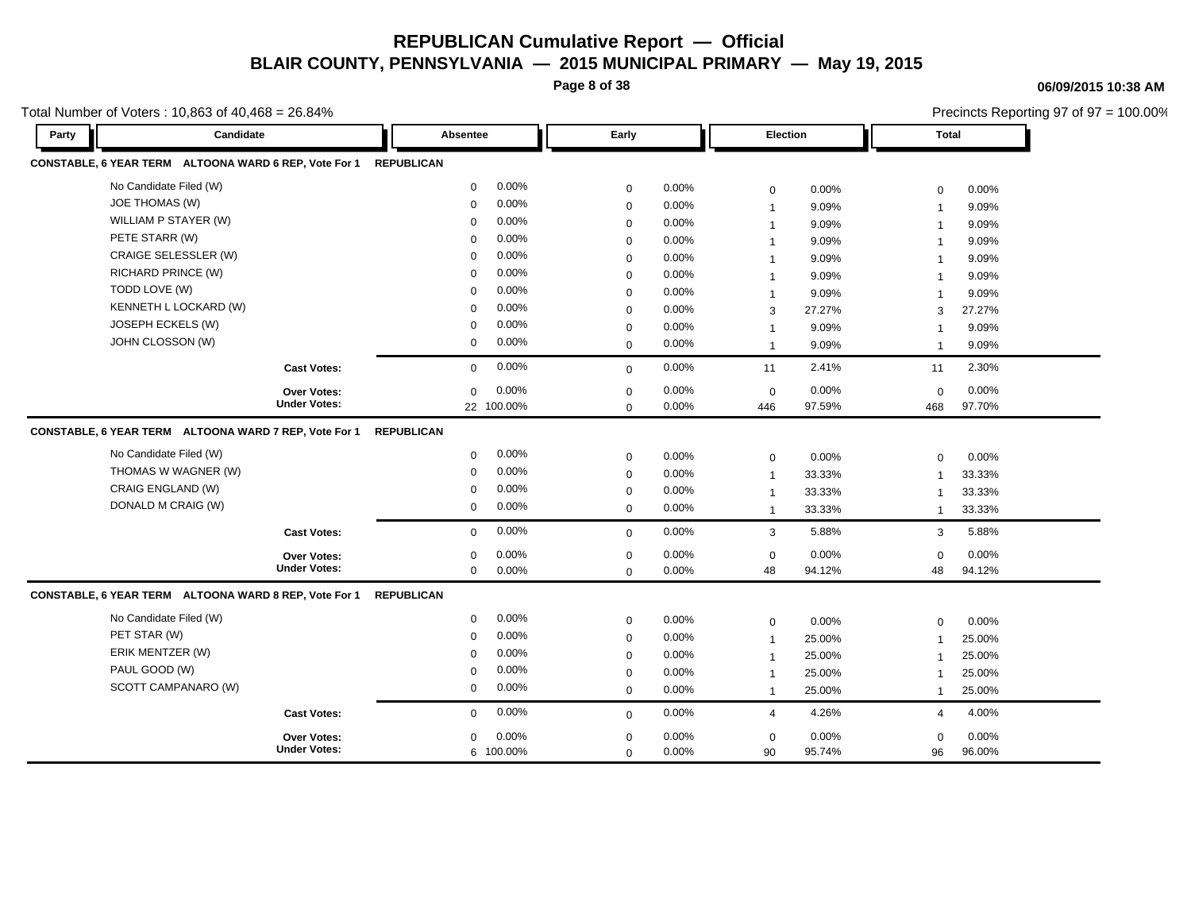**Page 8 of 38**

#### **06/09/2015 10:38 AM**

| Total Number of Voters: 10,863 of 40,468 = 26.84%     |                     |                       |                  |          |                 |        |                | Precincts Reporting 97 of 97 = 100.00% |
|-------------------------------------------------------|---------------------|-----------------------|------------------|----------|-----------------|--------|----------------|----------------------------------------|
| Candidate<br>Party                                    |                     | Absentee              | Early            |          | <b>Election</b> |        | <b>Total</b>   |                                        |
| CONSTABLE, 6 YEAR TERM ALTOONA WARD 6 REP, Vote For 1 |                     | <b>REPUBLICAN</b>     |                  |          |                 |        |                |                                        |
| No Candidate Filed (W)                                |                     | 0.00%<br>$\mathbf{0}$ | $\mathbf 0$      | 0.00%    | $\mathbf 0$     | 0.00%  | $\mathbf 0$    | 0.00%                                  |
| <b>JOE THOMAS (W)</b>                                 |                     | 0.00%<br>$\mathbf 0$  | $\mathbf 0$      | 0.00%    | $\overline{1}$  | 9.09%  | $\overline{1}$ | 9.09%                                  |
| WILLIAM P STAYER (W)                                  |                     | 0.00%<br>$\Omega$     | $\mathbf 0$      | 0.00%    | $\mathbf{1}$    | 9.09%  | $\mathbf{1}$   | 9.09%                                  |
| PETE STARR (W)                                        |                     | 0.00%<br>$\Omega$     | $\mathbf 0$      | 0.00%    | -1              | 9.09%  | $\overline{1}$ | 9.09%                                  |
| CRAIGE SELESSLER (W)                                  |                     | 0.00%<br>$\Omega$     | $\mathbf 0$      | 0.00%    |                 | 9.09%  | $\overline{1}$ | 9.09%                                  |
| <b>RICHARD PRINCE (W)</b>                             |                     | 0.00%<br>$\Omega$     | $\mathbf 0$      | 0.00%    | -1              | 9.09%  | $\overline{1}$ | 9.09%                                  |
| TODD LOVE (W)                                         |                     | 0.00%<br>$\Omega$     | $\mathbf 0$      | 0.00%    | $\mathbf{1}$    | 9.09%  | $\overline{1}$ | 9.09%                                  |
| KENNETH L LOCKARD (W)                                 |                     | 0.00%<br>$\Omega$     | $\mathbf 0$      | 0.00%    | 3               | 27.27% | 3              | 27.27%                                 |
| JOSEPH ECKELS (W)                                     |                     | 0.00%<br>$\mathbf 0$  | $\mathbf 0$      | 0.00%    | $\mathbf 1$     | 9.09%  | -1             | 9.09%                                  |
| JOHN CLOSSON (W)                                      |                     | 0.00%<br>$\mathbf{0}$ | $\mathbf 0$      | 0.00%    | $\mathbf{1}$    | 9.09%  | $\mathbf{1}$   | 9.09%                                  |
|                                                       | <b>Cast Votes:</b>  | 0.00%<br>0            | $\mathbf 0$      | 0.00%    | 11              | 2.41%  | 11             | 2.30%                                  |
|                                                       | <b>Over Votes:</b>  | 0.00%<br>0            | $\boldsymbol{0}$ | 0.00%    | $\pmb{0}$       | 0.00%  | $\mathbf 0$    | 0.00%                                  |
|                                                       | <b>Under Votes:</b> | 22 100.00%            | $\mathbf 0$      | 0.00%    | 446             | 97.59% | 468            | 97.70%                                 |
| CONSTABLE, 6 YEAR TERM ALTOONA WARD 7 REP, Vote For 1 |                     | <b>REPUBLICAN</b>     |                  |          |                 |        |                |                                        |
| No Candidate Filed (W)                                |                     | 0.00%<br>0            | $\mathbf 0$      | 0.00%    | $\mathbf 0$     | 0.00%  | $\mathbf 0$    | 0.00%                                  |
| THOMAS W WAGNER (W)                                   |                     | 0.00%<br>0            | $\mathbf 0$      | 0.00%    | $\overline{1}$  | 33.33% | $\mathbf{1}$   | 33.33%                                 |
| CRAIG ENGLAND (W)                                     |                     | 0.00%<br>0            | $\mathbf 0$      | 0.00%    | $\overline{1}$  | 33.33% | $\overline{1}$ | 33.33%                                 |
| DONALD M CRAIG (W)                                    |                     | 0.00%<br>0            | $\mathbf 0$      | 0.00%    | $\overline{1}$  | 33.33% | $\mathbf{1}$   | 33.33%                                 |
|                                                       | <b>Cast Votes:</b>  | 0.00%<br>$\mathbf{0}$ | $\mathbf 0$      | 0.00%    | 3               | 5.88%  | 3              | 5.88%                                  |
|                                                       | Over Votes:         | 0.00%<br>0            | $\mathbf 0$      | $0.00\%$ | $\mathbf 0$     | 0.00%  | $\mathbf 0$    | 0.00%                                  |
|                                                       | <b>Under Votes:</b> | $\mathbf 0$<br>0.00%  | $\mathbf 0$      | 0.00%    | 48              | 94.12% | 48             | 94.12%                                 |
| CONSTABLE, 6 YEAR TERM ALTOONA WARD 8 REP, Vote For 1 |                     | <b>REPUBLICAN</b>     |                  |          |                 |        |                |                                        |
| No Candidate Filed (W)                                |                     | 0.00%<br>$\mathbf{0}$ | 0                | 0.00%    | 0               | 0.00%  | $\mathbf 0$    | 0.00%                                  |
| PET STAR (W)                                          |                     | 0.00%<br>$\mathbf 0$  | $\mathbf 0$      | 0.00%    | $\mathbf 1$     | 25.00% | $\mathbf{1}$   | 25.00%                                 |
| ERIK MENTZER (W)                                      |                     | 0.00%<br>$\Omega$     | $\mathbf 0$      | 0.00%    | $\mathbf{1}$    | 25.00% | -1             | 25.00%                                 |
| PAUL GOOD (W)                                         |                     | 0.00%<br>$\mathbf 0$  | 0                | 0.00%    | -1              | 25.00% | $\mathbf{1}$   | 25.00%                                 |
| SCOTT CAMPANARO (W)                                   |                     | 0.00%<br>$\mathbf 0$  | $\mathbf 0$      | 0.00%    | $\overline{1}$  | 25.00% | $\mathbf{1}$   | 25.00%                                 |
|                                                       | <b>Cast Votes:</b>  | 0.00%<br>$\mathbf{0}$ | $\mathbf 0$      | 0.00%    | 4               | 4.26%  | 4              | 4.00%                                  |
|                                                       | <b>Over Votes:</b>  | 0.00%<br>0            | $\mathbf 0$      | 0.00%    | $\mathbf 0$     | 0.00%  | $\mathbf 0$    | 0.00%                                  |
|                                                       | <b>Under Votes:</b> | 6 100.00%             | $\mathbf 0$      | 0.00%    | 90              | 95.74% | 96             | 96.00%                                 |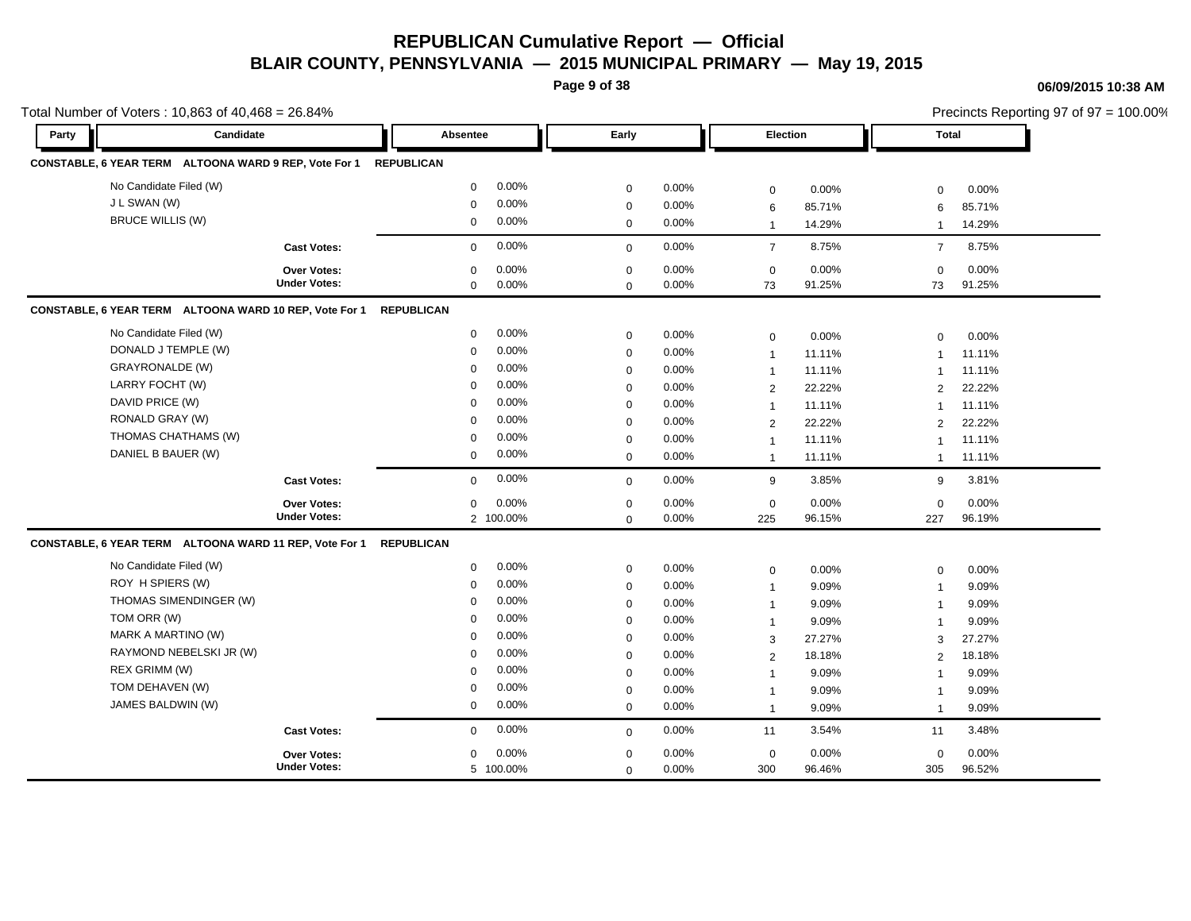**Page 9 of 38**

### **06/09/2015 10:38 AM**

|       | Total Number of Voters: 10,863 of 40,468 = 26.84%      |                     |                   |           |             |          |                |        | Precincts Reporting 97 of 97 = 100.00% |          |  |
|-------|--------------------------------------------------------|---------------------|-------------------|-----------|-------------|----------|----------------|--------|----------------------------------------|----------|--|
| Party | Candidate                                              |                     | <b>Absentee</b>   |           | Early       |          | Election       |        | <b>Total</b>                           |          |  |
|       | CONSTABLE, 6 YEAR TERM ALTOONA WARD 9 REP, Vote For 1  |                     | <b>REPUBLICAN</b> |           |             |          |                |        |                                        |          |  |
|       | No Candidate Filed (W)                                 |                     | $\mathbf 0$       | 0.00%     | $\mathbf 0$ | 0.00%    | $\mathbf 0$    | 0.00%  | 0                                      | 0.00%    |  |
|       | J L SWAN (W)                                           |                     | $\mathbf 0$       | 0.00%     | $\mathbf 0$ | 0.00%    | 6              | 85.71% | 6                                      | 85.71%   |  |
|       | <b>BRUCE WILLIS (W)</b>                                |                     | $\mathbf 0$       | 0.00%     | $\mathbf 0$ | 0.00%    | $\mathbf{1}$   | 14.29% | $\mathbf{1}$                           | 14.29%   |  |
|       |                                                        | <b>Cast Votes:</b>  | $\mathbf 0$       | 0.00%     | $\mathbf 0$ | 0.00%    | $\overline{7}$ | 8.75%  | $\overline{7}$                         | 8.75%    |  |
|       |                                                        | Over Votes:         | $\mathbf 0$       | 0.00%     | $\mathbf 0$ | 0.00%    | $\mathbf 0$    | 0.00%  | $\Omega$                               | 0.00%    |  |
|       |                                                        | <b>Under Votes:</b> | $\mathbf 0$       | 0.00%     | $\mathbf 0$ | 0.00%    | 73             | 91.25% | 73                                     | 91.25%   |  |
|       | CONSTABLE, 6 YEAR TERM ALTOONA WARD 10 REP, Vote For 1 |                     | <b>REPUBLICAN</b> |           |             |          |                |        |                                        |          |  |
|       | No Candidate Filed (W)                                 |                     | $\mathbf 0$       | 0.00%     | $\mathbf 0$ | 0.00%    | $\mathbf 0$    | 0.00%  | $\mathbf 0$                            | 0.00%    |  |
|       | DONALD J TEMPLE (W)                                    |                     | $\mathbf 0$       | 0.00%     | $\mathbf 0$ | 0.00%    | $\overline{1}$ | 11.11% | $\overline{1}$                         | 11.11%   |  |
|       | GRAYRONALDE (W)                                        |                     | $\mathbf 0$       | 0.00%     | $\mathbf 0$ | 0.00%    | $\overline{1}$ | 11.11% | 1                                      | 11.11%   |  |
|       | LARRY FOCHT (W)                                        |                     | $\mathbf 0$       | 0.00%     | $\mathbf 0$ | $0.00\%$ | 2              | 22.22% | $\overline{2}$                         | 22.22%   |  |
|       | DAVID PRICE (W)                                        |                     | $\mathbf 0$       | 0.00%     | $\mathbf 0$ | $0.00\%$ | $\mathbf{1}$   | 11.11% | $\mathbf{1}$                           | 11.11%   |  |
|       | RONALD GRAY (W)                                        |                     | $\mathbf 0$       | 0.00%     | $\mathbf 0$ | 0.00%    | $\overline{2}$ | 22.22% | $\overline{2}$                         | 22.22%   |  |
|       | THOMAS CHATHAMS (W)                                    |                     | $\mathbf 0$       | 0.00%     | $\mathbf 0$ | 0.00%    | $\mathbf{1}$   | 11.11% | -1                                     | 11.11%   |  |
|       | DANIEL B BAUER (W)                                     |                     | $\mathbf 0$       | 0.00%     | $\mathbf 0$ | 0.00%    | $\overline{1}$ | 11.11% | $\mathbf{1}$                           | 11.11%   |  |
|       |                                                        | <b>Cast Votes:</b>  | $\mathbf 0$       | 0.00%     | $\mathbf 0$ | 0.00%    | 9              | 3.85%  | 9                                      | 3.81%    |  |
|       |                                                        | <b>Over Votes:</b>  | 0                 | 0.00%     | $\mathbf 0$ | 0.00%    | $\mathbf 0$    | 0.00%  | $\mathbf 0$                            | 0.00%    |  |
|       |                                                        | <b>Under Votes:</b> |                   | 2 100.00% | $\mathbf 0$ | 0.00%    | 225            | 96.15% | 227                                    | 96.19%   |  |
|       | CONSTABLE, 6 YEAR TERM ALTOONA WARD 11 REP, Vote For 1 |                     | <b>REPUBLICAN</b> |           |             |          |                |        |                                        |          |  |
|       | No Candidate Filed (W)                                 |                     | $\mathbf 0$       | 0.00%     | $\mathbf 0$ | 0.00%    | $\mathbf 0$    | 0.00%  | $\mathbf 0$                            | 0.00%    |  |
|       | ROY H SPIERS (W)                                       |                     | $\mathbf 0$       | 0.00%     | $\pmb{0}$   | 0.00%    | $\mathbf{1}$   | 9.09%  | $\mathbf{1}$                           | 9.09%    |  |
|       | THOMAS SIMENDINGER (W)                                 |                     | 0                 | 0.00%     | $\mathbf 0$ | $0.00\%$ | -1             | 9.09%  | -1                                     | 9.09%    |  |
|       | TOM ORR (W)                                            |                     | $\mathbf 0$       | 0.00%     | $\mathbf 0$ | 0.00%    | $\mathbf{1}$   | 9.09%  | $\overline{\phantom{a}}$               | 9.09%    |  |
|       | MARK A MARTINO (W)                                     |                     | $\mathbf 0$       | 0.00%     | $\mathbf 0$ | 0.00%    | 3              | 27.27% | 3                                      | 27.27%   |  |
|       | RAYMOND NEBELSKI JR (W)                                |                     | $\Omega$          | 0.00%     | $\mathbf 0$ | 0.00%    | 2              | 18.18% | 2                                      | 18.18%   |  |
|       | REX GRIMM (W)                                          |                     | $\Omega$          | 0.00%     | $\mathbf 0$ | 0.00%    | $\mathbf{1}$   | 9.09%  | -1                                     | 9.09%    |  |
|       | TOM DEHAVEN (W)                                        |                     | $\mathbf 0$       | 0.00%     | $\mathbf 0$ | 0.00%    | $\mathbf{1}$   | 9.09%  | -1                                     | 9.09%    |  |
|       | JAMES BALDWIN (W)                                      |                     | $\mathbf 0$       | 0.00%     | $\mathbf 0$ | 0.00%    | $\mathbf{1}$   | 9.09%  | $\mathbf{1}$                           | 9.09%    |  |
|       |                                                        | <b>Cast Votes:</b>  | $\mathbf 0$       | 0.00%     | $\mathbf 0$ | 0.00%    | 11             | 3.54%  | 11                                     | 3.48%    |  |
|       |                                                        | Over Votes:         | 0                 | 0.00%     | $\mathbf 0$ | 0.00%    | $\mathbf 0$    | 0.00%  | 0                                      | $0.00\%$ |  |
|       |                                                        | <b>Under Votes:</b> |                   | 5 100.00% | $\mathbf 0$ | $0.00\%$ | 300            | 96.46% | 305                                    | 96.52%   |  |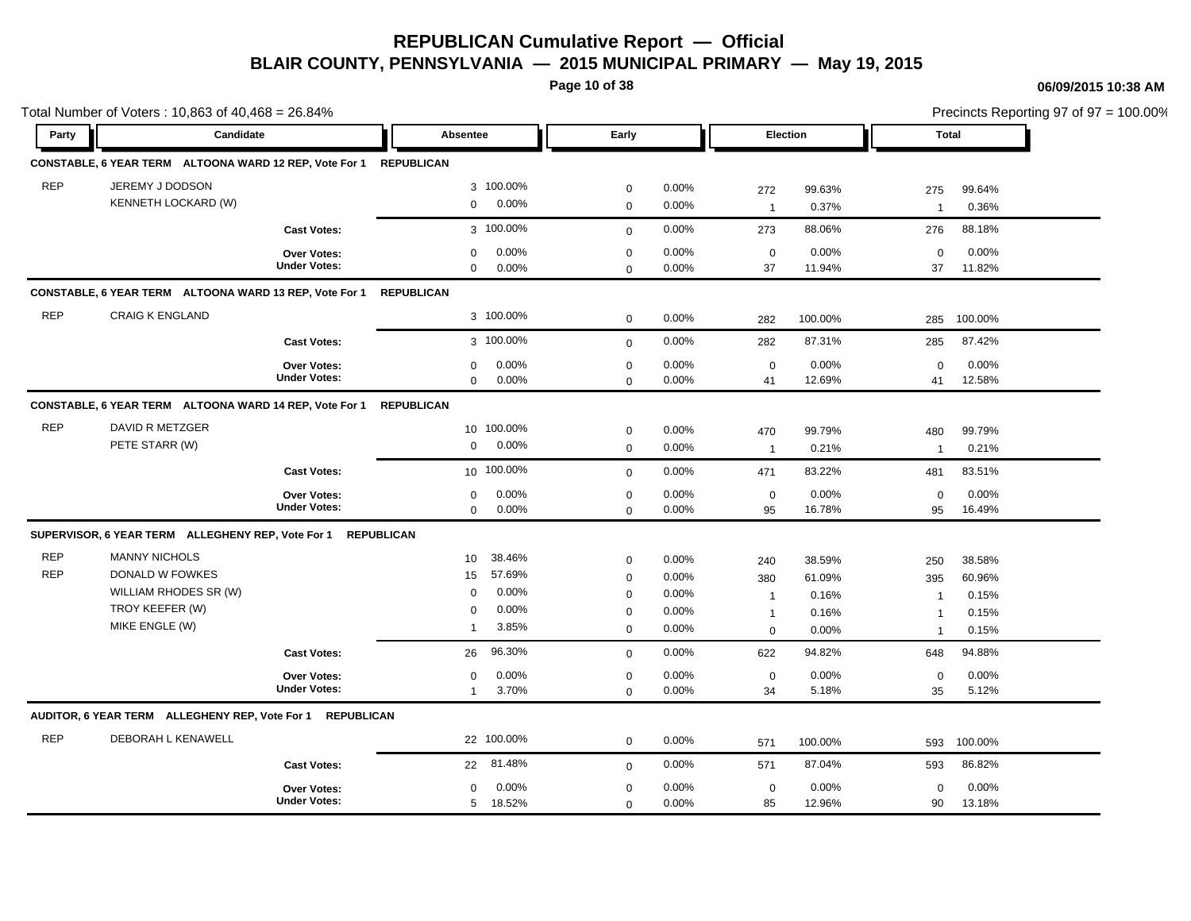**Page 10 of 38**

|            | Total Number of Voters: 10,863 of 40,468 = 26.84%            |                     |                           |              |          | Precincts Reporting 97 of 97 = 100.00% |         |                         |         |  |
|------------|--------------------------------------------------------------|---------------------|---------------------------|--------------|----------|----------------------------------------|---------|-------------------------|---------|--|
| Party      | Candidate                                                    |                     | Absentee                  | Early        |          | Election                               |         | <b>Total</b>            |         |  |
|            | CONSTABLE, 6 YEAR TERM ALTOONA WARD 12 REP, Vote For 1       |                     | <b>REPUBLICAN</b>         |              |          |                                        |         |                         |         |  |
| <b>REP</b> | JEREMY J DODSON                                              |                     | 3 100.00%                 | $\mathbf 0$  | 0.00%    | 272                                    | 99.63%  | 275                     | 99.64%  |  |
|            | KENNETH LOCKARD (W)                                          |                     | 0.00%<br>$\mathbf{0}$     | $\mathbf 0$  | 0.00%    | $\overline{1}$                         | 0.37%   | $\overline{1}$          | 0.36%   |  |
|            |                                                              | <b>Cast Votes:</b>  | 3 100.00%                 | $\mathbf{0}$ | 0.00%    | 273                                    | 88.06%  | 276                     | 88.18%  |  |
|            |                                                              | Over Votes:         | 0.00%<br>$\mathbf 0$      | $\mathbf 0$  | 0.00%    | $\mathbf 0$                            | 0.00%   | $\mathbf 0$             | 0.00%   |  |
|            |                                                              | <b>Under Votes:</b> | 0.00%<br>$\mathbf 0$      | $\mathbf 0$  | $0.00\%$ | 37                                     | 11.94%  | 37                      | 11.82%  |  |
|            | CONSTABLE, 6 YEAR TERM ALTOONA WARD 13 REP, Vote For 1       |                     | <b>REPUBLICAN</b>         |              |          |                                        |         |                         |         |  |
| <b>REP</b> | <b>CRAIG K ENGLAND</b>                                       |                     | 3 100.00%                 | $\mathbf 0$  | 0.00%    | 282                                    | 100.00% | 285                     | 100.00% |  |
|            |                                                              | <b>Cast Votes:</b>  | 3 100.00%                 | $\mathbf{0}$ | 0.00%    | 282                                    | 87.31%  | 285                     | 87.42%  |  |
|            |                                                              | Over Votes:         | 0.00%<br>$\mathbf 0$      | $\mathbf 0$  | 0.00%    | $\mathbf 0$                            | 0.00%   | $\mathbf 0$             | 0.00%   |  |
|            |                                                              | <b>Under Votes:</b> | 0.00%<br>$\mathbf 0$      | $\mathbf 0$  | 0.00%    | 41                                     | 12.69%  | 41                      | 12.58%  |  |
|            | CONSTABLE, 6 YEAR TERM ALTOONA WARD 14 REP, Vote For 1       |                     | <b>REPUBLICAN</b>         |              |          |                                        |         |                         |         |  |
| <b>REP</b> | DAVID R METZGER                                              |                     | 10 100.00%                | $\mathbf 0$  | 0.00%    | 470                                    | 99.79%  | 480                     | 99.79%  |  |
|            | PETE STARR (W)                                               |                     | 0.00%<br>$\mathbf 0$      | $\mathbf 0$  | 0.00%    | $\overline{1}$                         | 0.21%   | $\mathbf{1}$            | 0.21%   |  |
|            |                                                              | <b>Cast Votes:</b>  | 10 100.00%                | $\mathbf 0$  | 0.00%    | 471                                    | 83.22%  | 481                     | 83.51%  |  |
|            |                                                              | <b>Over Votes:</b>  | 0.00%<br>0                | $\mathbf 0$  | 0.00%    | $\mathbf 0$                            | 0.00%   | $\mathbf 0$             | 0.00%   |  |
|            |                                                              | <b>Under Votes:</b> | 0.00%<br>$\mathbf 0$      | $\mathbf 0$  | 0.00%    | 95                                     | 16.78%  | 95                      | 16.49%  |  |
|            | SUPERVISOR, 6 YEAR TERM ALLEGHENY REP, Vote For 1 REPUBLICAN |                     |                           |              |          |                                        |         |                         |         |  |
| <b>REP</b> | <b>MANNY NICHOLS</b>                                         |                     | 38.46%<br>10 <sup>°</sup> | $\mathbf 0$  | 0.00%    | 240                                    | 38.59%  | 250                     | 38.58%  |  |
| <b>REP</b> | DONALD W FOWKES                                              |                     | 57.69%<br>15              | $\mathbf 0$  | 0.00%    | 380                                    | 61.09%  | 395                     | 60.96%  |  |
|            | WILLIAM RHODES SR (W)                                        |                     | 0.00%<br>$\Omega$         | $\mathbf 0$  | 0.00%    | $\mathbf{1}$                           | 0.16%   | $\overline{\mathbf{1}}$ | 0.15%   |  |
|            | TROY KEEFER (W)                                              |                     | 0.00%<br>$\mathbf 0$      | $\mathbf 0$  | 0.00%    | $\overline{1}$                         | 0.16%   | $\overline{1}$          | 0.15%   |  |
|            | MIKE ENGLE (W)                                               |                     | 3.85%<br>$\mathbf{1}$     | $\mathbf 0$  | $0.00\%$ | $\mathbf 0$                            | 0.00%   | -1                      | 0.15%   |  |
|            |                                                              | <b>Cast Votes:</b>  | 96.30%<br>26              | $\mathbf 0$  | 0.00%    | 622                                    | 94.82%  | 648                     | 94.88%  |  |
|            |                                                              | Over Votes:         | 0.00%<br>0                | $\mathbf 0$  | 0.00%    | $\mathbf 0$                            | 0.00%   | 0                       | 0.00%   |  |
|            |                                                              | <b>Under Votes:</b> | 3.70%<br>$\mathbf{1}$     | $\mathbf 0$  | 0.00%    | 34                                     | 5.18%   | 35                      | 5.12%   |  |
|            | AUDITOR, 6 YEAR TERM ALLEGHENY REP, Vote For 1 REPUBLICAN    |                     |                           |              |          |                                        |         |                         |         |  |
| <b>REP</b> | DEBORAH L KENAWELL                                           |                     | 22 100.00%                | $\mathbf{0}$ | 0.00%    | 571                                    | 100.00% | 593                     | 100.00% |  |
|            |                                                              | <b>Cast Votes:</b>  | 22 81.48%                 | $\mathbf 0$  | 0.00%    | 571                                    | 87.04%  | 593                     | 86.82%  |  |
|            |                                                              | Over Votes:         | 0.00%<br>$\mathbf 0$      | $\mathbf 0$  | 0.00%    | $\mathbf 0$                            | 0.00%   | $\mathbf 0$             | 0.00%   |  |
|            |                                                              | <b>Under Votes:</b> | 5 18.52%                  | $\mathbf 0$  | 0.00%    | 85                                     | 12.96%  | 90                      | 13.18%  |  |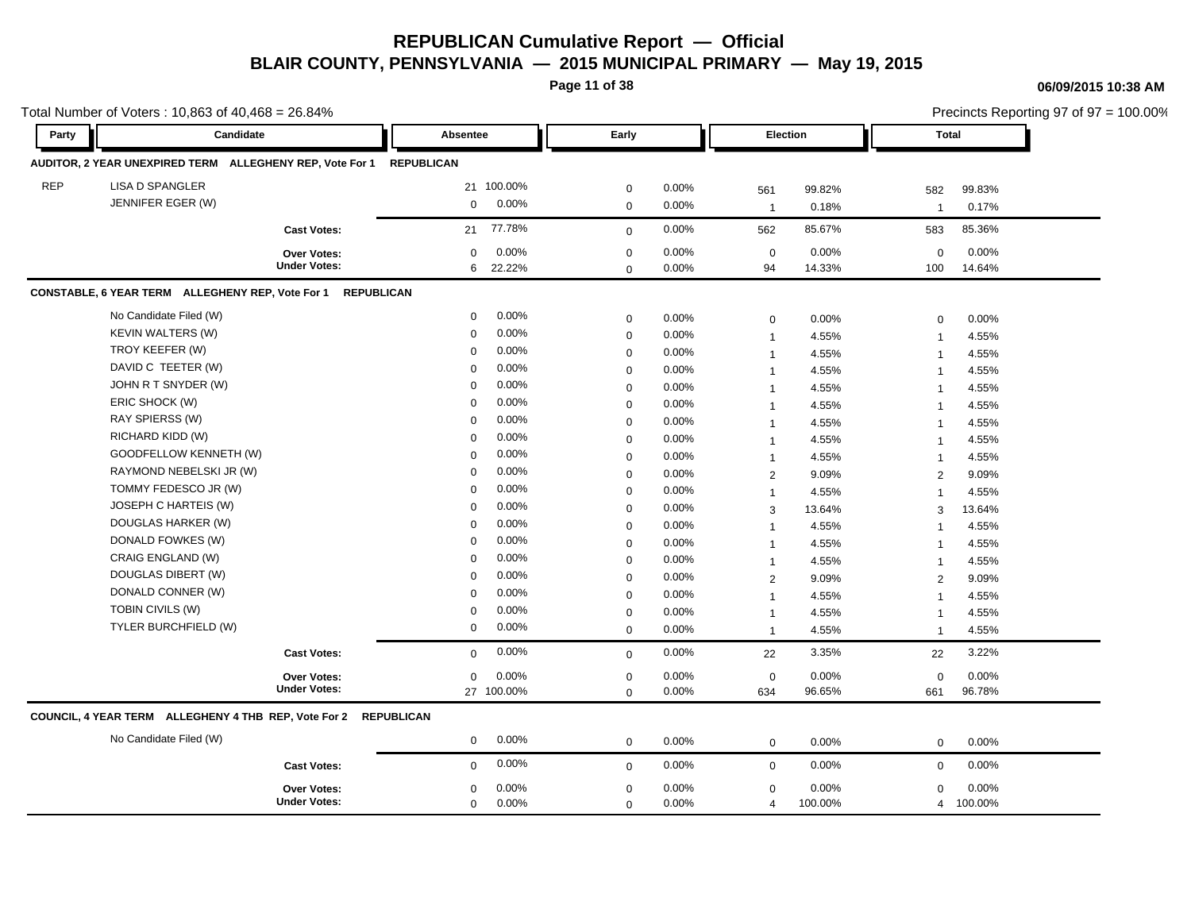**Page 11 of 38**

|            | Total Number of Voters: 10,863 of 40,468 = 26.84%                   |                     |             |        |             |          |                |         | Precincts Reporting 97 of 97 = 100.00% |         |  |
|------------|---------------------------------------------------------------------|---------------------|-------------|--------|-------------|----------|----------------|---------|----------------------------------------|---------|--|
| Party      | Candidate                                                           |                     | Absentee    |        | Early       |          | Election       |         | <b>Total</b>                           |         |  |
|            | AUDITOR, 2 YEAR UNEXPIRED TERM ALLEGHENY REP, Vote For 1 REPUBLICAN |                     |             |        |             |          |                |         |                                        |         |  |
| <b>REP</b> | <b>LISA D SPANGLER</b>                                              |                     | 21 100.00%  |        | $\mathbf 0$ | 0.00%    | 561            | 99.82%  | 582                                    | 99.83%  |  |
|            | JENNIFER EGER (W)                                                   |                     | $\mathbf 0$ | 0.00%  | $\mathbf 0$ | 0.00%    | $\overline{1}$ | 0.18%   | $\overline{1}$                         | 0.17%   |  |
|            |                                                                     | <b>Cast Votes:</b>  | 21          | 77.78% | $\mathbf 0$ | 0.00%    | 562            | 85.67%  | 583                                    | 85.36%  |  |
|            |                                                                     | Over Votes:         | $\mathbf 0$ | 0.00%  | $\mathbf 0$ | 0.00%    | $\mathbf 0$    | 0.00%   | $\mathbf 0$                            | 0.00%   |  |
|            |                                                                     | <b>Under Votes:</b> | 6           | 22.22% | $\mathbf 0$ | $0.00\%$ | 94             | 14.33%  | 100                                    | 14.64%  |  |
|            | CONSTABLE, 6 YEAR TERM ALLEGHENY REP, Vote For 1                    | <b>REPUBLICAN</b>   |             |        |             |          |                |         |                                        |         |  |
|            | No Candidate Filed (W)                                              |                     | $\mathbf 0$ | 0.00%  | $\mathbf 0$ | 0.00%    | $\mathbf 0$    | 0.00%   | $\mathbf 0$                            | 0.00%   |  |
|            | KEVIN WALTERS (W)                                                   |                     | $\mathbf 0$ | 0.00%  | $\mathbf 0$ | 0.00%    | $\mathbf{1}$   | 4.55%   | $\overline{1}$                         | 4.55%   |  |
|            | TROY KEEFER (W)                                                     |                     | $\mathbf 0$ | 0.00%  | $\pmb{0}$   | 0.00%    | $\overline{1}$ | 4.55%   | $\overline{1}$                         | 4.55%   |  |
|            | DAVID C TEETER (W)                                                  |                     | $\mathbf 0$ | 0.00%  | $\mathbf 0$ | 0.00%    | $\overline{1}$ | 4.55%   | $\overline{1}$                         | 4.55%   |  |
|            | JOHN R T SNYDER (W)                                                 |                     | $\mathbf 0$ | 0.00%  | $\mathbf 0$ | 0.00%    | $\mathbf{1}$   | 4.55%   | $\overline{1}$                         | 4.55%   |  |
|            | ERIC SHOCK (W)                                                      |                     | $\Omega$    | 0.00%  | $\mathbf 0$ | 0.00%    | $\mathbf{1}$   | 4.55%   | $\overline{1}$                         | 4.55%   |  |
|            | RAY SPIERSS (W)                                                     |                     | $\mathbf 0$ | 0.00%  | $\mathbf 0$ | 0.00%    | $\overline{1}$ | 4.55%   | $\overline{1}$                         | 4.55%   |  |
|            | RICHARD KIDD (W)                                                    |                     | $\mathbf 0$ | 0.00%  | $\mathbf 0$ | 0.00%    | $\overline{1}$ | 4.55%   | $\overline{1}$                         | 4.55%   |  |
|            | GOODFELLOW KENNETH (W)                                              |                     | $\mathbf 0$ | 0.00%  | $\mathbf 0$ | 0.00%    | $\overline{1}$ | 4.55%   | $\mathbf 1$                            | 4.55%   |  |
|            | RAYMOND NEBELSKI JR (W)                                             |                     | $\Omega$    | 0.00%  | $\mathbf 0$ | 0.00%    | $\overline{2}$ | 9.09%   | $\overline{2}$                         | 9.09%   |  |
|            | TOMMY FEDESCO JR (W)                                                |                     | $\Omega$    | 0.00%  | $\mathbf 0$ | 0.00%    | $\mathbf{1}$   | 4.55%   |                                        | 4.55%   |  |
|            | JOSEPH C HARTEIS (W)                                                |                     | $\Omega$    | 0.00%  | $\mathbf 0$ | 0.00%    | 3              | 13.64%  | 3                                      | 13.64%  |  |
|            | DOUGLAS HARKER (W)                                                  |                     | $\mathbf 0$ | 0.00%  | $\mathbf 0$ | 0.00%    | -1             | 4.55%   | $\overline{\mathbf{1}}$                | 4.55%   |  |
|            | DONALD FOWKES (W)                                                   |                     | 0           | 0.00%  | $\pmb{0}$   | 0.00%    | $\mathbf{1}$   | 4.55%   | 1                                      | 4.55%   |  |
|            | CRAIG ENGLAND (W)                                                   |                     | $\mathbf 0$ | 0.00%  | $\mathbf 0$ | 0.00%    | $\overline{1}$ | 4.55%   | $\mathbf 1$                            | 4.55%   |  |
|            | DOUGLAS DIBERT (W)                                                  |                     | $\Omega$    | 0.00%  | $\mathbf 0$ | 0.00%    | 2              | 9.09%   | 2                                      | 9.09%   |  |
|            | DONALD CONNER (W)                                                   |                     | $\Omega$    | 0.00%  | $\mathbf 0$ | 0.00%    | $\mathbf{1}$   | 4.55%   | $\overline{\phantom{a}}$               | 4.55%   |  |
|            | TOBIN CIVILS (W)                                                    |                     | $\mathbf 0$ | 0.00%  | $\mathbf 0$ | 0.00%    | $\overline{1}$ | 4.55%   | $\overline{1}$                         | 4.55%   |  |
|            | TYLER BURCHFIELD (W)                                                |                     | 0           | 0.00%  | $\mathbf 0$ | 0.00%    | $\overline{1}$ | 4.55%   | $\overline{1}$                         | 4.55%   |  |
|            |                                                                     | <b>Cast Votes:</b>  | $\Omega$    | 0.00%  | $\mathbf 0$ | 0.00%    | 22             | 3.35%   | 22                                     | 3.22%   |  |
|            |                                                                     | Over Votes:         | $\mathbf 0$ | 0.00%  | $\mathbf 0$ | 0.00%    | $\mathbf 0$    | 0.00%   | $\mathbf 0$                            | 0.00%   |  |
|            |                                                                     | <b>Under Votes:</b> | 27 100.00%  |        | $\mathbf 0$ | 0.00%    | 634            | 96.65%  | 661                                    | 96.78%  |  |
|            | COUNCIL, 4 YEAR TERM ALLEGHENY 4 THB REP, Vote For 2 REPUBLICAN     |                     |             |        |             |          |                |         |                                        |         |  |
|            | No Candidate Filed (W)                                              |                     | $\mathbf 0$ | 0.00%  | $\mathbf 0$ | 0.00%    | $\mathbf 0$    | 0.00%   | $\mathbf 0$                            | 0.00%   |  |
|            |                                                                     | <b>Cast Votes:</b>  | $\mathbf 0$ | 0.00%  | $\mathbf 0$ | 0.00%    | $\mathbf 0$    | 0.00%   | $\mathbf 0$                            | 0.00%   |  |
|            |                                                                     | <b>Over Votes:</b>  | 0           | 0.00%  | $\mathbf 0$ | 0.00%    | $\mathbf 0$    | 0.00%   | $\Omega$                               | 0.00%   |  |
|            |                                                                     | <b>Under Votes:</b> | $\mathbf 0$ | 0.00%  | $\mathbf 0$ | 0.00%    | 4              | 100.00% | $\overline{4}$                         | 100.00% |  |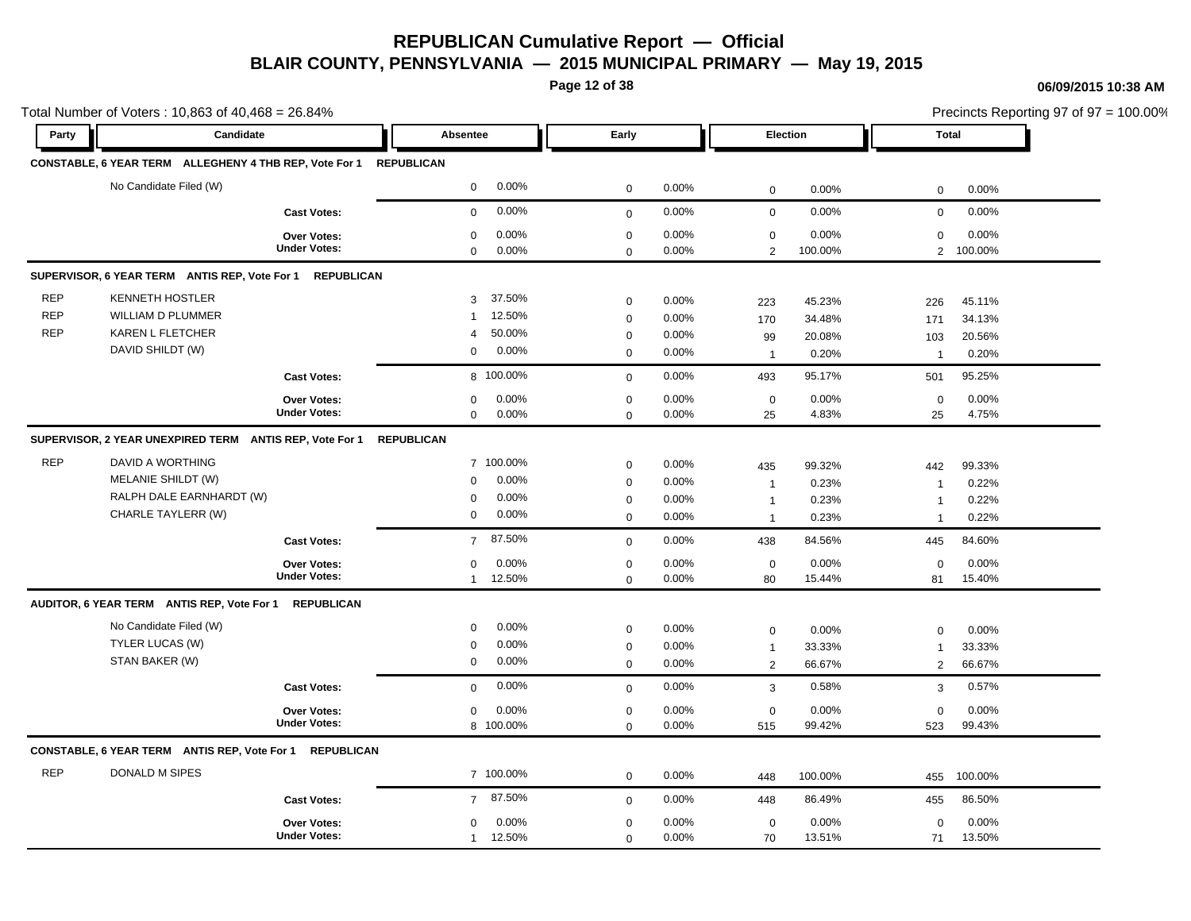**Page 12 of 38**

#### **06/09/2015 10:38 AM**

|            | Total Number of Voters: 10,863 of 40,468 = 26.84%       |                                           |                                    |                         |                |                               |                  | Precincts Reporting 97 of 97 = 100.00% |                  |  |
|------------|---------------------------------------------------------|-------------------------------------------|------------------------------------|-------------------------|----------------|-------------------------------|------------------|----------------------------------------|------------------|--|
| Party      | Candidate                                               |                                           | Absentee                           | Early                   |                | Election                      |                  |                                        | <b>Total</b>     |  |
|            | CONSTABLE, 6 YEAR TERM ALLEGHENY 4 THB REP, Vote For 1  |                                           | <b>REPUBLICAN</b>                  |                         |                |                               |                  |                                        |                  |  |
|            | No Candidate Filed (W)                                  |                                           | 0.00%<br>0                         | $\mathbf 0$             | 0.00%          | $\mathbf 0$                   | 0.00%            | $\mathbf 0$                            | 0.00%            |  |
|            |                                                         | <b>Cast Votes:</b>                        | 0.00%<br>$\mathbf 0$               | $\mathbf 0$             | 0.00%          | $\mathbf 0$                   | 0.00%            | $\mathbf 0$                            | 0.00%            |  |
|            |                                                         | <b>Over Votes:</b><br><b>Under Votes:</b> | 0.00%<br>0<br>0.00%<br>$\mathbf 0$ | $\mathbf 0$<br>$\Omega$ | 0.00%<br>0.00% | $\mathbf 0$<br>$\overline{2}$ | 0.00%<br>100.00% | $\mathbf 0$<br>$\overline{2}$          | 0.00%<br>100.00% |  |
|            | SUPERVISOR, 6 YEAR TERM ANTIS REP, Vote For 1           | <b>REPUBLICAN</b>                         |                                    |                         |                |                               |                  |                                        |                  |  |
| <b>REP</b> | <b>KENNETH HOSTLER</b>                                  |                                           | 37.50%<br>3                        | $\mathbf 0$             | 0.00%          | 223                           | 45.23%           | 226                                    | 45.11%           |  |
| <b>REP</b> | <b>WILLIAM D PLUMMER</b>                                |                                           | 12.50%<br>$\mathbf{1}$             | $\mathbf 0$             | 0.00%          | 170                           | 34.48%           | 171                                    | 34.13%           |  |
| <b>REP</b> | KAREN L FLETCHER                                        |                                           | 50.00%<br>4                        | $\mathbf 0$             | 0.00%          | 99                            | 20.08%           | 103                                    | 20.56%           |  |
|            | DAVID SHILDT (W)                                        |                                           | 0.00%<br>$\mathbf 0$               | $\mathbf 0$             | 0.00%          | $\mathbf{1}$                  | 0.20%            | $\overline{1}$                         | 0.20%            |  |
|            |                                                         | <b>Cast Votes:</b>                        | 8 100.00%                          | $\mathbf 0$             | 0.00%          | 493                           | 95.17%           | 501                                    | 95.25%           |  |
|            |                                                         | Over Votes:                               | 0.00%<br>$\mathbf 0$               | $\mathbf 0$             | 0.00%          | $\mathbf 0$                   | 0.00%            | $\mathbf 0$                            | 0.00%            |  |
|            |                                                         | <b>Under Votes:</b>                       | 0.00%<br>$\mathbf 0$               | $\mathbf 0$             | 0.00%          | 25                            | 4.83%            | 25                                     | 4.75%            |  |
|            | SUPERVISOR, 2 YEAR UNEXPIRED TERM ANTIS REP, Vote For 1 |                                           | <b>REPUBLICAN</b>                  |                         |                |                               |                  |                                        |                  |  |
| <b>REP</b> | DAVID A WORTHING                                        |                                           | 7 100.00%                          | $\boldsymbol{0}$        | 0.00%          | 435                           | 99.32%           | 442                                    | 99.33%           |  |
|            | MELANIE SHILDT (W)                                      |                                           | 0.00%<br>$\mathbf 0$               | $\mathbf 0$             | 0.00%          | $\mathbf{1}$                  | 0.23%            | $\overline{1}$                         | 0.22%            |  |
|            | RALPH DALE EARNHARDT (W)                                |                                           | 0.00%<br>$\mathbf 0$               | $\mathbf 0$             | 0.00%          | $\mathbf{1}$                  | 0.23%            | $\mathbf 1$                            | 0.22%            |  |
|            | CHARLE TAYLERR (W)                                      |                                           | 0.00%<br>$\mathbf 0$               | $\mathbf 0$             | 0.00%          | $\mathbf{1}$                  | 0.23%            | $\overline{1}$                         | 0.22%            |  |
|            |                                                         | <b>Cast Votes:</b>                        | 87.50%<br>$\overline{7}$           | $\mathbf 0$             | 0.00%          | 438                           | 84.56%           | 445                                    | 84.60%           |  |
|            |                                                         | Over Votes:                               | 0<br>0.00%                         | $\mathbf 0$             | 0.00%          | $\mathbf 0$                   | 0.00%            | $\mathbf 0$                            | 0.00%            |  |
|            |                                                         | <b>Under Votes:</b>                       | $\mathbf{1}$<br>12.50%             | $\mathbf 0$             | 0.00%          | 80                            | 15.44%           | 81                                     | 15.40%           |  |
|            | AUDITOR, 6 YEAR TERM ANTIS REP, Vote For 1              | <b>REPUBLICAN</b>                         |                                    |                         |                |                               |                  |                                        |                  |  |
|            | No Candidate Filed (W)                                  |                                           | 0.00%<br>$\mathbf 0$               | $\mathbf 0$             | 0.00%          | $\pmb{0}$                     | 0.00%            | $\mathbf 0$                            | 0.00%            |  |
|            | TYLER LUCAS (W)                                         |                                           | 0.00%<br>0                         | $\mathbf 0$             | $0.00\%$       | $\mathbf{1}$                  | 33.33%           | $\overline{1}$                         | 33.33%           |  |
|            | STAN BAKER (W)                                          |                                           | 0.00%<br>0                         | $\mathbf 0$             | 0.00%          | $\overline{2}$                | 66.67%           | 2                                      | 66.67%           |  |
|            |                                                         | <b>Cast Votes:</b>                        | 0.00%<br>$\mathbf 0$               | $\mathbf 0$             | 0.00%          | 3                             | 0.58%            | 3                                      | 0.57%            |  |
|            |                                                         | Over Votes:                               | 0.00%<br>$\mathbf 0$               | $\mathbf 0$             | 0.00%          | $\mathbf 0$                   | 0.00%            | $\mathbf 0$                            | 0.00%            |  |
|            |                                                         | <b>Under Votes:</b>                       | 8 100.00%                          | $\mathbf 0$             | 0.00%          | 515                           | 99.42%           | 523                                    | 99.43%           |  |
|            | CONSTABLE, 6 YEAR TERM ANTIS REP, Vote For 1            | <b>REPUBLICAN</b>                         |                                    |                         |                |                               |                  |                                        |                  |  |
| <b>REP</b> | DONALD M SIPES                                          |                                           | 7 100.00%                          | $\mathbf 0$             | 0.00%          | 448                           | 100.00%          | 455                                    | 100.00%          |  |
|            |                                                         | <b>Cast Votes:</b>                        | 87.50%<br>$\overline{7}$           | $\mathbf 0$             | 0.00%          | 448                           | 86.49%           | 455                                    | 86.50%           |  |
|            |                                                         | Over Votes:                               | 0.00%<br>0                         | 0                       | 0.00%          | $\mathbf 0$                   | 0.00%            | 0                                      | 0.00%            |  |
|            |                                                         | <b>Under Votes:</b>                       | 1 12.50%                           | $\mathbf 0$             | 0.00%          | 70                            | 13.51%           | 71                                     | 13.50%           |  |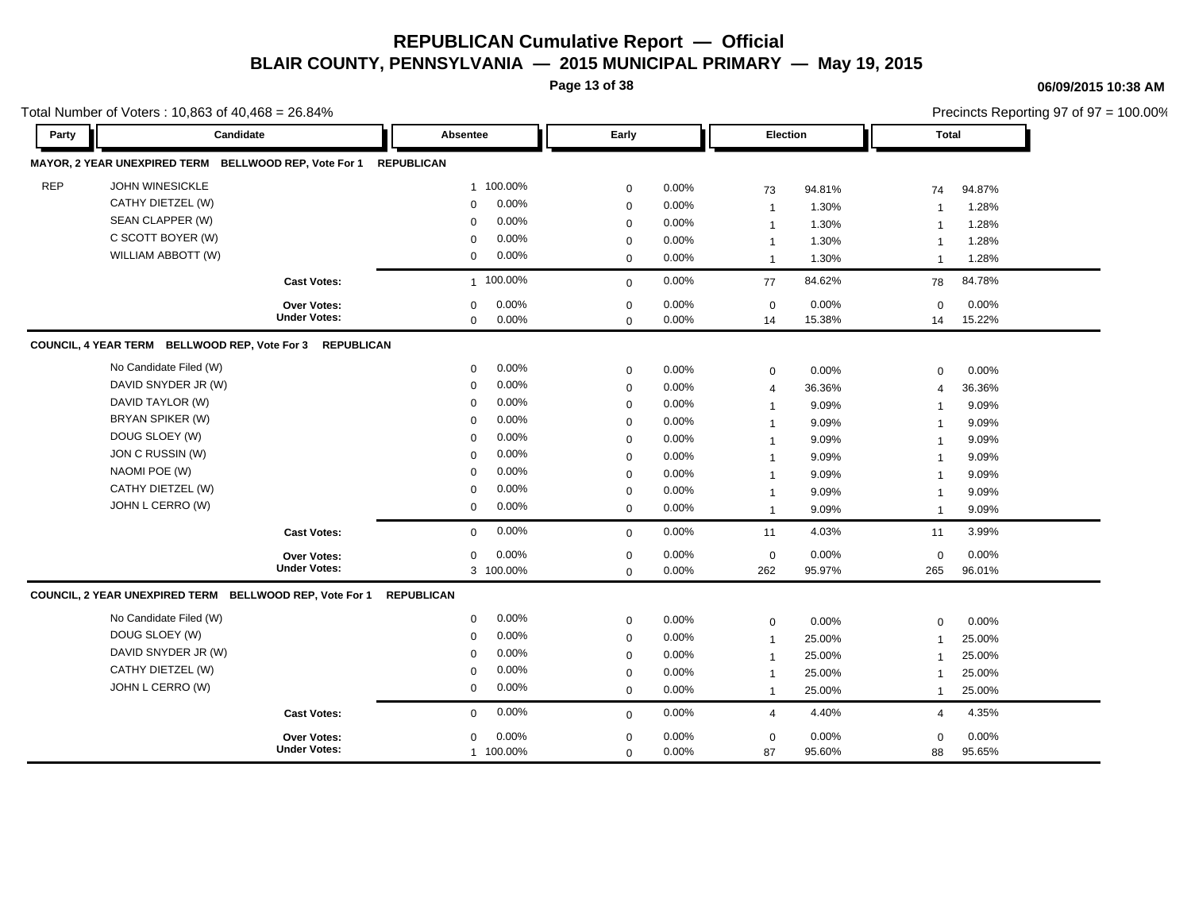**Page 13 of 38**

#### **06/09/2015 10:38 AM**

|                | Total Number of Voters: 10,863 of 40,468 = 26.84%        |                         |             |       |                |        |                         | Precincts Reporting 97 of 97 = 100.00% |
|----------------|----------------------------------------------------------|-------------------------|-------------|-------|----------------|--------|-------------------------|----------------------------------------|
| Party          | Candidate                                                | Absentee                | Early       |       | Election       |        | Total                   |                                        |
|                | MAYOR, 2 YEAR UNEXPIRED TERM BELLWOOD REP, Vote For 1    | <b>REPUBLICAN</b>       |             |       |                |        |                         |                                        |
| <b>REP</b>     | <b>JOHN WINESICKLE</b>                                   | 1 100.00%               | $\mathbf 0$ | 0.00% | 73             | 94.81% | 74                      | 94.87%                                 |
|                | CATHY DIETZEL (W)                                        | 0.00%<br>0              | $\mathbf 0$ | 0.00% | $\mathbf{1}$   | 1.30%  | $\overline{1}$          | 1.28%                                  |
|                | SEAN CLAPPER (W)                                         | 0.00%<br>$\mathbf 0$    | $\mathbf 0$ | 0.00% | $\mathbf{1}$   | 1.30%  | $\overline{1}$          | 1.28%                                  |
|                | C SCOTT BOYER (W)                                        | 0.00%<br>$\mathbf 0$    | $\mathbf 0$ | 0.00% | $\mathbf{1}$   | 1.30%  | $\mathbf 1$             | 1.28%                                  |
|                | WILLIAM ABBOTT (W)                                       | 0.00%<br>0              | $\mathbf 0$ | 0.00% | $\mathbf{1}$   | 1.30%  | $\overline{1}$          | 1.28%                                  |
|                | <b>Cast Votes:</b>                                       | 100.00%<br>$\mathbf{1}$ | $\mathbf 0$ | 0.00% | 77             | 84.62% | 78                      | 84.78%                                 |
|                | Over Votes:                                              | 0.00%<br>0              | $\mathbf 0$ | 0.00% | $\mathbf 0$    | 0.00%  | $\mathbf 0$             | 0.00%                                  |
|                | <b>Under Votes:</b>                                      | $0.00\%$<br>$\mathbf 0$ | $\mathbf 0$ | 0.00% | 14             | 15.38% | 14                      | 15.22%                                 |
|                | COUNCIL, 4 YEAR TERM BELLWOOD REP, Vote For 3 REPUBLICAN |                         |             |       |                |        |                         |                                        |
|                | No Candidate Filed (W)                                   | 0.00%<br>$\mathbf 0$    | $\mathbf 0$ | 0.00% | $\mathbf 0$    | 0.00%  | $\mathbf 0$             | 0.00%                                  |
|                | DAVID SNYDER JR (W)                                      | 0.00%<br>$\mathbf 0$    | $\mathbf 0$ | 0.00% | $\overline{4}$ | 36.36% | $\overline{4}$          | 36.36%                                 |
|                | DAVID TAYLOR (W)                                         | 0.00%<br>$\mathbf 0$    | $\mathbf 0$ | 0.00% | $\mathbf{1}$   | 9.09%  | $\mathbf 1$             | 9.09%                                  |
|                | BRYAN SPIKER (W)                                         | 0.00%<br>$\mathbf 0$    | $\mathbf 0$ | 0.00% | $\mathbf{1}$   | 9.09%  | -1                      | 9.09%                                  |
| DOUG SLOEY (W) |                                                          | 0.00%<br>$\mathbf 0$    | $\mathbf 0$ | 0.00% | $\mathbf{1}$   | 9.09%  | $\overline{\mathbf{1}}$ | 9.09%                                  |
|                | JON C RUSSIN (W)                                         | 0.00%<br>$\Omega$       | $\mathbf 0$ | 0.00% | $\mathbf{1}$   | 9.09%  | $\mathbf 1$             | 9.09%                                  |
| NAOMI POE (W)  |                                                          | 0.00%<br>$\Omega$       | $\mathbf 0$ | 0.00% | $\mathbf{1}$   | 9.09%  | -1                      | 9.09%                                  |
|                | CATHY DIETZEL (W)                                        | 0.00%<br>$\mathbf 0$    | $\mathbf 0$ | 0.00% | $\mathbf{1}$   | 9.09%  | $\mathbf 1$             | 9.09%                                  |
|                | JOHN L CERRO (W)                                         | 0.00%<br>$\mathbf 0$    | $\mathbf 0$ | 0.00% | $\mathbf{1}$   | 9.09%  | $\overline{1}$          | 9.09%                                  |
|                | <b>Cast Votes:</b>                                       | $0.00\%$<br>$\mathbf 0$ | $\mathbf 0$ | 0.00% | 11             | 4.03%  | 11                      | 3.99%                                  |
|                | Over Votes:                                              | 0.00%<br>0              | $\mathbf 0$ | 0.00% | $\mathbf 0$    | 0.00%  | $\mathbf 0$             | 0.00%                                  |
|                | <b>Under Votes:</b>                                      | 3 100.00%               | $\mathbf 0$ | 0.00% | 262            | 95.97% | 265                     | 96.01%                                 |
|                | COUNCIL, 2 YEAR UNEXPIRED TERM BELLWOOD REP, Vote For 1  | <b>REPUBLICAN</b>       |             |       |                |        |                         |                                        |
|                | No Candidate Filed (W)                                   | 0.00%<br>$\mathbf 0$    | $\mathbf 0$ | 0.00% | $\mathbf 0$    | 0.00%  | $\mathbf 0$             | 0.00%                                  |
| DOUG SLOEY (W) |                                                          | $0.00\%$<br>$\mathbf 0$ | $\mathbf 0$ | 0.00% | $\mathbf{1}$   | 25.00% | $\overline{1}$          | 25.00%                                 |
|                | DAVID SNYDER JR (W)                                      | 0.00%<br>$\mathbf 0$    | $\mathbf 0$ | 0.00% | $\mathbf{1}$   | 25.00% | -1                      | 25.00%                                 |
|                | CATHY DIETZEL (W)                                        | 0.00%<br>$\mathbf 0$    | $\mathbf 0$ | 0.00% | $\mathbf{1}$   | 25.00% | -1                      | 25.00%                                 |
|                | JOHN L CERRO (W)                                         | $0.00\%$<br>$\mathbf 0$ | $\mathbf 0$ | 0.00% | $\mathbf{1}$   | 25.00% | $\mathbf 1$             | 25.00%                                 |
|                | <b>Cast Votes:</b>                                       | 0.00%<br>$\mathbf 0$    | $\mathbf 0$ | 0.00% | $\overline{4}$ | 4.40%  | $\overline{4}$          | 4.35%                                  |
|                | <b>Over Votes:</b>                                       | $0.00\%$<br>0           | $\mathbf 0$ | 0.00% | $\mathbf 0$    | 0.00%  | $\mathbf 0$             | 0.00%                                  |
|                | <b>Under Votes:</b>                                      | 1 100.00%               | $\mathbf 0$ | 0.00% | 87             | 95.60% | 88                      | 95.65%                                 |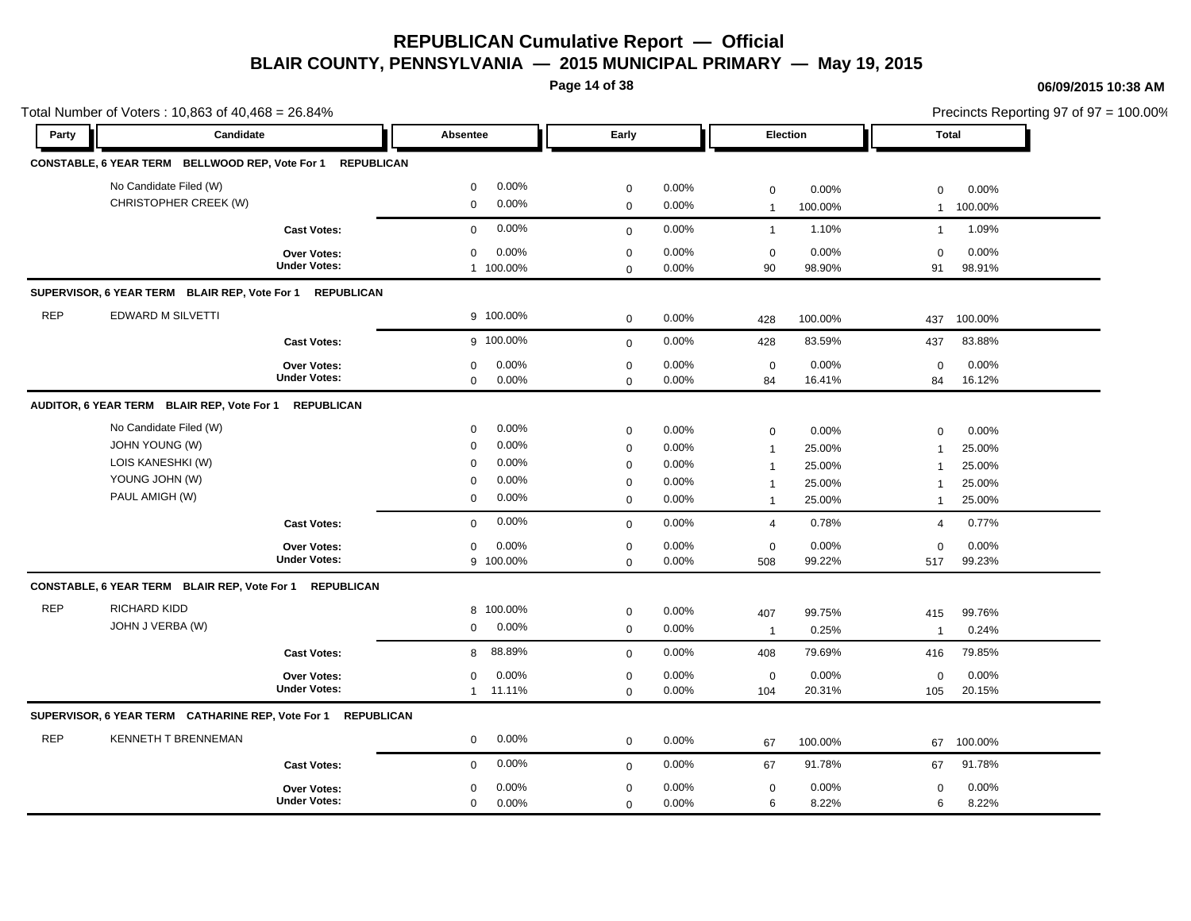**Page 14 of 38**

### **06/09/2015 10:38 AM**

 $= 100.00\%$ 

|            | Total Number of Voters: 10,863 of 40,468 = 26.84%            |                     |                       |              |       |                |         | Precincts Reporting 97 of 97 = 100.00% |         |  |
|------------|--------------------------------------------------------------|---------------------|-----------------------|--------------|-------|----------------|---------|----------------------------------------|---------|--|
| Party      | Candidate                                                    |                     | Absentee              | Early        |       | Election       |         | <b>Total</b>                           |         |  |
|            | CONSTABLE, 6 YEAR TERM BELLWOOD REP, Vote For 1 REPUBLICAN   |                     |                       |              |       |                |         |                                        |         |  |
|            | No Candidate Filed (W)                                       |                     | 0.00%<br>$\mathbf 0$  | $\mathbf 0$  | 0.00% | $\mathbf 0$    | 0.00%   | 0                                      | 0.00%   |  |
|            | CHRISTOPHER CREEK (W)                                        |                     | 0.00%<br>$\mathbf 0$  | $\mathbf 0$  | 0.00% | $\overline{1}$ | 100.00% | $\mathbf{1}$                           | 100.00% |  |
|            |                                                              | <b>Cast Votes:</b>  | 0.00%<br>$\mathbf{0}$ | $\mathbf{0}$ | 0.00% | $\overline{1}$ | 1.10%   | $\mathbf{1}$                           | 1.09%   |  |
|            |                                                              | Over Votes:         | 0.00%<br>$\mathbf 0$  | $\mathbf 0$  | 0.00% | $\mathbf 0$    | 0.00%   | $\mathbf 0$                            | 0.00%   |  |
|            |                                                              | <b>Under Votes:</b> | 1 100.00%             | $\mathbf 0$  | 0.00% | 90             | 98.90%  | 91                                     | 98.91%  |  |
|            | SUPERVISOR, 6 YEAR TERM BLAIR REP, Vote For 1 REPUBLICAN     |                     |                       |              |       |                |         |                                        |         |  |
| <b>REP</b> | EDWARD M SILVETTI                                            |                     | 9 100.00%             | $\mathbf 0$  | 0.00% | 428            | 100.00% | 437                                    | 100.00% |  |
|            |                                                              | <b>Cast Votes:</b>  | g 100.00%             | $\mathbf{0}$ | 0.00% | 428            | 83.59%  | 437                                    | 83.88%  |  |
|            |                                                              | Over Votes:         | 0.00%<br>$\mathbf 0$  | $\mathbf 0$  | 0.00% | $\mathbf 0$    | 0.00%   | $\mathbf 0$                            | 0.00%   |  |
|            |                                                              | <b>Under Votes:</b> | 0.00%<br>$\mathbf 0$  | $\mathbf 0$  | 0.00% | 84             | 16.41%  | 84                                     | 16.12%  |  |
|            | AUDITOR, 6 YEAR TERM BLAIR REP, Vote For 1                   | <b>REPUBLICAN</b>   |                       |              |       |                |         |                                        |         |  |
|            | No Candidate Filed (W)                                       |                     | 0.00%<br>$\mathbf 0$  | $\mathbf 0$  | 0.00% | $\mathbf 0$    | 0.00%   | $\Omega$                               | 0.00%   |  |
|            | <b>JOHN YOUNG (W)</b>                                        |                     | 0.00%<br>$\mathbf 0$  | $\pmb{0}$    | 0.00% | $\overline{1}$ | 25.00%  | $\overline{1}$                         | 25.00%  |  |
|            | LOIS KANESHKI (W)                                            |                     | 0.00%<br>$\Omega$     | $\mathbf 0$  | 0.00% | -1             | 25.00%  | -1                                     | 25.00%  |  |
|            | YOUNG JOHN (W)                                               |                     | 0.00%<br>$\Omega$     | $\mathbf 0$  | 0.00% | -1             | 25.00%  | 1                                      | 25.00%  |  |
|            | PAUL AMIGH (W)                                               |                     | 0.00%<br>$\mathbf 0$  | $\mathbf 0$  | 0.00% | $\overline{1}$ | 25.00%  | $\mathbf{1}$                           | 25.00%  |  |
|            |                                                              | <b>Cast Votes:</b>  | 0.00%<br>$\mathbf 0$  | $\mathbf{0}$ | 0.00% | $\overline{4}$ | 0.78%   | $\overline{4}$                         | 0.77%   |  |
|            |                                                              | <b>Over Votes:</b>  | 0.00%<br>$\mathbf 0$  | $\mathbf 0$  | 0.00% | $\mathbf 0$    | 0.00%   | $\mathbf 0$                            | 0.00%   |  |
|            |                                                              | <b>Under Votes:</b> | 9 100.00%             | $\mathbf 0$  | 0.00% | 508            | 99.22%  | 517                                    | 99.23%  |  |
|            | CONSTABLE, 6 YEAR TERM BLAIR REP, Vote For 1 REPUBLICAN      |                     |                       |              |       |                |         |                                        |         |  |
| <b>REP</b> | RICHARD KIDD                                                 |                     | 8 100.00%             | $\mathbf 0$  | 0.00% | 407            | 99.75%  | 415                                    | 99.76%  |  |
|            | JOHN J VERBA (W)                                             |                     | 0.00%<br>$\mathbf 0$  | $\pmb{0}$    | 0.00% | $\overline{1}$ | 0.25%   | $\overline{1}$                         | 0.24%   |  |
|            |                                                              | <b>Cast Votes:</b>  | 88.89%<br>8           | $\mathbf 0$  | 0.00% | 408            | 79.69%  | 416                                    | 79.85%  |  |
|            |                                                              | Over Votes:         | 0.00%<br>0            | $\mathbf 0$  | 0.00% | $\mathbf 0$    | 0.00%   | 0                                      | 0.00%   |  |
|            |                                                              | <b>Under Votes:</b> | 1 11.11%              | $\mathbf 0$  | 0.00% | 104            | 20.31%  | 105                                    | 20.15%  |  |
|            | SUPERVISOR, 6 YEAR TERM CATHARINE REP, Vote For 1 REPUBLICAN |                     |                       |              |       |                |         |                                        |         |  |
| <b>REP</b> | <b>KENNETH T BRENNEMAN</b>                                   |                     | 0.00%<br>$\mathbf 0$  | $\mathbf 0$  | 0.00% | 67             | 100.00% | 67                                     | 100.00% |  |
|            |                                                              | <b>Cast Votes:</b>  | 0.00%<br>$\mathbf 0$  | $\mathbf 0$  | 0.00% | 67             | 91.78%  | 67                                     | 91.78%  |  |
|            |                                                              | Over Votes:         | 0.00%<br>$\mathbf 0$  | $\mathbf 0$  | 0.00% | $\mathbf 0$    | 0.00%   | $\mathbf 0$                            | 0.00%   |  |
|            |                                                              | <b>Under Votes:</b> | $\mathbf 0$<br>0.00%  | $\mathbf 0$  | 0.00% | 6              | 8.22%   | 6                                      | 8.22%   |  |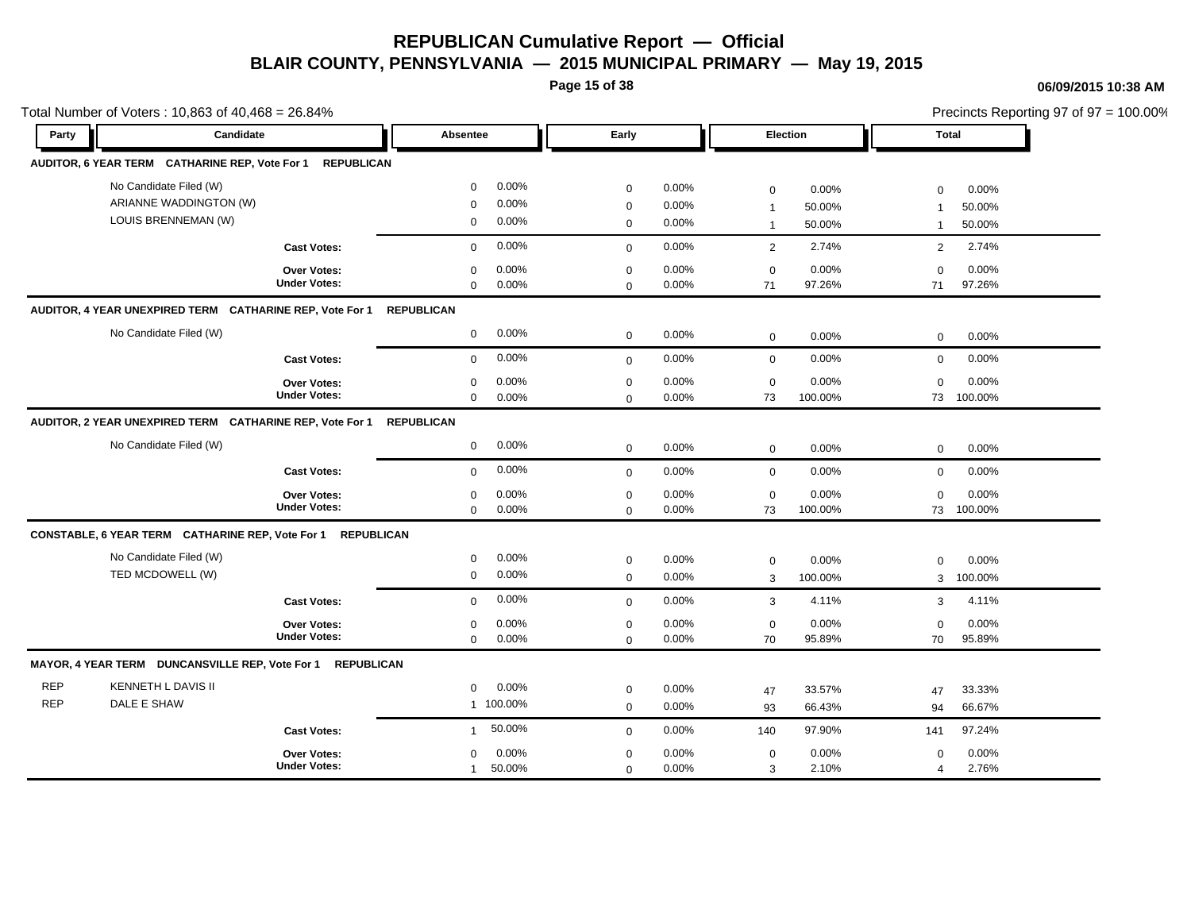**Page 15 of 38**

### **06/09/2015 10:38 AM**

|            | Total Number of Voters: 10,863 of 40,468 = 26.84%                   |                     |                        |              |       |                |         |                | Precincts Reporting 97 of 97 = 100.00% |
|------------|---------------------------------------------------------------------|---------------------|------------------------|--------------|-------|----------------|---------|----------------|----------------------------------------|
| Party      | Candidate                                                           |                     | Absentee               | Early        |       | Election       |         | <b>Total</b>   |                                        |
|            | AUDITOR, 6 YEAR TERM CATHARINE REP, Vote For 1 REPUBLICAN           |                     |                        |              |       |                |         |                |                                        |
|            | No Candidate Filed (W)                                              |                     | 0.00%<br>$\mathbf 0$   | $\mathbf 0$  | 0.00% | $\mathbf 0$    | 0.00%   | $\mathbf 0$    | 0.00%                                  |
|            | ARIANNE WADDINGTON (W)                                              |                     | 0.00%<br>0             | $\mathbf 0$  | 0.00% | $\mathbf{1}$   | 50.00%  | $\mathbf{1}$   | 50.00%                                 |
|            | LOUIS BRENNEMAN (W)                                                 |                     | 0.00%<br>0             | $\mathbf 0$  | 0.00% | $\overline{1}$ | 50.00%  | $\mathbf{1}$   | 50.00%                                 |
|            |                                                                     | <b>Cast Votes:</b>  | 0.00%<br>$\mathbf{0}$  | $\mathbf 0$  | 0.00% | 2              | 2.74%   | 2              | 2.74%                                  |
|            |                                                                     | Over Votes:         | 0.00%<br>$\mathbf 0$   | $\mathbf 0$  | 0.00% | $\mathbf 0$    | 0.00%   | $\mathbf 0$    | 0.00%                                  |
|            |                                                                     | <b>Under Votes:</b> | $\mathbf 0$<br>0.00%   | $\mathbf 0$  | 0.00% | 71             | 97.26%  | 71             | 97.26%                                 |
|            | AUDITOR, 4 YEAR UNEXPIRED TERM CATHARINE REP, Vote For 1 REPUBLICAN |                     |                        |              |       |                |         |                |                                        |
|            | No Candidate Filed (W)                                              |                     | 0.00%<br>$\mathbf{0}$  | $\mathbf 0$  | 0.00% | $\mathbf 0$    | 0.00%   | $\mathbf 0$    | 0.00%                                  |
|            |                                                                     | <b>Cast Votes:</b>  | 0.00%<br>$\mathbf 0$   | $\mathbf 0$  | 0.00% | $\mathbf 0$    | 0.00%   | $\mathbf 0$    | 0.00%                                  |
|            |                                                                     | <b>Over Votes:</b>  | 0.00%<br>$\mathbf 0$   | $\mathbf 0$  | 0.00% | $\mathbf 0$    | 0.00%   | $\mathbf 0$    | 0.00%                                  |
|            |                                                                     | <b>Under Votes:</b> | $\mathbf 0$<br>0.00%   | $\mathbf 0$  | 0.00% | 73             | 100.00% | 73             | 100.00%                                |
|            | AUDITOR, 2 YEAR UNEXPIRED TERM CATHARINE REP, Vote For 1            |                     | <b>REPUBLICAN</b>      |              |       |                |         |                |                                        |
|            | No Candidate Filed (W)                                              |                     | 0.00%<br>$\mathbf 0$   | $\mathbf 0$  | 0.00% | $\mathbf 0$    | 0.00%   | 0              | 0.00%                                  |
|            |                                                                     | <b>Cast Votes:</b>  | 0.00%<br>$\mathbf 0$   | $\mathbf 0$  | 0.00% | $\mathbf 0$    | 0.00%   | $\mathbf 0$    | 0.00%                                  |
|            |                                                                     | <b>Over Votes:</b>  | 0.00%<br>0             | 0            | 0.00% | 0              | 0.00%   | $\mathbf 0$    | 0.00%                                  |
|            |                                                                     | <b>Under Votes:</b> | 0.00%<br>$\mathbf 0$   | $\mathbf 0$  | 0.00% | 73             | 100.00% | 73             | 100.00%                                |
|            | CONSTABLE, 6 YEAR TERM CATHARINE REP, Vote For 1 REPUBLICAN         |                     |                        |              |       |                |         |                |                                        |
|            | No Candidate Filed (W)                                              |                     | 0.00%<br>$\mathbf 0$   | $\mathbf 0$  | 0.00% | $\mathbf 0$    | 0.00%   | $\Omega$       | 0.00%                                  |
|            | TED MCDOWELL (W)                                                    |                     | 0.00%<br>$\mathbf 0$   | $\mathbf 0$  | 0.00% | 3              | 100.00% | 3              | 100.00%                                |
|            |                                                                     | <b>Cast Votes:</b>  | 0.00%<br>$\mathbf 0$   | $\mathbf{0}$ | 0.00% | 3              | 4.11%   | 3              | 4.11%                                  |
|            |                                                                     | Over Votes:         | 0.00%<br>0             | $\mathbf 0$  | 0.00% | $\mathbf 0$    | 0.00%   | $\mathbf 0$    | 0.00%                                  |
|            |                                                                     | <b>Under Votes:</b> | 0.00%<br>$\mathbf 0$   | $\mathbf 0$  | 0.00% | 70             | 95.89%  | 70             | 95.89%                                 |
|            | MAYOR, 4 YEAR TERM DUNCANSVILLE REP, Vote For 1 REPUBLICAN          |                     |                        |              |       |                |         |                |                                        |
| <b>REP</b> | KENNETH L DAVIS II                                                  |                     | 0.00%<br>$\mathbf 0$   | $\mathbf 0$  | 0.00% | 47             | 33.57%  | 47             | 33.33%                                 |
| <b>REP</b> | DALE E SHAW                                                         |                     | 1 100.00%              | $\mathbf 0$  | 0.00% | 93             | 66.43%  | 94             | 66.67%                                 |
|            |                                                                     | <b>Cast Votes:</b>  | 50.00%<br>$\mathbf{1}$ | $\mathbf 0$  | 0.00% | 140            | 97.90%  | 141            | 97.24%                                 |
|            |                                                                     | Over Votes:         | 0.00%<br>$\mathbf 0$   | $\mathbf 0$  | 0.00% | $\mathbf 0$    | 0.00%   | $\mathbf 0$    | 0.00%                                  |
|            |                                                                     | <b>Under Votes:</b> | 50.00%<br>$\mathbf{1}$ | $\Omega$     | 0.00% | 3              | 2.10%   | $\overline{4}$ | 2.76%                                  |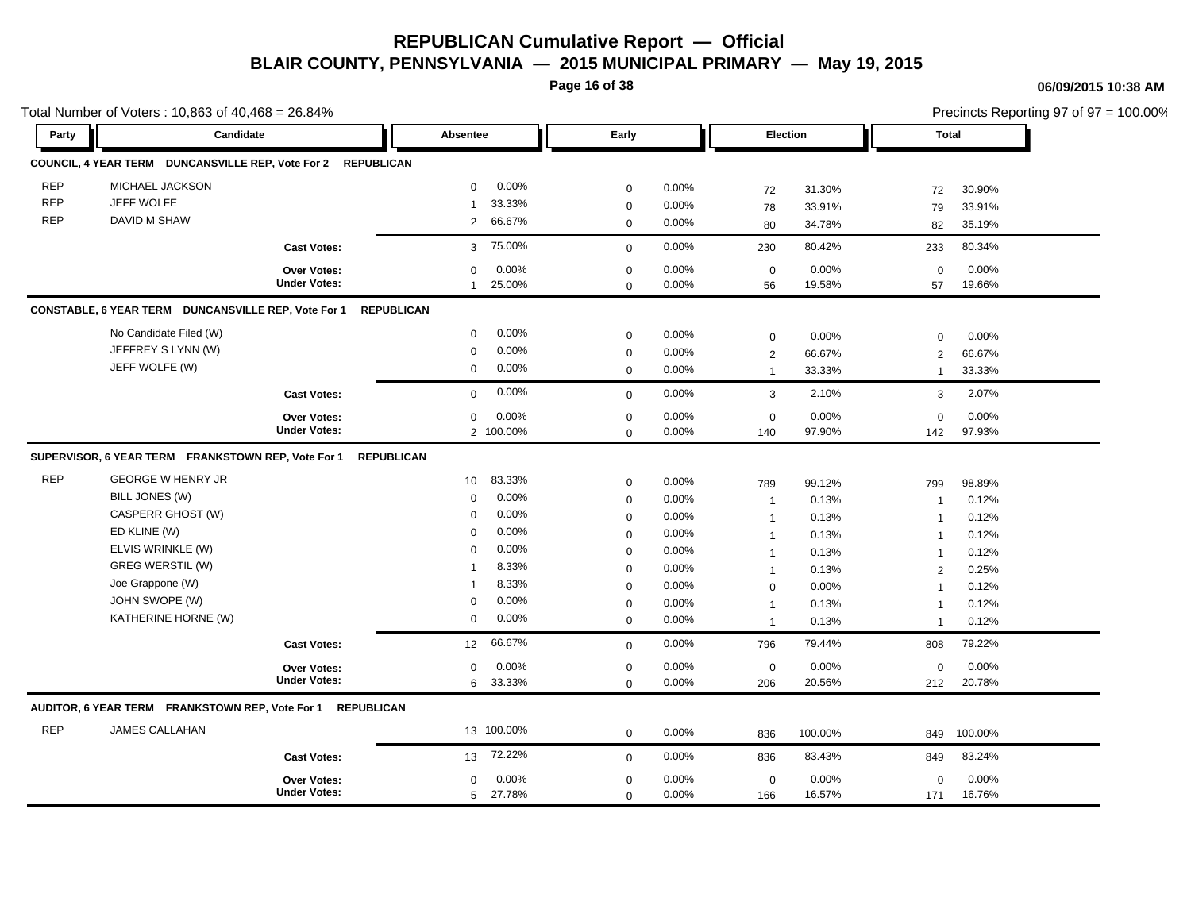**Page 16 of 38**

|            | Total Number of Voters: 10,863 of 40,468 = 26.84%            |                     |                            |                     |          |                |         |                | Precincts Reporting 97 of 97 = 100.00% |
|------------|--------------------------------------------------------------|---------------------|----------------------------|---------------------|----------|----------------|---------|----------------|----------------------------------------|
| Party      | Candidate                                                    |                     | Absentee                   | Early               |          | Election       |         | <b>Total</b>   |                                        |
|            | COUNCIL, 4 YEAR TERM DUNCANSVILLE REP, Vote For 2 REPUBLICAN |                     |                            |                     |          |                |         |                |                                        |
| <b>REP</b> | MICHAEL JACKSON                                              |                     | 0.00%<br>$\mathbf 0$       | $\mathbf 0$         | 0.00%    | 72             | 31.30%  | 72             | 30.90%                                 |
| <b>REP</b> | JEFF WOLFE                                                   |                     | 33.33%<br>$\mathbf{1}$     | $\mathbf 0$         | 0.00%    | 78             | 33.91%  | 79             | 33.91%                                 |
| <b>REP</b> | DAVID M SHAW                                                 |                     | 66.67%<br>$\overline{2}$   | $\mathbf 0$         | 0.00%    | 80             | 34.78%  | 82             | 35.19%                                 |
|            |                                                              | <b>Cast Votes:</b>  | 75.00%<br>3                | $\mathbf 0$         | 0.00%    | 230            | 80.42%  | 233            | 80.34%                                 |
|            |                                                              | Over Votes:         | 0.00%<br>$\mathbf 0$       | $\pmb{0}$           | 0.00%    | $\mathbf 0$    | 0.00%   | $\mathbf 0$    | 0.00%                                  |
|            |                                                              | <b>Under Votes:</b> | 25.00%<br>$\mathbf{1}$     | $\mathbf 0$         | 0.00%    | 56             | 19.58%  | 57             | 19.66%                                 |
|            | CONSTABLE, 6 YEAR TERM DUNCANSVILLE REP, Vote For 1          |                     | <b>REPUBLICAN</b>          |                     |          |                |         |                |                                        |
|            | No Candidate Filed (W)                                       |                     | 0.00%<br>$\mathbf 0$       | $\mathbf 0$         | 0.00%    | $\mathbf 0$    | 0.00%   | $\mathbf 0$    | 0.00%                                  |
|            | JEFFREY S LYNN (W)                                           |                     | 0.00%<br>$\mathbf 0$       | $\mathbf 0$         | 0.00%    | $\overline{2}$ | 66.67%  | 2              | 66.67%                                 |
|            | JEFF WOLFE (W)                                               |                     | 0.00%<br>$\mathbf 0$       | $\mathbf 0$         | 0.00%    | $\mathbf{1}$   | 33.33%  | $\mathbf{1}$   | 33.33%                                 |
|            |                                                              | <b>Cast Votes:</b>  | 0.00%<br>$\mathbf 0$       | $\mathbf{0}$        | 0.00%    | 3              | 2.10%   | 3              | 2.07%                                  |
|            |                                                              | <b>Over Votes:</b>  | 0.00%<br>$\mathbf 0$       | $\mathbf 0$         | 0.00%    | $\mathbf 0$    | 0.00%   | $\mathbf 0$    | 0.00%                                  |
|            |                                                              | <b>Under Votes:</b> | 2 100.00%                  | $\mathbf 0$         | 0.00%    | 140            | 97.90%  | 142            | 97.93%                                 |
|            | SUPERVISOR, 6 YEAR TERM FRANKSTOWN REP, Vote For 1           |                     | <b>REPUBLICAN</b>          |                     |          |                |         |                |                                        |
| <b>REP</b> | <b>GEORGE W HENRY JR</b>                                     |                     | 83.33%<br>10 <sup>1</sup>  | $\pmb{0}$           | 0.00%    | 789            | 99.12%  | 799            | 98.89%                                 |
|            | BILL JONES (W)                                               |                     | 0.00%<br>$\mathbf 0$       | $\mathbf 0$         | 0.00%    | $\overline{1}$ | 0.13%   | -1             | 0.12%                                  |
|            | CASPERR GHOST (W)                                            |                     | 0.00%<br>$\Omega$          | $\mathbf 0$         | 0.00%    | $\mathbf{1}$   | 0.13%   | -1             | 0.12%                                  |
|            | ED KLINE (W)                                                 |                     | 0.00%<br>$\Omega$          | $\mathbf 0$         | 0.00%    | $\mathbf{1}$   | 0.13%   | $\overline{1}$ | 0.12%                                  |
|            | ELVIS WRINKLE (W)                                            |                     | 0.00%<br>$\mathbf 0$       | $\mathbf 0$         | 0.00%    | $\mathbf{1}$   | 0.13%   | $\overline{1}$ | 0.12%                                  |
|            | <b>GREG WERSTIL (W)</b>                                      |                     | 8.33%<br>$\mathbf 1$       | $\mathbf 0$         | 0.00%    | -1             | 0.13%   | $\overline{2}$ | 0.25%                                  |
|            | Joe Grappone (W)                                             |                     | 8.33%<br>$\mathbf 1$       | $\mathbf 0$         | 0.00%    | $\mathbf 0$    | 0.00%   | $\overline{1}$ | 0.12%                                  |
|            | JOHN SWOPE (W)                                               |                     | 0.00%<br>$\mathbf 0$       | $\mathbf 0$         | 0.00%    | $\overline{1}$ | 0.13%   | -1             | 0.12%                                  |
|            | KATHERINE HORNE (W)                                          |                     | 0.00%<br>$\mathbf 0$       | $\mathbf 0$         | $0.00\%$ | $\mathbf 1$    | 0.13%   | -1             | 0.12%                                  |
|            |                                                              | <b>Cast Votes:</b>  | 66.67%<br>12 <sup>12</sup> | $\mathbf{0}$        | 0.00%    | 796            | 79.44%  | 808            | 79.22%                                 |
|            |                                                              | Over Votes:         | 0.00%<br>$\mathbf 0$       | $\mathbf 0$         | 0.00%    | $\mathbf 0$    | 0.00%   | $\mathbf 0$    | 0.00%                                  |
|            |                                                              | <b>Under Votes:</b> | 33.33%<br>6                | $\mathbf 0$         | 0.00%    | 206            | 20.56%  | 212            | 20.78%                                 |
|            | AUDITOR, 6 YEAR TERM FRANKSTOWN REP, Vote For 1 REPUBLICAN   |                     |                            |                     |          |                |         |                |                                        |
| <b>REP</b> | <b>JAMES CALLAHAN</b>                                        |                     | 13 100.00%                 | $\mathsf{O}\xspace$ | 0.00%    | 836            | 100.00% | 849            | 100.00%                                |
|            |                                                              | <b>Cast Votes:</b>  | 72.22%<br>13               | $\mathbf 0$         | 0.00%    | 836            | 83.43%  | 849            | 83.24%                                 |
|            |                                                              | Over Votes:         | 0.00%<br>0                 | $\mathbf 0$         | 0.00%    | $\mathbf 0$    | 0.00%   | $\mathbf 0$    | 0.00%                                  |
|            |                                                              | <b>Under Votes:</b> | 5 27.78%                   | $\mathbf 0$         | 0.00%    | 166            | 16.57%  | 171            | 16.76%                                 |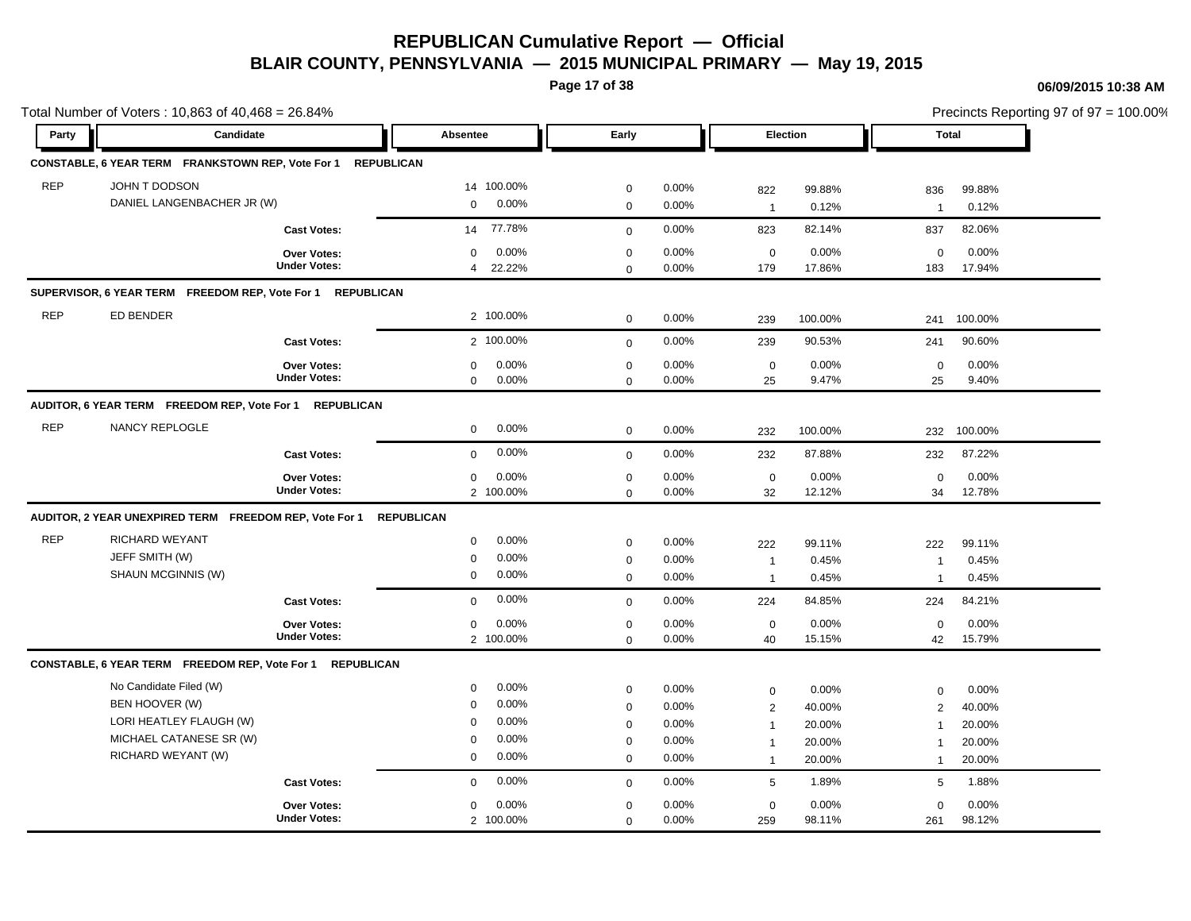**Page 17 of 38**

#### **06/09/2015 10:38 AM**

|            | Total Number of Voters: 10,863 of 40,468 = 26.84%            |                                           |                          |                            |       |                    |          |                    | Precincts Reporting 97 of 97 = 100.00% |
|------------|--------------------------------------------------------------|-------------------------------------------|--------------------------|----------------------------|-------|--------------------|----------|--------------------|----------------------------------------|
| Party      | Candidate                                                    |                                           | Absentee                 | Early                      |       |                    | Election | <b>Total</b>       |                                        |
|            | CONSTABLE, 6 YEAR TERM FRANKSTOWN REP, Vote For 1 REPUBLICAN |                                           |                          |                            |       |                    |          |                    |                                        |
| <b>REP</b> | JOHN T DODSON                                                |                                           | 14 100.00%               | $\mathbf 0$                | 0.00% | 822                | 99.88%   | 836                | 99.88%                                 |
|            | DANIEL LANGENBACHER JR (W)                                   |                                           | 0.00%<br>$\mathbf 0$     | $\pmb{0}$                  | 0.00% | $\mathbf{1}$       | 0.12%    | $\overline{1}$     | 0.12%                                  |
|            |                                                              | <b>Cast Votes:</b>                        | 77.78%<br>14             | $\mathbf 0$                | 0.00% | 823                | 82.14%   | 837                | 82.06%                                 |
|            |                                                              | Over Votes:                               | 0.00%<br>0               | $\mathbf 0$                | 0.00% | $\mathbf 0$        | 0.00%    | $\mathbf 0$        | 0.00%                                  |
|            |                                                              | <b>Under Votes:</b>                       | 22.22%<br>$\overline{4}$ | $\Omega$                   | 0.00% | 179                | 17.86%   | 183                | 17.94%                                 |
|            | SUPERVISOR, 6 YEAR TERM FREEDOM REP, Vote For 1 REPUBLICAN   |                                           |                          |                            |       |                    |          |                    |                                        |
| <b>REP</b> | <b>ED BENDER</b>                                             |                                           | 2 100.00%                | $\mathbf 0$                | 0.00% | 239                | 100.00%  | 241                | 100.00%                                |
|            |                                                              | <b>Cast Votes:</b>                        | 2 100.00%                | $\mathbf 0$                | 0.00% | 239                | 90.53%   | 241                | 90.60%                                 |
|            |                                                              | <b>Over Votes:</b>                        | 0.00%<br>$\mathbf 0$     | $\mathbf 0$                | 0.00% | $\mathbf 0$        | 0.00%    | $\mathbf 0$        | 0.00%                                  |
|            |                                                              | <b>Under Votes:</b>                       | 0.00%<br>$\mathbf 0$     | $\mathbf 0$                | 0.00% | 25                 | 9.47%    | 25                 | 9.40%                                  |
|            | AUDITOR, 6 YEAR TERM FREEDOM REP, Vote For 1                 | <b>REPUBLICAN</b>                         |                          |                            |       |                    |          |                    |                                        |
| <b>REP</b> | NANCY REPLOGLE                                               |                                           | 0.00%<br>$\mathbf 0$     | $\mathbf 0$                | 0.00% | 232                | 100.00%  | 232                | 100.00%                                |
|            |                                                              | <b>Cast Votes:</b>                        | 0.00%<br>$\mathbf 0$     | $\mathbf 0$                | 0.00% | 232                | 87.88%   | 232                | 87.22%                                 |
|            |                                                              | Over Votes:                               | 0.00%<br>0               | $\pmb{0}$                  | 0.00% | $\mathbf 0$        | 0.00%    | $\mathbf 0$        | 0.00%                                  |
|            |                                                              | <b>Under Votes:</b>                       | 2 100.00%                | $\mathbf 0$                | 0.00% | 32                 | 12.12%   | 34                 | 12.78%                                 |
|            | AUDITOR, 2 YEAR UNEXPIRED TERM FREEDOM REP, Vote For 1       |                                           | <b>REPUBLICAN</b>        |                            |       |                    |          |                    |                                        |
| <b>REP</b> | <b>RICHARD WEYANT</b>                                        |                                           | 0.00%<br>$\mathbf 0$     | $\mathbf 0$                | 0.00% | 222                | 99.11%   | 222                | 99.11%                                 |
|            | JEFF SMITH (W)                                               |                                           | 0.00%<br>$\Omega$        | $\pmb{0}$                  | 0.00% | $\mathbf{1}$       | 0.45%    | $\mathbf{1}$       | 0.45%                                  |
|            | SHAUN MCGINNIS (W)                                           |                                           | 0.00%<br>0               | $\mathbf 0$                | 0.00% | $\mathbf{1}$       | 0.45%    | $\mathbf{1}$       | 0.45%                                  |
|            |                                                              | <b>Cast Votes:</b>                        | 0.00%<br>$\mathbf 0$     | $\mathbf 0$                | 0.00% | 224                | 84.85%   | 224                | 84.21%                                 |
|            |                                                              | <b>Over Votes:</b>                        | 0.00%<br>0               | $\pmb{0}$                  | 0.00% | $\mathbf 0$        | 0.00%    | $\mathbf 0$        | 0.00%                                  |
|            |                                                              | <b>Under Votes:</b>                       | 2 100.00%                | $\mathbf 0$                | 0.00% | 40                 | 15.15%   | 42                 | 15.79%                                 |
|            | CONSTABLE, 6 YEAR TERM FREEDOM REP, Vote For 1 REPUBLICAN    |                                           |                          |                            |       |                    |          |                    |                                        |
|            | No Candidate Filed (W)                                       |                                           | 0.00%<br>$\mathbf 0$     | $\mathbf 0$                | 0.00% | $\mathbf 0$        | 0.00%    | $\mathbf 0$        | 0.00%                                  |
|            | BEN HOOVER (W)                                               |                                           | 0.00%<br>0               | $\mathbf 0$                | 0.00% | $\overline{2}$     | 40.00%   | 2                  | 40.00%                                 |
|            | LORI HEATLEY FLAUGH (W)                                      |                                           | 0.00%<br>$\mathbf 0$     | $\pmb{0}$                  | 0.00% | $\mathbf{1}$       | 20.00%   | $\overline{1}$     | 20.00%                                 |
|            | MICHAEL CATANESE SR (W)                                      |                                           | 0.00%<br>$\mathbf 0$     | $\mathbf 0$                | 0.00% | $\mathbf{1}$       | 20.00%   | 1                  | 20.00%                                 |
|            | RICHARD WEYANT (W)                                           |                                           | 0.00%<br>$\mathbf 0$     | $\mathbf 0$                | 0.00% | $\mathbf{1}$       | 20.00%   | $\mathbf{1}$       | 20.00%                                 |
|            |                                                              | <b>Cast Votes:</b>                        | 0.00%<br>$\mathbf 0$     | $\mathbf 0$                | 0.00% | 5                  | 1.89%    | 5                  | 1.88%                                  |
|            |                                                              |                                           | 0.00%                    |                            | 0.00% |                    | 0.00%    |                    | 0.00%                                  |
|            |                                                              | <b>Over Votes:</b><br><b>Under Votes:</b> | 0<br>2 100.00%           | $\mathbf 0$<br>$\mathbf 0$ | 0.00% | $\mathbf 0$<br>259 | 98.11%   | $\mathbf 0$<br>261 | 98.12%                                 |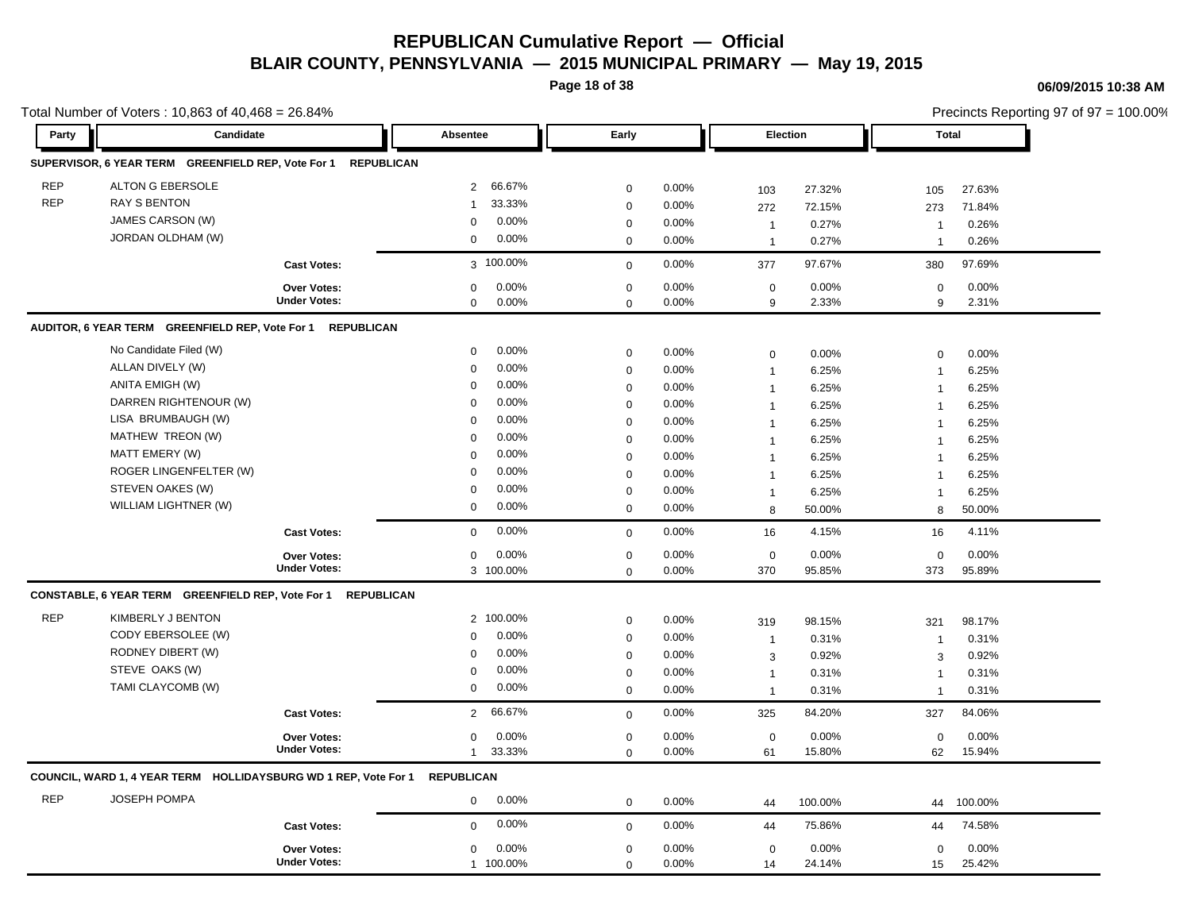**Page 18 of 38**

### **06/09/2015 10:38 AM**

|            | Total Number of Voters: 10,863 of 40,468 = 26.84%                          |                     |                          |                  |          |                  |         |                | Precincts Reporting 97 of 97 = 100.00% |
|------------|----------------------------------------------------------------------------|---------------------|--------------------------|------------------|----------|------------------|---------|----------------|----------------------------------------|
| Party      | Candidate                                                                  |                     | Absentee                 | Early            |          | Election         |         | <b>Total</b>   |                                        |
|            | SUPERVISOR, 6 YEAR TERM GREENFIELD REP, Vote For 1 REPUBLICAN              |                     |                          |                  |          |                  |         |                |                                        |
| <b>REP</b> | <b>ALTON G EBERSOLE</b>                                                    |                     | 66.67%<br>2              | $\mathbf 0$      | 0.00%    | 103              | 27.32%  | 105            | 27.63%                                 |
| <b>REP</b> | <b>RAY S BENTON</b>                                                        |                     | 33.33%<br>1              | $\mathbf 0$      | 0.00%    | 272              | 72.15%  | 273            | 71.84%                                 |
|            | JAMES CARSON (W)                                                           |                     | 0.00%<br>$\mathbf 0$     | $\mathbf 0$      | $0.00\%$ | $\mathbf{1}$     | 0.27%   | $\mathbf 1$    | 0.26%                                  |
|            | JORDAN OLDHAM (W)                                                          |                     | 0.00%<br>0               | $\mathbf 0$      | 0.00%    | $\mathbf{1}$     | 0.27%   | $\overline{1}$ | 0.26%                                  |
|            |                                                                            | <b>Cast Votes:</b>  | 3 100.00%                | $\mathbf 0$      | 0.00%    | 377              | 97.67%  | 380            | 97.69%                                 |
|            |                                                                            | Over Votes:         | 0<br>$0.00\%$            | $\mathbf 0$      | 0.00%    | 0                | 0.00%   | $\mathbf 0$    | 0.00%                                  |
|            |                                                                            | <b>Under Votes:</b> | 0.00%<br>$\mathbf 0$     | $\mathbf 0$      | 0.00%    | 9                | 2.33%   | 9              | 2.31%                                  |
|            | AUDITOR, 6 YEAR TERM GREENFIELD REP, Vote For 1                            | <b>REPUBLICAN</b>   |                          |                  |          |                  |         |                |                                        |
|            | No Candidate Filed (W)                                                     |                     | 0.00%<br>$\mathbf 0$     | $\mathbf 0$      | 0.00%    | $\boldsymbol{0}$ | 0.00%   | $\mathbf 0$    | 0.00%                                  |
|            | ALLAN DIVELY (W)                                                           |                     | 0.00%<br>$\mathbf 0$     | $\mathbf 0$      | 0.00%    | $\mathbf{1}$     | 6.25%   | $\mathbf 1$    | 6.25%                                  |
|            | ANITA EMIGH (W)                                                            |                     | 0<br>$0.00\%$            | $\mathbf 0$      | 0.00%    | $\mathbf{1}$     | 6.25%   | $\overline{1}$ | 6.25%                                  |
|            | DARREN RIGHTENOUR (W)                                                      |                     | 0.00%<br>0               | $\mathbf 0$      | 0.00%    | $\mathbf{1}$     | 6.25%   | $\overline{1}$ | 6.25%                                  |
|            | LISA BRUMBAUGH (W)                                                         |                     | 0.00%<br>$\Omega$        | $\mathbf 0$      | 0.00%    | $\mathbf{1}$     | 6.25%   | $\mathbf{1}$   | 6.25%                                  |
|            | MATHEW TREON (W)                                                           |                     | 0.00%<br>$\mathbf 0$     | $\mathbf 0$      | 0.00%    | $\mathbf{1}$     | 6.25%   | $\overline{1}$ | 6.25%                                  |
|            | MATT EMERY (W)                                                             |                     | 0.00%<br>$\mathbf 0$     | $\mathbf 0$      | 0.00%    | $\mathbf{1}$     | 6.25%   | $\overline{1}$ | 6.25%                                  |
|            | ROGER LINGENFELTER (W)                                                     |                     | $0.00\%$<br>$\Omega$     | $\mathbf 0$      | 0.00%    | $\mathbf{1}$     | 6.25%   | $\overline{1}$ | 6.25%                                  |
|            | STEVEN OAKES (W)                                                           |                     | 0.00%<br>0               | $\mathbf 0$      | 0.00%    | $\mathbf{1}$     | 6.25%   | -1             | 6.25%                                  |
|            | WILLIAM LIGHTNER (W)                                                       |                     | 0.00%<br>0               | $\mathbf 0$      | 0.00%    | 8                | 50.00%  | 8              | 50.00%                                 |
|            |                                                                            | <b>Cast Votes:</b>  | 0.00%<br>$\mathbf 0$     | $\mathbf 0$      | 0.00%    | 16               | 4.15%   | 16             | 4.11%                                  |
|            |                                                                            | Over Votes:         | 0.00%<br>$\mathbf 0$     | $\mathbf 0$      | 0.00%    | $\mathbf 0$      | 0.00%   | $\mathbf 0$    | 0.00%                                  |
|            |                                                                            | <b>Under Votes:</b> | 3 100.00%                | $\mathbf 0$      | 0.00%    | 370              | 95.85%  | 373            | 95.89%                                 |
|            | CONSTABLE, 6 YEAR TERM GREENFIELD REP, Vote For 1                          | <b>REPUBLICAN</b>   |                          |                  |          |                  |         |                |                                        |
| <b>REP</b> | KIMBERLY J BENTON                                                          |                     | 2 100.00%                | $\mathbf 0$      | 0.00%    | 319              | 98.15%  | 321            | 98.17%                                 |
|            | CODY EBERSOLEE (W)                                                         |                     | $0.00\%$<br>$\mathbf 0$  | $\mathbf 0$      | 0.00%    | $\mathbf{1}$     | 0.31%   | $\overline{1}$ | 0.31%                                  |
|            | RODNEY DIBERT (W)                                                          |                     | 0.00%<br>$\mathbf 0$     | $\boldsymbol{0}$ | 0.00%    | 3                | 0.92%   | 3              | 0.92%                                  |
|            | STEVE OAKS (W)                                                             |                     | 0.00%<br>$\mathbf 0$     | $\boldsymbol{0}$ | 0.00%    | $\mathbf{1}$     | 0.31%   | $\overline{1}$ | 0.31%                                  |
|            | TAMI CLAYCOMB (W)                                                          |                     | $0.00\%$<br>0            | $\mathbf 0$      | 0.00%    | $\mathbf{1}$     | 0.31%   | $\mathbf 1$    | 0.31%                                  |
|            |                                                                            | <b>Cast Votes:</b>  | 66.67%<br>$\overline{2}$ | $\mathbf 0$      | 0.00%    | 325              | 84.20%  | 327            | 84.06%                                 |
|            |                                                                            | Over Votes:         | $0.00\%$<br>0            | $\mathbf 0$      | 0.00%    | $\mathbf 0$      | 0.00%   | $\mathbf 0$    | 0.00%                                  |
|            |                                                                            | <b>Under Votes:</b> | 33.33%<br>$\mathbf{1}$   | $\mathbf 0$      | 0.00%    | 61               | 15.80%  | 62             | 15.94%                                 |
|            | COUNCIL, WARD 1, 4 YEAR TERM HOLLIDAYSBURG WD 1 REP, Vote For 1 REPUBLICAN |                     |                          |                  |          |                  |         |                |                                        |
| <b>REP</b> | <b>JOSEPH POMPA</b>                                                        |                     | 0.00%<br>0               | $\mathbf 0$      | 0.00%    | 44               | 100.00% | 44             | 100.00%                                |
|            |                                                                            | <b>Cast Votes:</b>  | 0.00%<br>$\Omega$        | $\mathbf 0$      | 0.00%    | 44               | 75.86%  | 44             | 74.58%                                 |
|            |                                                                            | <b>Over Votes:</b>  | 0.00%<br>0               | $\mathbf 0$      | 0.00%    | $\mathbf 0$      | 0.00%   | $\mathbf 0$    | 0.00%                                  |
|            |                                                                            | <b>Under Votes:</b> | 1 100.00%                | $\mathbf 0$      | 0.00%    | 14               | 24.14%  | 15             | 25.42%                                 |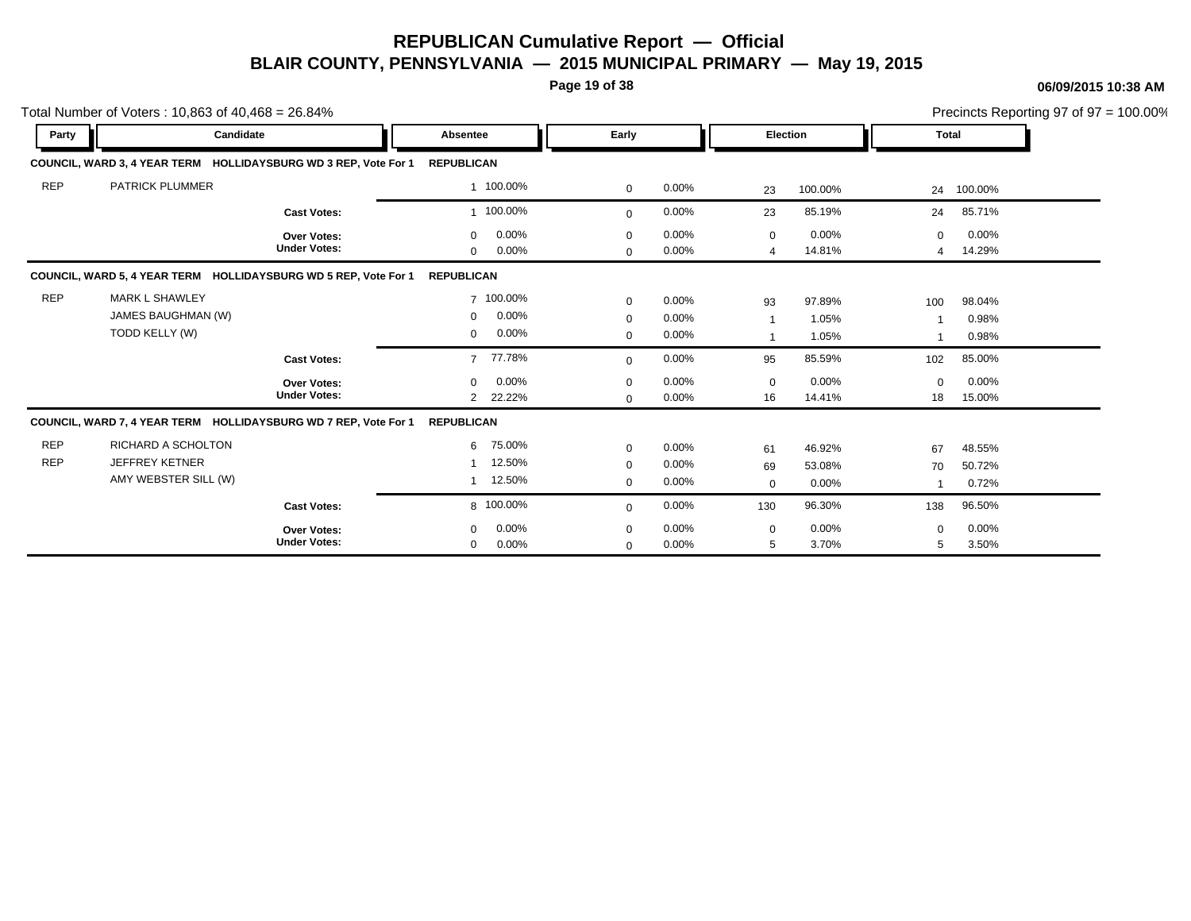**Page 19 of 38**

### **06/09/2015 10:38 AM**

|                          | Total Number of Voters: 10,863 of 40,468 = 26.84%                   |                                    |                                                           |                                           |                                  |                                        |                           |                               | Precincts Reporting 97 of 97 = 100.00% |
|--------------------------|---------------------------------------------------------------------|------------------------------------|-----------------------------------------------------------|-------------------------------------------|----------------------------------|----------------------------------------|---------------------------|-------------------------------|----------------------------------------|
| Party                    | Candidate                                                           |                                    | Absentee                                                  | Early                                     |                                  | Election                               |                           | <b>Total</b>                  |                                        |
|                          | COUNCIL, WARD 3, 4 YEAR TERM HOLLIDAYSBURG WD 3 REP, Vote For 1     |                                    | <b>REPUBLICAN</b>                                         |                                           |                                  |                                        |                           |                               |                                        |
| <b>REP</b>               | <b>PATRICK PLUMMER</b>                                              |                                    | 1 100.00%                                                 | $\mathbf 0$                               | $0.00\%$                         | 23                                     | 100.00%                   | 24                            | 100.00%                                |
|                          |                                                                     | <b>Cast Votes:</b>                 | 1 100.00%                                                 | $\mathbf{0}$                              | 0.00%                            | 23                                     | 85.19%                    | 24                            | 85.71%                                 |
|                          |                                                                     | Over Votes:<br><b>Under Votes:</b> | 0.00%<br>$\mathbf 0$<br>0.00%<br>$\overline{0}$           | $\mathbf 0$<br>$\mathbf{0}$               | $0.00\%$<br>$0.00\%$             | 0<br>4                                 | 0.00%<br>14.81%           | $\mathbf 0$<br>$\overline{4}$ | 0.00%<br>14.29%                        |
|                          | COUNCIL, WARD 5, 4 YEAR TERM HOLLIDAYSBURG WD 5 REP, Vote For 1     |                                    | <b>REPUBLICAN</b>                                         |                                           |                                  |                                        |                           |                               |                                        |
| <b>REP</b>               | <b>MARK L SHAWLEY</b><br>JAMES BAUGHMAN (W)<br>TODD KELLY (W)       |                                    | 7 100.00%<br>0.00%<br>$\mathbf 0$<br>0.00%<br>$\mathbf 0$ | $\mathbf 0$<br>$\mathbf 0$<br>$\mathbf 0$ | $0.00\%$<br>$0.00\%$<br>$0.00\%$ | 93<br>$\overline{1}$<br>$\overline{1}$ | 97.89%<br>1.05%<br>1.05%  | 100                           | 98.04%<br>0.98%<br>0.98%               |
|                          |                                                                     | <b>Cast Votes:</b>                 | 77.78%<br>$\overline{7}$                                  | $\mathbf{0}$                              | $0.00\%$                         | 95                                     | 85.59%                    | 102                           | 85.00%                                 |
|                          |                                                                     | Over Votes:<br><b>Under Votes:</b> | 0.00%<br>$\mathbf 0$<br>22.22%<br>$\overline{2}$          | $\mathbf 0$<br>$\mathbf{0}$               | $0.00\%$<br>$0.00\%$             | $\mathbf 0$<br>16                      | 0.00%<br>14.41%           | $\Omega$<br>18                | 0.00%<br>15.00%                        |
|                          | COUNCIL, WARD 7, 4 YEAR TERM HOLLIDAYSBURG WD 7 REP, Vote For 1     |                                    | <b>REPUBLICAN</b>                                         |                                           |                                  |                                        |                           |                               |                                        |
| <b>REP</b><br><b>REP</b> | RICHARD A SCHOLTON<br><b>JEFFREY KETNER</b><br>AMY WEBSTER SILL (W) |                                    | 75.00%<br>6<br>12.50%<br>12.50%<br>-1                     | $\mathbf{0}$<br>0<br>$\mathbf{0}$         | 0.00%<br>$0.00\%$<br>$0.00\%$    | 61<br>69<br>0                          | 46.92%<br>53.08%<br>0.00% | 67<br>70<br>$\overline{1}$    | 48.55%<br>50.72%<br>0.72%              |
|                          |                                                                     | <b>Cast Votes:</b>                 | 8 100.00%                                                 | $\mathbf{0}$                              | $0.00\%$                         | 130                                    | 96.30%                    | 138                           | 96.50%                                 |
|                          |                                                                     | Over Votes:<br><b>Under Votes:</b> | 0.00%<br>$\mathbf 0$<br>$0.00\%$<br>0                     | 0<br>$\mathbf{0}$                         | $0.00\%$<br>$0.00\%$             | 0<br>5                                 | 0.00%<br>3.70%            | $\mathbf 0$<br>5              | 0.00%<br>3.50%                         |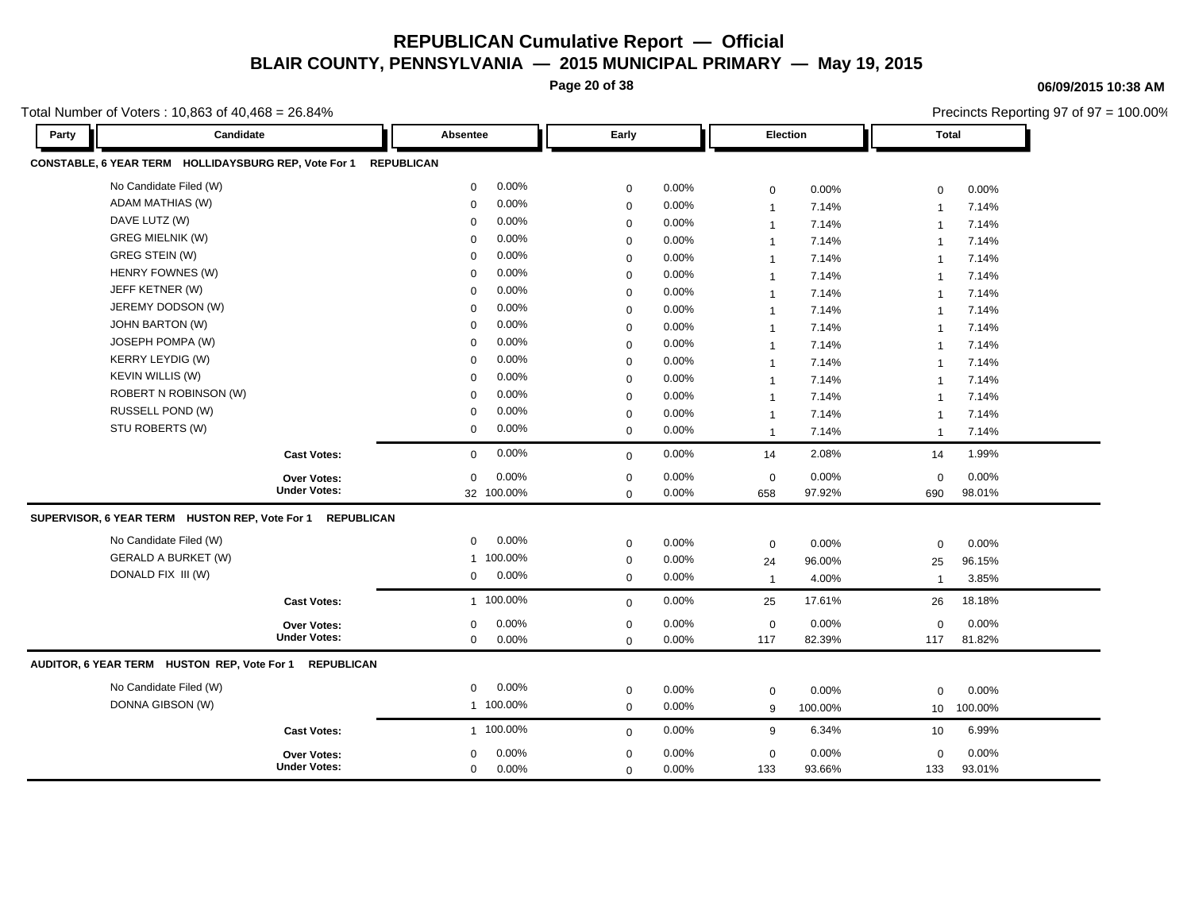**Page 20 of 38**

**06/09/2015 10:38 AM**

Precincts Reporting 97 of 97 = 100.00%

| Party | Candidate                                              |                     | Absentee          |            | Early       |          | Election       |         | <b>Total</b>   |         |
|-------|--------------------------------------------------------|---------------------|-------------------|------------|-------------|----------|----------------|---------|----------------|---------|
|       | CONSTABLE, 6 YEAR TERM HOLLIDAYSBURG REP, Vote For 1   |                     | <b>REPUBLICAN</b> |            |             |          |                |         |                |         |
|       | No Candidate Filed (W)                                 |                     | 0                 | 0.00%      | $\mathbf 0$ | 0.00%    | $\mathbf 0$    | 0.00%   | $\mathbf 0$    | 0.00%   |
|       | ADAM MATHIAS (W)                                       |                     | 0                 | 0.00%      | $\mathbf 0$ | 0.00%    | $\overline{1}$ | 7.14%   | $\overline{1}$ | 7.14%   |
|       | DAVE LUTZ (W)                                          |                     | $\mathbf 0$       | 0.00%      | $\mathbf 0$ | 0.00%    | $\overline{1}$ | 7.14%   | $\overline{1}$ | 7.14%   |
|       | <b>GREG MIELNIK (W)</b>                                |                     | 0                 | 0.00%      | $\mathbf 0$ | 0.00%    | $\mathbf 1$    | 7.14%   | $\overline{1}$ | 7.14%   |
|       | GREG STEIN (W)                                         |                     | $\mathbf 0$       | 0.00%      | $\mathbf 0$ | 0.00%    | $\overline{1}$ | 7.14%   | $\mathbf{1}$   | 7.14%   |
|       | HENRY FOWNES (W)                                       |                     | $\mathbf 0$       | 0.00%      | $\mathbf 0$ | 0.00%    | $\overline{1}$ | 7.14%   | $\overline{1}$ | 7.14%   |
|       | JEFF KETNER (W)                                        |                     | 0                 | 0.00%      | $\mathbf 0$ | 0.00%    | $\mathbf 1$    | 7.14%   | $\mathbf{1}$   | 7.14%   |
|       | JEREMY DODSON (W)                                      |                     | $\mathbf 0$       | 0.00%      | $\mathbf 0$ | 0.00%    | $\overline{1}$ | 7.14%   | $\mathbf{1}$   | 7.14%   |
|       | <b>JOHN BARTON (W)</b>                                 |                     | $\mathbf 0$       | 0.00%      | $\mathbf 0$ | 0.00%    | $\overline{1}$ | 7.14%   | $\overline{1}$ | 7.14%   |
|       | JOSEPH POMPA (W)                                       |                     | 0                 | 0.00%      | $\mathbf 0$ | 0.00%    | $\overline{1}$ | 7.14%   | $\mathbf{1}$   | 7.14%   |
|       | <b>KERRY LEYDIG (W)</b>                                |                     | $\mathbf 0$       | 0.00%      | $\mathbf 0$ | 0.00%    | $\overline{1}$ | 7.14%   | $\mathbf{1}$   | 7.14%   |
|       | <b>KEVIN WILLIS (W)</b>                                |                     | $\mathbf 0$       | 0.00%      | $\mathbf 0$ | 0.00%    | $\overline{1}$ | 7.14%   | $\mathbf{1}$   | 7.14%   |
|       | ROBERT N ROBINSON (W)                                  |                     | $\mathbf 0$       | 0.00%      | $\mathbf 0$ | 0.00%    | $\mathbf{1}$   | 7.14%   | $\mathbf{1}$   | 7.14%   |
|       | RUSSELL POND (W)                                       |                     | 0                 | 0.00%      | $\mathbf 0$ | 0.00%    | $\overline{1}$ | 7.14%   | $\mathbf{1}$   | 7.14%   |
|       | STU ROBERTS (W)                                        |                     | 0                 | 0.00%      | $\mathbf 0$ | 0.00%    | $\overline{1}$ | 7.14%   | $\mathbf{1}$   | 7.14%   |
|       |                                                        | <b>Cast Votes:</b>  | $\mathbf 0$       | 0.00%      | $\mathbf 0$ | 0.00%    | 14             | 2.08%   | 14             | 1.99%   |
|       |                                                        | <b>Over Votes:</b>  | $\mathbf 0$       | 0.00%      | $\mathbf 0$ | 0.00%    | $\mathbf 0$    | 0.00%   | $\mathbf 0$    | 0.00%   |
|       |                                                        | <b>Under Votes:</b> |                   | 32 100.00% | $\mathbf 0$ | 0.00%    | 658            | 97.92%  | 690            | 98.01%  |
|       | SUPERVISOR, 6 YEAR TERM HUSTON REP, Vote For 1         | <b>REPUBLICAN</b>   |                   |            |             |          |                |         |                |         |
|       | No Candidate Filed (W)                                 |                     | $\mathbf 0$       | 0.00%      | $\mathbf 0$ | 0.00%    | $\mathbf 0$    | 0.00%   | $\mathbf 0$    | 0.00%   |
|       | <b>GERALD A BURKET (W)</b>                             |                     |                   | 1 100.00%  | $\mathbf 0$ | 0.00%    | 24             | 96.00%  | 25             | 96.15%  |
|       | DONALD FIX III (W)                                     |                     | $\mathbf{0}$      | 0.00%      | $\mathbf 0$ | 0.00%    | $\overline{1}$ | 4.00%   | $\mathbf{1}$   | 3.85%   |
|       |                                                        | <b>Cast Votes:</b>  |                   | 1 100.00%  | $\mathbf 0$ | 0.00%    | 25             | 17.61%  | 26             | 18.18%  |
|       |                                                        | <b>Over Votes:</b>  | $\mathbf 0$       | 0.00%      | $\mathbf 0$ | 0.00%    | $\mathbf 0$    | 0.00%   | $\mathbf 0$    | 0.00%   |
|       |                                                        | <b>Under Votes:</b> | $\mathbf 0$       | 0.00%      | $\mathbf 0$ | 0.00%    | 117            | 82.39%  | 117            | 81.82%  |
|       | AUDITOR, 6 YEAR TERM HUSTON REP, Vote For 1 REPUBLICAN |                     |                   |            |             |          |                |         |                |         |
|       | No Candidate Filed (W)                                 |                     | 0                 | 0.00%      | $\mathbf 0$ | 0.00%    | $\mathbf 0$    | 0.00%   | $\mathbf 0$    | 0.00%   |
|       | DONNA GIBSON (W)                                       |                     |                   | 1 100.00%  | $\mathbf 0$ | $0.00\%$ | 9              | 100.00% | 10             | 100.00% |
|       |                                                        | <b>Cast Votes:</b>  |                   | 1 100.00%  | $\Omega$    | 0.00%    | 9              | 6.34%   | 10             | 6.99%   |
|       |                                                        | <b>Over Votes:</b>  | $\mathbf 0$       | 0.00%      | $\mathbf 0$ | 0.00%    | $\mathbf 0$    | 0.00%   | $\mathbf 0$    | 0.00%   |
|       |                                                        | <b>Under Votes:</b> | 0                 | 0.00%      | $\mathbf 0$ | 0.00%    | 133            | 93.66%  | 133            | 93.01%  |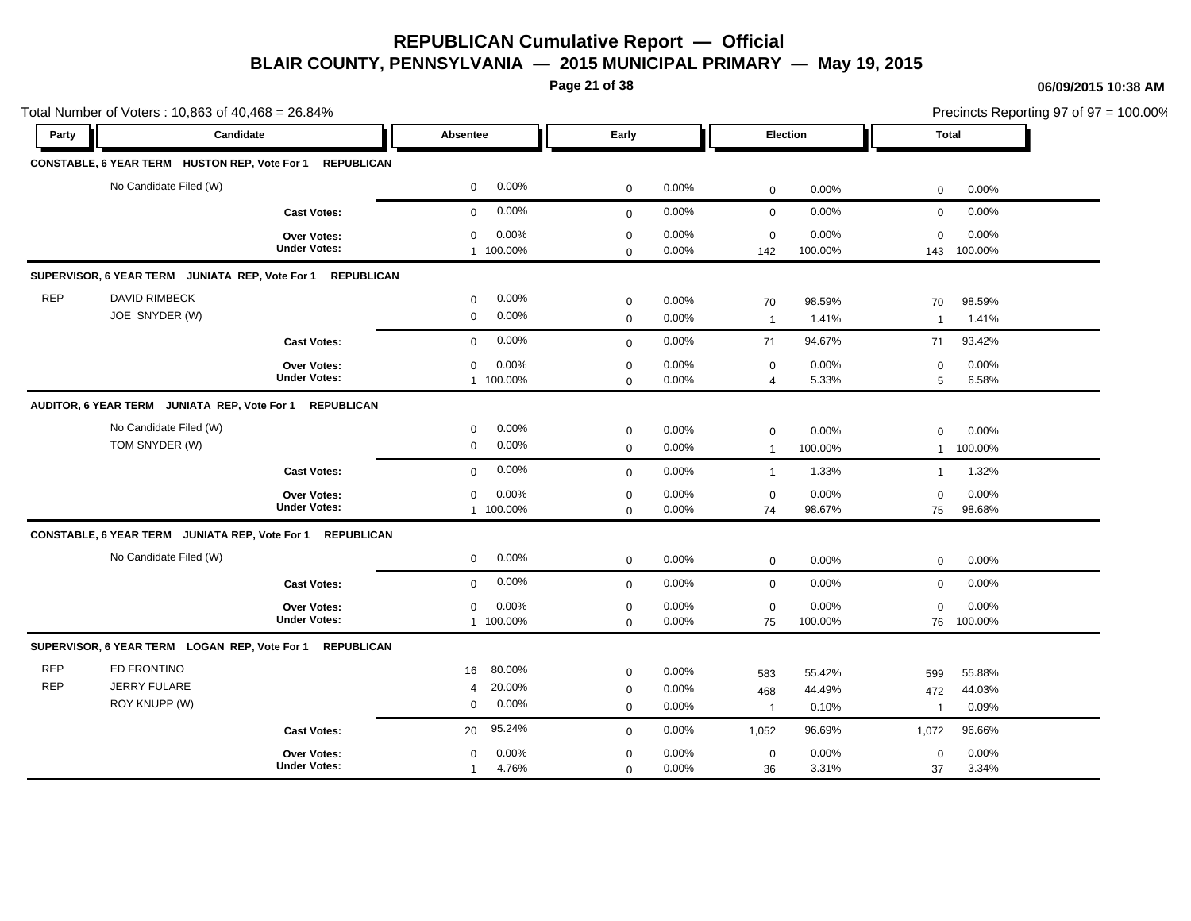**Page 21 of 38**

|                          | Total Number of Voters: 10,863 of 40,468 = 26.84%          |                                           |                                              |                                         |                         |                               |                           |                               |                           | Precincts Reporting 97 of 97 = 100.00% |
|--------------------------|------------------------------------------------------------|-------------------------------------------|----------------------------------------------|-----------------------------------------|-------------------------|-------------------------------|---------------------------|-------------------------------|---------------------------|----------------------------------------|
| Party                    | Candidate                                                  |                                           | Absentee                                     | Early                                   |                         |                               | Election                  | <b>Total</b>                  |                           |                                        |
|                          | CONSTABLE, 6 YEAR TERM HUSTON REP, Vote For 1 REPUBLICAN   |                                           |                                              |                                         |                         |                               |                           |                               |                           |                                        |
|                          | No Candidate Filed (W)                                     |                                           | 0.00%<br>$\mathbf 0$                         | $\mathbf 0$                             | 0.00%                   | $\mathbf 0$                   | 0.00%                     | $\mathbf 0$                   | 0.00%                     |                                        |
|                          |                                                            | <b>Cast Votes:</b>                        | 0.00%<br>$\mathbf 0$                         | $\mathbf 0$                             | 0.00%                   | $\mathbf 0$                   | 0.00%                     | $\mathbf 0$                   | 0.00%                     |                                        |
|                          |                                                            | Over Votes:<br><b>Under Votes:</b>        | 0.00%<br>$\mathbf 0$<br>1 100.00%            | $\mathbf 0$<br>$\mathbf 0$              | 0.00%<br>0.00%          | $\mathbf 0$<br>142            | 0.00%<br>100.00%          | $\mathbf 0$<br>143            | 0.00%<br>100.00%          |                                        |
|                          | SUPERVISOR, 6 YEAR TERM JUNIATA REP, Vote For 1 REPUBLICAN |                                           |                                              |                                         |                         |                               |                           |                               |                           |                                        |
| <b>REP</b>               | <b>DAVID RIMBECK</b><br>JOE SNYDER (W)                     |                                           | 0.00%<br>$\mathbf 0$<br>0.00%<br>$\mathbf 0$ | $\mathbf 0$<br>$\mathbf 0$              | 0.00%<br>0.00%          | 70<br>$\overline{1}$          | 98.59%<br>1.41%           | 70<br>$\overline{\mathbf{1}}$ | 98.59%<br>1.41%           |                                        |
|                          |                                                            | <b>Cast Votes:</b>                        | 0.00%<br>$\mathbf 0$                         | $\mathbf 0$                             | 0.00%                   | 71                            | 94.67%                    | 71                            | 93.42%                    |                                        |
|                          |                                                            | <b>Over Votes:</b><br><b>Under Votes:</b> | 0.00%<br>$\mathbf 0$<br>1 100.00%            | $\pmb{0}$<br>$\mathbf 0$                | 0.00%<br>0.00%          | $\mathbf 0$<br>$\overline{4}$ | 0.00%<br>5.33%            | $\mathbf 0$<br>5              | 0.00%<br>6.58%            |                                        |
|                          | AUDITOR, 6 YEAR TERM JUNIATA REP, Vote For 1               | <b>REPUBLICAN</b>                         |                                              |                                         |                         |                               |                           |                               |                           |                                        |
|                          | No Candidate Filed (W)<br>TOM SNYDER (W)                   |                                           | 0.00%<br>0<br>0.00%<br>$\mathbf 0$           | $\mathbf 0$<br>$\mathbf 0$              | 0.00%<br>0.00%          | $\mathbf 0$<br>$\overline{1}$ | 0.00%<br>100.00%          | 0<br>$\mathbf{1}$             | 0.00%<br>100.00%          |                                        |
|                          |                                                            | <b>Cast Votes:</b>                        | 0.00%<br>$\mathbf 0$                         | $\mathbf{0}$                            | 0.00%                   | $\overline{1}$                | 1.33%                     | $\mathbf{1}$                  | 1.32%                     |                                        |
|                          |                                                            | <b>Over Votes:</b><br><b>Under Votes:</b> | 0.00%<br>$\mathbf 0$<br>1 100.00%            | $\mathbf 0$<br>$\mathbf 0$              | 0.00%<br>0.00%          | $\mathsf 0$<br>74             | 0.00%<br>98.67%           | 0<br>75                       | 0.00%<br>98.68%           |                                        |
|                          | CONSTABLE, 6 YEAR TERM JUNIATA REP, Vote For 1 REPUBLICAN  |                                           |                                              |                                         |                         |                               |                           |                               |                           |                                        |
|                          | No Candidate Filed (W)                                     |                                           | 0.00%<br>$\mathbf 0$                         | $\mathbf 0$                             | 0.00%                   | $\mathbf 0$                   | 0.00%                     | 0                             | 0.00%                     |                                        |
|                          |                                                            | <b>Cast Votes:</b>                        | 0.00%<br>$\mathbf 0$                         | $\mathbf 0$                             | 0.00%                   | $\mathbf 0$                   | 0.00%                     | 0                             | 0.00%                     |                                        |
|                          |                                                            | Over Votes:<br><b>Under Votes:</b>        | 0.00%<br>$\mathbf 0$<br>1 100.00%            | $\mathbf 0$<br>$\mathbf 0$              | 0.00%<br>0.00%          | $\mathbf 0$<br>75             | 0.00%<br>100.00%          | $\mathbf 0$                   | 0.00%<br>76 100.00%       |                                        |
|                          | SUPERVISOR, 6 YEAR TERM LOGAN REP, Vote For 1 REPUBLICAN   |                                           |                                              |                                         |                         |                               |                           |                               |                           |                                        |
| <b>REP</b><br><b>REP</b> | ED FRONTINO<br><b>JERRY FULARE</b><br>ROY KNUPP (W)        |                                           | 80.00%<br>16<br>20.00%<br>4<br>0.00%<br>0    | $\mathbf 0$<br>$\pmb{0}$<br>$\mathbf 0$ | 0.00%<br>0.00%<br>0.00% | 583<br>468<br>$\overline{1}$  | 55.42%<br>44.49%<br>0.10% | 599<br>472<br>$\overline{1}$  | 55.88%<br>44.03%<br>0.09% |                                        |
|                          |                                                            | <b>Cast Votes:</b>                        | 95.24%<br>20                                 | $\mathbf 0$                             | 0.00%                   | 1,052                         | 96.69%                    | 1,072                         | 96.66%                    |                                        |
|                          |                                                            | Over Votes:<br><b>Under Votes:</b>        | 0.00%<br>0<br>4.76%<br>$\mathbf{1}$          | $\mathbf 0$<br>$\mathbf 0$              | 0.00%<br>0.00%          | $\mathbf 0$<br>36             | 0.00%<br>3.31%            | $\mathbf 0$<br>37             | 0.00%<br>3.34%            |                                        |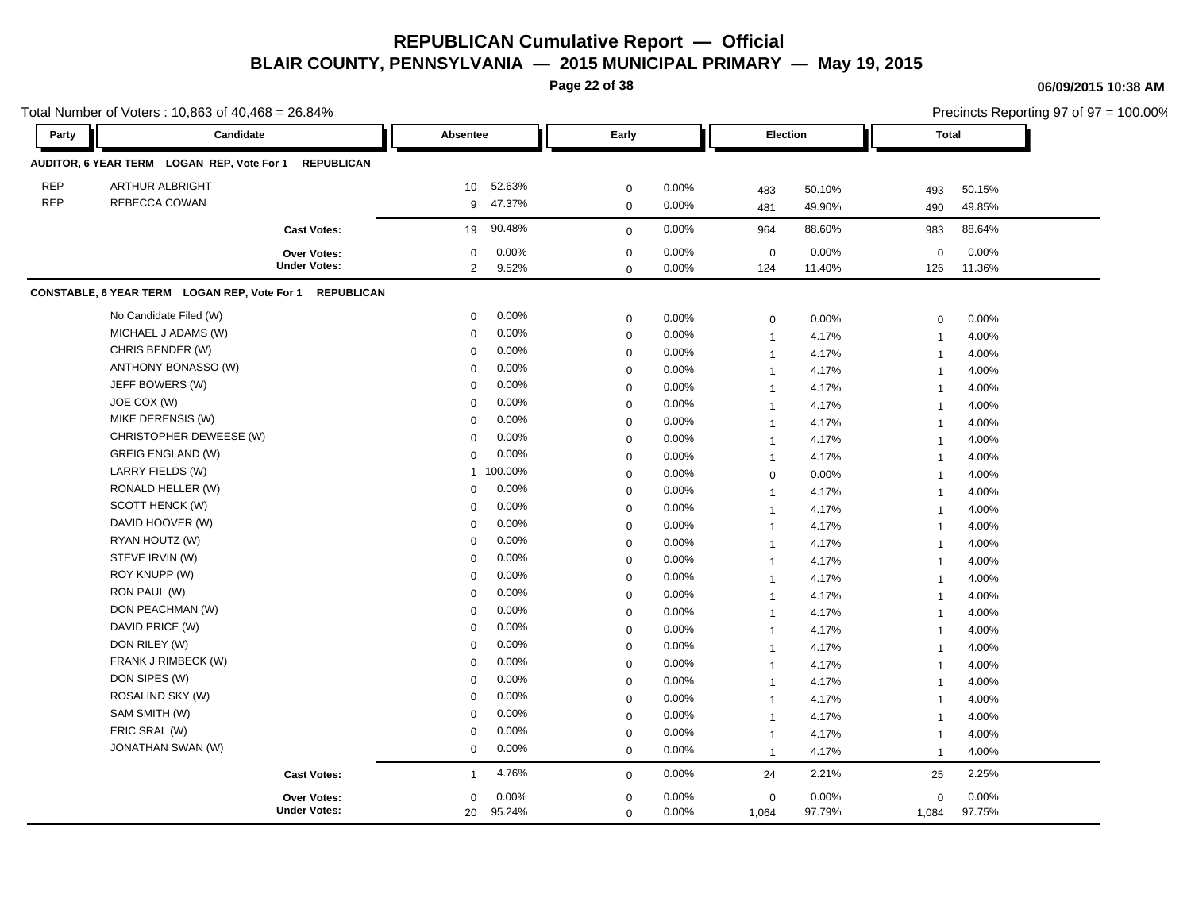**Page 22 of 38**

|            | Total Number of Voters: 10,863 of 40,468 = 26.84%     |                     |                 |           |             |       |                               |        |                          | Precincts Reporting 97 of 97 = 100.00% |
|------------|-------------------------------------------------------|---------------------|-----------------|-----------|-------------|-------|-------------------------------|--------|--------------------------|----------------------------------------|
| Party      | Candidate                                             |                     | <b>Absentee</b> |           | Early       |       | Election                      |        | <b>Total</b>             |                                        |
|            | AUDITOR, 6 YEAR TERM LOGAN REP, Vote For 1 REPUBLICAN |                     |                 |           |             |       |                               |        |                          |                                        |
| <b>REP</b> | ARTHUR ALBRIGHT                                       |                     | 10              | 52.63%    | $\mathbf 0$ | 0.00% | 483                           | 50.10% | 493                      | 50.15%                                 |
| <b>REP</b> | REBECCA COWAN                                         |                     | 9               | 47.37%    | $\mathsf 0$ | 0.00% | 481                           | 49.90% | 490                      | 49.85%                                 |
|            |                                                       | <b>Cast Votes:</b>  | 19              | 90.48%    | $\mathbf 0$ | 0.00% | 964                           | 88.60% | 983                      | 88.64%                                 |
|            |                                                       | Over Votes:         | $\mathbf 0$     | 0.00%     | $\mathbf 0$ | 0.00% | $\mathbf 0$                   | 0.00%  | $\mathbf 0$              | 0.00%                                  |
|            |                                                       | <b>Under Votes:</b> | $\overline{2}$  | 9.52%     | $\mathbf 0$ | 0.00% | 124                           | 11.40% | 126                      | 11.36%                                 |
|            | CONSTABLE, 6 YEAR TERM LOGAN REP, Vote For 1          | <b>REPUBLICAN</b>   |                 |           |             |       |                               |        |                          |                                        |
|            | No Candidate Filed (W)                                |                     | 0               | 0.00%     | $\pmb{0}$   | 0.00% | $\mathbf 0$                   | 0.00%  | $\mathbf 0$              | 0.00%                                  |
|            | MICHAEL J ADAMS (W)                                   |                     | $\mathbf 0$     | 0.00%     | $\mathbf 0$ | 0.00% | $\mathbf{1}$                  | 4.17%  | $\mathbf{1}$             | 4.00%                                  |
|            | CHRIS BENDER (W)                                      |                     | $\mathbf 0$     | 0.00%     | $\mathbf 0$ | 0.00% | $\mathbf{1}$                  | 4.17%  | $\mathbf{1}$             | 4.00%                                  |
|            | ANTHONY BONASSO (W)                                   |                     | $\Omega$        | 0.00%     | $\mathbf 0$ | 0.00% | $\mathbf{1}$                  | 4.17%  | $\overline{\phantom{a}}$ | 4.00%                                  |
|            | JEFF BOWERS (W)                                       |                     | $\Omega$        | 0.00%     | $\mathbf 0$ | 0.00% | $\overline{1}$                | 4.17%  | $\overline{1}$           | 4.00%                                  |
|            | JOE COX (W)                                           |                     | $\Omega$        | 0.00%     | $\pmb{0}$   | 0.00% | $\mathbf{1}$                  | 4.17%  | $\mathbf{1}$             | 4.00%                                  |
|            | MIKE DERENSIS (W)                                     |                     | $\mathbf 0$     | 0.00%     | $\mathbf 0$ | 0.00% | $\mathbf{1}$                  | 4.17%  | $\overline{1}$           | 4.00%                                  |
|            | CHRISTOPHER DEWEESE (W)                               |                     | $\mathbf 0$     | 0.00%     | $\mathbf 0$ | 0.00% | $\overline{1}$                | 4.17%  | $\overline{1}$           | 4.00%                                  |
|            | <b>GREIG ENGLAND (W)</b>                              |                     | $\mathbf 0$     | 0.00%     | $\mathbf 0$ | 0.00% | $\mathbf{1}$                  | 4.17%  | $\overline{\phantom{a}}$ | 4.00%                                  |
|            | LARRY FIELDS (W)                                      |                     |                 | 1 100.00% | $\mathbf 0$ | 0.00% | $\mathbf 0$                   | 0.00%  | $\overline{1}$           | 4.00%                                  |
|            | RONALD HELLER (W)                                     |                     | $\mathbf 0$     | 0.00%     | $\mathsf 0$ | 0.00% | $\overline{1}$                | 4.17%  | $\overline{1}$           | 4.00%                                  |
|            | SCOTT HENCK (W)                                       |                     | $\mathbf 0$     | 0.00%     | $\mathbf 0$ | 0.00% | $\overline{1}$                | 4.17%  | $\overline{1}$           | 4.00%                                  |
|            | DAVID HOOVER (W)                                      |                     | $\mathbf 0$     | 0.00%     | $\mathbf 0$ | 0.00% | $\mathbf{1}$                  | 4.17%  | $\mathbf{1}$             | 4.00%                                  |
|            | RYAN HOUTZ (W)                                        |                     | $\Omega$        | 0.00%     | $\mathbf 0$ | 0.00% | $\mathbf{1}$                  | 4.17%  | $\overline{1}$           | 4.00%                                  |
|            | STEVE IRVIN (W)                                       |                     | $\Omega$        | 0.00%     | $\mathbf 0$ | 0.00% | $\mathbf{1}$                  | 4.17%  | $\overline{\mathbf{1}}$  | 4.00%                                  |
|            | ROY KNUPP (W)                                         |                     | $\mathbf 0$     | 0.00%     | $\mathbf 0$ | 0.00% | $\mathbf{1}$                  | 4.17%  | $\overline{1}$           | 4.00%                                  |
|            | RON PAUL (W)                                          |                     | $\mathbf 0$     | 0.00%     | $\mathbf 0$ | 0.00% | $\mathbf{1}$                  | 4.17%  | $\mathbf{1}$             | 4.00%                                  |
|            | DON PEACHMAN (W)                                      |                     | $\Omega$        | 0.00%     | $\mathbf 0$ | 0.00% | $\mathbf{1}$                  | 4.17%  | $\mathbf{1}$             | 4.00%                                  |
|            | DAVID PRICE (W)                                       |                     | $\Omega$        | 0.00%     | $\mathbf 0$ | 0.00% | $\mathbf{1}$                  | 4.17%  | $\overline{1}$           | 4.00%                                  |
|            | DON RILEY (W)                                         |                     | $\Omega$        | 0.00%     | $\mathbf 0$ | 0.00% | $\overline{1}$                | 4.17%  | $\overline{1}$           | 4.00%                                  |
|            | FRANK J RIMBECK (W)                                   |                     | $\mathbf 0$     | 0.00%     | $\mathbf 0$ | 0.00% | $\overline{1}$                | 4.17%  | $\overline{1}$           | 4.00%                                  |
|            | DON SIPES (W)                                         |                     | 0               | 0.00%     | $\pmb{0}$   | 0.00% | $\mathbf{1}$                  | 4.17%  | $\overline{1}$           | 4.00%                                  |
|            | ROSALIND SKY (W)                                      |                     | $\mathbf 0$     | 0.00%     | $\mathbf 0$ | 0.00% |                               | 4.17%  | $\mathbf{1}$             | 4.00%                                  |
|            | SAM SMITH (W)                                         |                     | $\Omega$        | 0.00%     | $\mathbf 0$ | 0.00% | $\mathbf{1}$                  | 4.17%  |                          | 4.00%                                  |
|            | ERIC SRAL (W)                                         |                     | $\mathbf 0$     | 0.00%     | $\mathbf 0$ | 0.00% | $\mathbf 1$<br>$\overline{1}$ | 4.17%  | -1<br>$\overline{1}$     | 4.00%                                  |
|            | JONATHAN SWAN (W)                                     |                     | $\mathbf 0$     | 0.00%     | $\mathbf 0$ | 0.00% | $\overline{1}$                | 4.17%  | $\overline{1}$           | 4.00%                                  |
|            |                                                       | <b>Cast Votes:</b>  | $\mathbf{1}$    | 4.76%     | $\mathbf 0$ | 0.00% | 24                            | 2.21%  | 25                       | 2.25%                                  |
|            |                                                       | Over Votes:         | $\mathbf 0$     | 0.00%     | $\mathbf 0$ | 0.00% | $\mathbf 0$                   | 0.00%  | 0                        | 0.00%                                  |
|            |                                                       | <b>Under Votes:</b> | 20              | 95.24%    | $\mathbf 0$ | 0.00% | 1,064                         | 97.79% | 1,084                    | 97.75%                                 |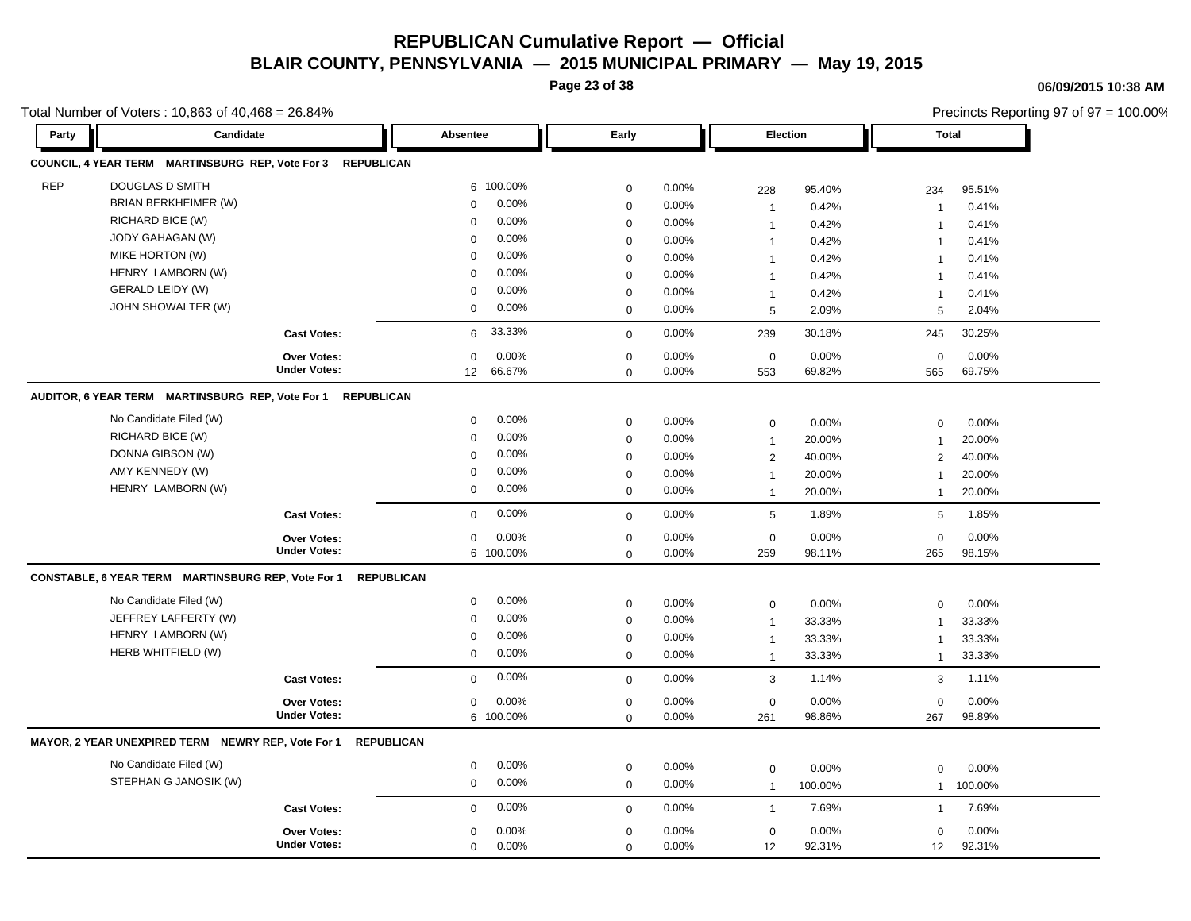**Page 23 of 38**

**06/09/2015 10:38 AM**

|            | Total Number of Voters: 10,863 of 40,468 = 26.84%           |                     |                       |                  |       |                 |         |                | Precincts Reporting 97 of 97 = 100.00% |
|------------|-------------------------------------------------------------|---------------------|-----------------------|------------------|-------|-----------------|---------|----------------|----------------------------------------|
| Party      | Candidate                                                   |                     | Absentee              | Early            |       | Election        |         | <b>Total</b>   |                                        |
|            | COUNCIL, 4 YEAR TERM MARTINSBURG REP, Vote For 3 REPUBLICAN |                     |                       |                  |       |                 |         |                |                                        |
| <b>REP</b> | <b>DOUGLAS D SMITH</b>                                      |                     | 6 100.00%             | $\mathbf 0$      | 0.00% | 228             | 95.40%  | 234            | 95.51%                                 |
|            | BRIAN BERKHEIMER (W)                                        |                     | 0.00%<br>0            | $\mathbf 0$      | 0.00% | $\overline{1}$  | 0.42%   | $\mathbf{1}$   | 0.41%                                  |
|            | RICHARD BICE (W)                                            |                     | 0.00%<br>0            | $\mathbf 0$      | 0.00% | $\overline{1}$  | 0.42%   | $\mathbf{1}$   | 0.41%                                  |
|            | JODY GAHAGAN (W)                                            |                     | 0.00%<br>$\mathbf 0$  | $\mathbf 0$      | 0.00% | $\overline{1}$  | 0.42%   | $\overline{1}$ | 0.41%                                  |
|            | MIKE HORTON (W)                                             |                     | 0.00%<br>0            | $\mathbf 0$      | 0.00% |                 | 0.42%   | $\overline{1}$ | 0.41%                                  |
|            | HENRY LAMBORN (W)                                           |                     | 0.00%<br>0            | $\mathbf 0$      | 0.00% | $\mathbf 1$     | 0.42%   | $\overline{1}$ | 0.41%                                  |
|            | GERALD LEIDY (W)                                            |                     | 0.00%<br>0            | $\mathbf 0$      | 0.00% | $\overline{1}$  | 0.42%   | $\overline{1}$ | 0.41%                                  |
|            | JOHN SHOWALTER (W)                                          |                     | 0.00%<br>0            | $\mathbf 0$      | 0.00% | 5               | 2.09%   | 5              | 2.04%                                  |
|            |                                                             | <b>Cast Votes:</b>  | 33.33%<br>6           | $\mathbf 0$      | 0.00% | 239             | 30.18%  | 245            | 30.25%                                 |
|            |                                                             | Over Votes:         | 0.00%<br>0            | $\mathbf 0$      | 0.00% | $\mathbf 0$     | 0.00%   | $\mathbf 0$    | 0.00%                                  |
|            |                                                             | <b>Under Votes:</b> | 66.67%<br>12          | $\mathbf 0$      | 0.00% | 553             | 69.82%  | 565            | 69.75%                                 |
|            | AUDITOR, 6 YEAR TERM MARTINSBURG REP, Vote For 1            | <b>REPUBLICAN</b>   |                       |                  |       |                 |         |                |                                        |
|            | No Candidate Filed (W)                                      |                     | 0.00%<br>0            | $\mathbf 0$      | 0.00% | $\pmb{0}$       | 0.00%   | $\mathbf 0$    | 0.00%                                  |
|            | RICHARD BICE (W)                                            |                     | 0.00%<br>0            | $\boldsymbol{0}$ | 0.00% | $\mathbf{1}$    | 20.00%  | $\mathbf{1}$   | 20.00%                                 |
|            | DONNA GIBSON (W)                                            |                     | 0.00%<br>$\mathbf 0$  | $\mathbf 0$      | 0.00% | $\overline{2}$  | 40.00%  | 2              | 40.00%                                 |
|            | AMY KENNEDY (W)                                             |                     | 0.00%<br>0            | $\mathbf 0$      | 0.00% | $\overline{1}$  | 20.00%  | $\mathbf{1}$   | 20.00%                                 |
|            | HENRY LAMBORN (W)                                           |                     | 0.00%<br>0            | $\mathbf 0$      | 0.00% | $\mathbf{1}$    | 20.00%  | $\mathbf{1}$   | 20.00%                                 |
|            |                                                             | <b>Cast Votes:</b>  | 0.00%<br>0            | $\mathbf 0$      | 0.00% | $5\phantom{.0}$ | 1.89%   | 5              | 1.85%                                  |
|            |                                                             | Over Votes:         | 0.00%<br>0            | $\mathbf 0$      | 0.00% | $\pmb{0}$       | 0.00%   | $\mathbf 0$    | 0.00%                                  |
|            |                                                             | <b>Under Votes:</b> | 6 100.00%             | $\mathbf 0$      | 0.00% | 259             | 98.11%  | 265            | 98.15%                                 |
|            | CONSTABLE, 6 YEAR TERM MARTINSBURG REP, Vote For 1          | <b>REPUBLICAN</b>   |                       |                  |       |                 |         |                |                                        |
|            | No Candidate Filed (W)                                      |                     | 0.00%<br>0            | $\mathbf 0$      | 0.00% | $\mathbf 0$     | 0.00%   | $\mathbf 0$    | 0.00%                                  |
|            | JEFFREY LAFFERTY (W)                                        |                     | 0.00%<br>0            | $\mathbf 0$      | 0.00% | $\overline{1}$  | 33.33%  | $\mathbf{1}$   | 33.33%                                 |
|            | HENRY LAMBORN (W)                                           |                     | 0.00%<br>0            | $\mathbf 0$      | 0.00% | $\mathbf 1$     | 33.33%  | $\mathbf{1}$   | 33.33%                                 |
|            | HERB WHITFIELD (W)                                          |                     | 0<br>0.00%            | $\boldsymbol{0}$ | 0.00% | $\mathbf{1}$    | 33.33%  | $\mathbf{1}$   | 33.33%                                 |
|            |                                                             | <b>Cast Votes:</b>  | 0.00%<br>0            | $\mathbf 0$      | 0.00% | 3               | 1.14%   | 3              | 1.11%                                  |
|            |                                                             | <b>Over Votes:</b>  | 0.00%<br>0            | $\mathbf 0$      | 0.00% | $\mathbf 0$     | 0.00%   | $\mathbf 0$    | 0.00%                                  |
|            |                                                             | <b>Under Votes:</b> | 6 100.00%             | $\mathbf 0$      | 0.00% | 261             | 98.86%  | 267            | 98.89%                                 |
|            | MAYOR, 2 YEAR UNEXPIRED TERM NEWRY REP, Vote For 1          | <b>REPUBLICAN</b>   |                       |                  |       |                 |         |                |                                        |
|            | No Candidate Filed (W)                                      |                     | 0.00%<br>0            | $\mathbf 0$      | 0.00% | $\mathsf 0$     | 0.00%   | $\mathbf 0$    | 0.00%                                  |
|            | STEPHAN G JANOSIK (W)                                       |                     | 0.00%<br>$\mathbf{0}$ | $\mathbf 0$      | 0.00% | $\mathbf{1}$    | 100.00% | $\mathbf{1}$   | 100.00%                                |
|            |                                                             | <b>Cast Votes:</b>  | 0.00%<br>$\mathbf 0$  | $\mathbf 0$      | 0.00% | $\mathbf{1}$    | 7.69%   | $\mathbf{1}$   | 7.69%                                  |
|            |                                                             | <b>Over Votes:</b>  | 0.00%<br>0            | 0                | 0.00% | 0               | 0.00%   | 0              | 0.00%                                  |
|            |                                                             | <b>Under Votes:</b> | 0.00%<br>0            | $\mathbf 0$      | 0.00% | 12              | 92.31%  | 12             | 92.31%                                 |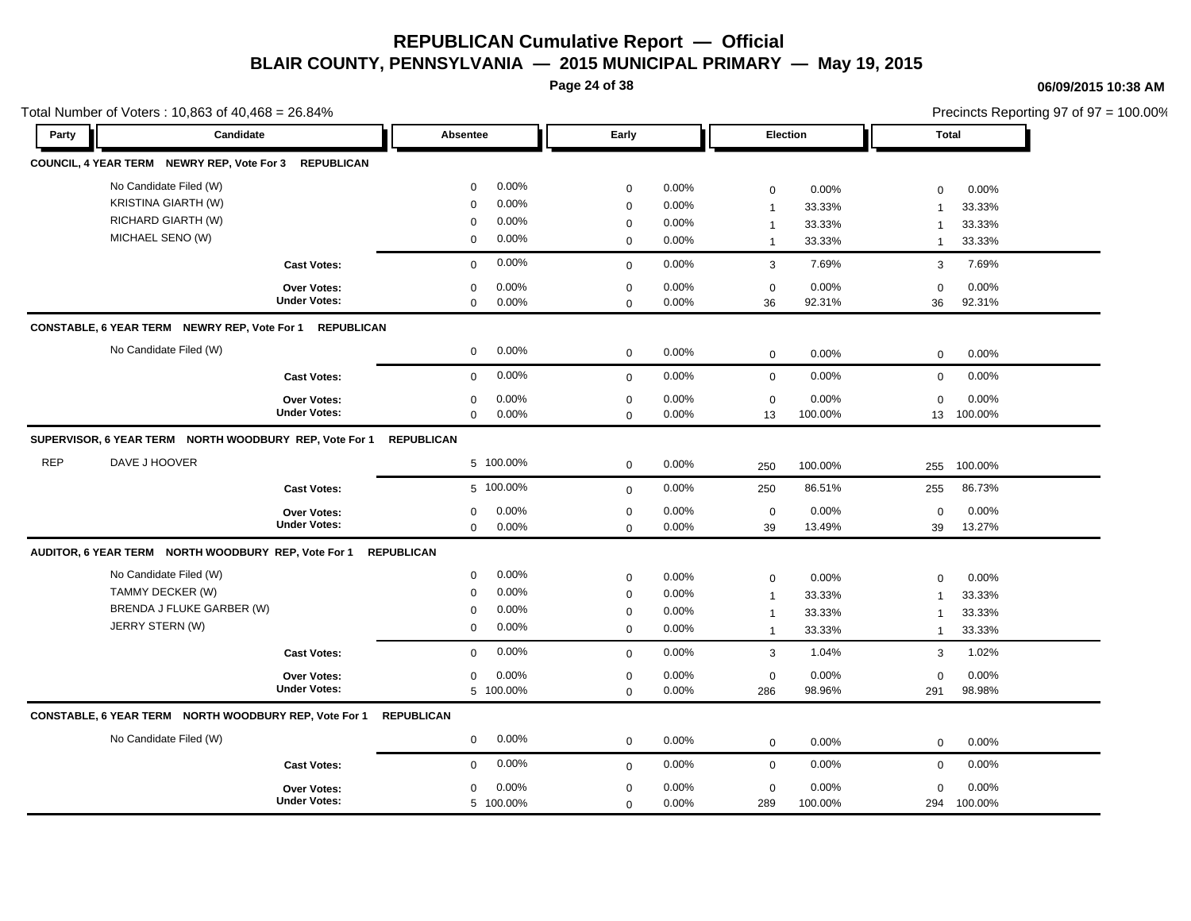**Page 24 of 38**

#### **06/09/2015 10:38 AM**

|            | Total Number of Voters: 10,863 of 40,468 = 26.84%                                          |                                           |                                                                                    |                                                |                                  |                                                       |                                     |                                                                 | Precincts Reporting 97 of 97 = 100.00% |
|------------|--------------------------------------------------------------------------------------------|-------------------------------------------|------------------------------------------------------------------------------------|------------------------------------------------|----------------------------------|-------------------------------------------------------|-------------------------------------|-----------------------------------------------------------------|----------------------------------------|
| Party      | Candidate                                                                                  |                                           | Absentee                                                                           | Early                                          |                                  |                                                       | Election                            | <b>Total</b>                                                    |                                        |
|            | COUNCIL, 4 YEAR TERM NEWRY REP, Vote For 3 REPUBLICAN                                      |                                           |                                                                                    |                                                |                                  |                                                       |                                     |                                                                 |                                        |
|            | No Candidate Filed (W)<br><b>KRISTINA GIARTH (W)</b><br>RICHARD GIARTH (W)                 |                                           | 0.00%<br>$\mathbf 0$<br>0.00%<br>$\Omega$<br>0.00%<br>$\Omega$                     | $\mathbf 0$<br>0<br>0                          | 0.00%<br>0.00%<br>0.00%          | 0<br>$\overline{1}$<br>$\overline{1}$                 | 0.00%<br>33.33%<br>33.33%           | $\Omega$<br>$\mathbf 1$<br>$\overline{1}$                       | 0.00%<br>33.33%<br>33.33%              |
|            | MICHAEL SENO (W)                                                                           |                                           | $0.00\%$<br>$\mathbf 0$                                                            | $\mathbf 0$                                    | 0.00%                            | $\overline{1}$                                        | 33.33%                              | $\mathbf{1}$                                                    | 33.33%                                 |
|            |                                                                                            | <b>Cast Votes:</b>                        | 0.00%<br>$\mathbf 0$                                                               | $\mathbf 0$                                    | 0.00%                            | $\mathbf{3}$                                          | 7.69%                               | 3                                                               | 7.69%                                  |
|            |                                                                                            | Over Votes:<br><b>Under Votes:</b>        | 0.00%<br>0<br>0.00%<br>0                                                           | $\mathsf 0$<br>$\Omega$                        | 0.00%<br>0.00%                   | $\mathsf 0$<br>36                                     | 0.00%<br>92.31%                     | $\mathbf 0$<br>36                                               | 0.00%<br>92.31%                        |
|            | CONSTABLE, 6 YEAR TERM NEWRY REP, Vote For 1                                               | <b>REPUBLICAN</b>                         |                                                                                    |                                                |                                  |                                                       |                                     |                                                                 |                                        |
|            | No Candidate Filed (W)                                                                     |                                           | $0.00\%$<br>$\mathbf 0$                                                            | $\mathbf 0$                                    | 0.00%                            | $\mathbf 0$                                           | 0.00%                               | $\mathbf 0$                                                     | 0.00%                                  |
|            |                                                                                            | <b>Cast Votes:</b>                        | 0.00%<br>$\mathbf{0}$                                                              | $\mathbf 0$                                    | $0.00\%$                         | $\mathbf 0$                                           | 0.00%                               | $\mathbf 0$                                                     | 0.00%                                  |
|            |                                                                                            | <b>Over Votes:</b><br><b>Under Votes:</b> | 0.00%<br>0<br>$0.00\%$<br>$\mathbf 0$                                              | 0<br>$\Omega$                                  | 0.00%<br>0.00%                   | 0<br>13                                               | 0.00%<br>100.00%                    | $\mathbf 0$<br>13                                               | 0.00%<br>100.00%                       |
|            | SUPERVISOR, 6 YEAR TERM NORTH WOODBURY REP, Vote For 1                                     |                                           | <b>REPUBLICAN</b>                                                                  |                                                |                                  |                                                       |                                     |                                                                 |                                        |
| <b>REP</b> | DAVE J HOOVER                                                                              |                                           | 5 100.00%                                                                          | $\mathbf 0$                                    | 0.00%                            | 250                                                   | 100.00%                             | 255                                                             | 100.00%                                |
|            |                                                                                            | <b>Cast Votes:</b>                        | 5 100.00%                                                                          | $\mathbf 0$                                    | 0.00%                            | 250                                                   | 86.51%                              | 255                                                             | 86.73%                                 |
|            |                                                                                            | <b>Over Votes:</b><br><b>Under Votes:</b> | 0.00%<br>0<br>$\mathbf 0$<br>$0.00\%$                                              | 0<br>$\mathbf 0$                               | 0.00%<br>0.00%                   | $\mathsf 0$<br>39                                     | 0.00%<br>13.49%                     | $\mathbf 0$<br>39                                               | 0.00%<br>13.27%                        |
|            | AUDITOR, 6 YEAR TERM NORTH WOODBURY REP, Vote For 1                                        |                                           | <b>REPUBLICAN</b>                                                                  |                                                |                                  |                                                       |                                     |                                                                 |                                        |
|            | No Candidate Filed (W)<br>TAMMY DECKER (W)<br>BRENDA J FLUKE GARBER (W)<br>JERRY STERN (W) |                                           | 0.00%<br>$\mathbf 0$<br>0.00%<br>$\mathbf 0$<br>0.00%<br>0<br>0.00%<br>$\mathbf 0$ | $\mathbf 0$<br>$\mathbf 0$<br>$\mathbf 0$<br>0 | 0.00%<br>0.00%<br>0.00%<br>0.00% | 0<br>$\mathbf{1}$<br>$\overline{1}$<br>$\overline{1}$ | 0.00%<br>33.33%<br>33.33%<br>33.33% | $\mathbf 0$<br>$\overline{1}$<br>$\overline{1}$<br>$\mathbf{1}$ | 0.00%<br>33.33%<br>33.33%<br>33.33%    |
|            |                                                                                            | <b>Cast Votes:</b>                        | 0.00%<br>$\mathbf 0$                                                               | $\mathbf 0$                                    | 0.00%                            | 3                                                     | 1.04%                               | 3                                                               | 1.02%                                  |
|            |                                                                                            | <b>Over Votes:</b><br><b>Under Votes:</b> | 0.00%<br>$\mathbf{0}$<br>5 100.00%                                                 | 0<br>$\mathbf 0$                               | 0.00%<br>0.00%                   | 0<br>286                                              | 0.00%<br>98.96%                     | $\mathbf 0$<br>291                                              | 0.00%<br>98.98%                        |
|            | CONSTABLE, 6 YEAR TERM NORTH WOODBURY REP, Vote For 1                                      |                                           | <b>REPUBLICAN</b>                                                                  |                                                |                                  |                                                       |                                     |                                                                 |                                        |
|            | No Candidate Filed (W)                                                                     |                                           | $0.00\%$<br>$\mathbf{0}$                                                           | $\mathbf 0$                                    | 0.00%                            | $\mathbf 0$                                           | 0.00%                               | $\mathbf 0$                                                     | 0.00%                                  |
|            |                                                                                            | <b>Cast Votes:</b>                        | 0.00%<br>0                                                                         | $\mathbf 0$                                    | 0.00%                            | $\mathbf 0$                                           | 0.00%                               | $\mathbf 0$                                                     | 0.00%                                  |
|            |                                                                                            | <b>Over Votes:</b><br><b>Under Votes:</b> | 0.00%<br>$\Omega$<br>5 100.00%                                                     | 0<br>$\mathbf 0$                               | 0.00%<br>$0.00\%$                | $\mathbf 0$<br>289                                    | 0.00%<br>100.00%                    | $\Omega$                                                        | 0.00%<br>294 100.00%                   |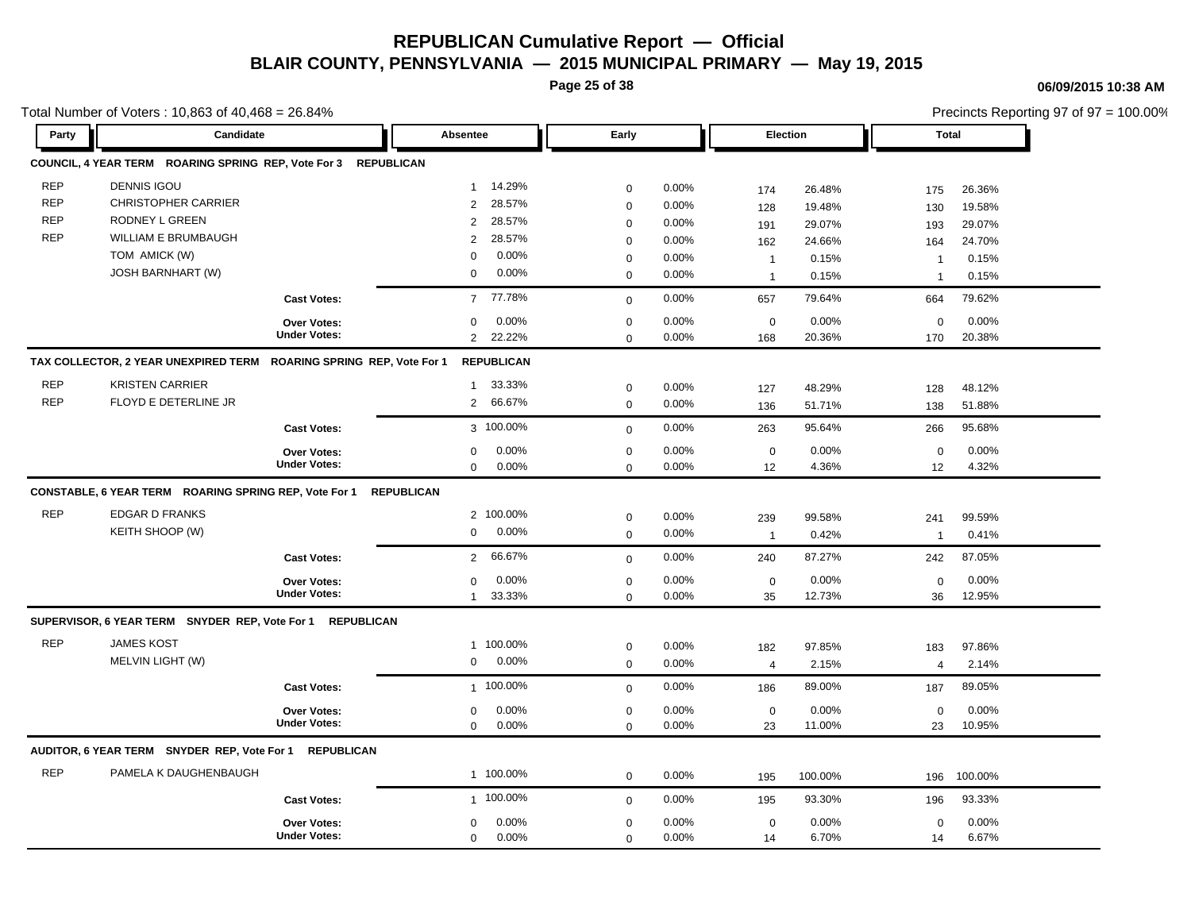**Page 25 of 38**

### **06/09/2015 10:38 AM**

|            | Total Number of Voters: 10,863 of 40,468 = 26.84%                   |                                           |                                 |                            |                |                           |                 | Precincts Reporting 97 of 97 = 100.00% |                 |  |
|------------|---------------------------------------------------------------------|-------------------------------------------|---------------------------------|----------------------------|----------------|---------------------------|-----------------|----------------------------------------|-----------------|--|
| Party      | Candidate                                                           |                                           | Absentee                        | Early                      |                | <b>Election</b>           |                 | <b>Total</b>                           |                 |  |
|            | COUNCIL, 4 YEAR TERM ROARING SPRING REP, Vote For 3                 | <b>REPUBLICAN</b>                         |                                 |                            |                |                           |                 |                                        |                 |  |
| <b>REP</b> | <b>DENNIS IGOU</b>                                                  |                                           | 14.29%<br>$\mathbf{1}$          | $\mathbf 0$                | 0.00%          | 174                       | 26.48%          | 175                                    | 26.36%          |  |
| <b>REP</b> | <b>CHRISTOPHER CARRIER</b>                                          |                                           | 28.57%<br>2                     | $\mathbf 0$                | 0.00%          | 128                       | 19.48%          | 130                                    | 19.58%          |  |
| <b>REP</b> | RODNEY L GREEN                                                      |                                           | 28.57%<br>2                     | $\mathbf 0$                | 0.00%          | 191                       | 29.07%          | 193                                    | 29.07%          |  |
| <b>REP</b> | <b>WILLIAM E BRUMBAUGH</b>                                          |                                           | 28.57%<br>2                     | $\Omega$                   | 0.00%          | 162                       | 24.66%          | 164                                    | 24.70%          |  |
|            | TOM AMICK (W)                                                       |                                           | 0.00%<br>0                      | $\mathbf 0$                | 0.00%          | $\mathbf{1}$              | 0.15%           | $\mathbf 1$                            | 0.15%           |  |
|            | <b>JOSH BARNHART (W)</b>                                            |                                           | 0.00%<br>$\mathbf 0$            | $\mathbf 0$                | 0.00%          | $\mathbf{1}$              | 0.15%           | $\overline{1}$                         | 0.15%           |  |
|            |                                                                     | <b>Cast Votes:</b>                        | 77.78%<br>$7^{\circ}$           | $\mathbf 0$                | 0.00%          | 657                       | 79.64%          | 664                                    | 79.62%          |  |
|            |                                                                     | Over Votes:                               | 0.00%<br>$\Omega$               | $\Omega$                   | 0.00%          | $\pmb{0}$                 | 0.00%           | $\mathbf 0$                            | 0.00%           |  |
|            |                                                                     | <b>Under Votes:</b>                       | $\overline{2}$<br>22.22%        | $\mathbf 0$                | 0.00%          | 168                       | 20.36%          | 170                                    | 20.38%          |  |
|            | TAX COLLECTOR, 2 YEAR UNEXPIRED TERM ROARING SPRING REP, Vote For 1 |                                           | <b>REPUBLICAN</b>               |                            |                |                           |                 |                                        |                 |  |
| <b>REP</b> | <b>KRISTEN CARRIER</b>                                              |                                           | 33.33%<br>$\mathbf{1}$          | $\mathbf 0$                | 0.00%          | 127                       | 48.29%          | 128                                    | 48.12%          |  |
| <b>REP</b> | FLOYD E DETERLINE JR                                                |                                           | 66.67%<br>$\overline{2}$        | $\mathbf 0$                | 0.00%          | 136                       | 51.71%          | 138                                    | 51.88%          |  |
|            |                                                                     | <b>Cast Votes:</b>                        | 3 100.00%                       | $\mathbf 0$                | 0.00%          | 263                       | 95.64%          | 266                                    | 95.68%          |  |
|            |                                                                     |                                           |                                 |                            |                |                           |                 |                                        | 0.00%           |  |
|            |                                                                     |                                           |                                 |                            |                |                           |                 |                                        |                 |  |
|            |                                                                     | <b>Over Votes:</b><br><b>Under Votes:</b> | 0.00%<br>$\Omega$<br>0.00%<br>0 | $\mathbf 0$<br>$\mathbf 0$ | 0.00%<br>0.00% | $\mathsf{O}\xspace$<br>12 | 0.00%<br>4.36%  | $\mathbf 0$<br>12                      | 4.32%           |  |
|            | CONSTABLE, 6 YEAR TERM ROARING SPRING REP, Vote For 1               |                                           | <b>REPUBLICAN</b>               |                            |                |                           |                 |                                        |                 |  |
| <b>REP</b> | <b>EDGAR D FRANKS</b>                                               |                                           | 2 100.00%                       |                            |                |                           |                 |                                        |                 |  |
|            | KEITH SHOOP (W)                                                     |                                           | 0.00%<br>$\mathbf 0$            | $\mathbf 0$<br>$\mathbf 0$ | 0.00%<br>0.00% | 239<br>$\overline{1}$     | 99.58%<br>0.42% | 241<br>$\mathbf{1}$                    | 99.59%<br>0.41% |  |
|            |                                                                     | <b>Cast Votes:</b>                        | 66.67%<br>$\overline{2}$        | $\mathbf 0$                | 0.00%          | 240                       | 87.27%          | 242                                    | 87.05%          |  |
|            |                                                                     |                                           | $0.00\%$<br>$\Omega$            | $\Omega$                   | 0.00%          |                           | 0.00%           |                                        | 0.00%           |  |
|            |                                                                     | Over Votes:<br><b>Under Votes:</b>        | 33.33%<br>$\mathbf{1}$          | $\mathbf 0$                | 0.00%          | $\pmb{0}$<br>35           | 12.73%          | $\mathbf 0$<br>36                      | 12.95%          |  |
|            | SUPERVISOR, 6 YEAR TERM SNYDER REP, Vote For 1 REPUBLICAN           |                                           |                                 |                            |                |                           |                 |                                        |                 |  |
| <b>REP</b> | <b>JAMES KOST</b>                                                   |                                           | 1 100.00%                       |                            |                |                           |                 |                                        |                 |  |
|            | MELVIN LIGHT (W)                                                    |                                           | 0.00%<br>0                      | $\mathbf 0$<br>$\mathbf 0$ | 0.00%<br>0.00% | 182<br>$\overline{4}$     | 97.85%<br>2.15% | 183<br>$\overline{4}$                  | 97.86%<br>2.14% |  |
|            |                                                                     | <b>Cast Votes:</b>                        | 1 100.00%                       | $\mathbf 0$                | 0.00%          | 186                       | 89.00%          | 187                                    | 89.05%          |  |
|            |                                                                     |                                           | $\Omega$                        |                            |                |                           |                 |                                        |                 |  |
|            |                                                                     | <b>Over Votes:</b><br><b>Under Votes:</b> | 0.00%<br>0.00%<br>$\Omega$      | $\mathbf 0$<br>$\mathbf 0$ | 0.00%<br>0.00% | $\pmb{0}$<br>23           | 0.00%<br>11.00% | $\mathbf 0$<br>23                      | 0.00%<br>10.95% |  |
|            | AUDITOR, 6 YEAR TERM SNYDER REP, Vote For 1                         | <b>REPUBLICAN</b>                         |                                 |                            |                |                           |                 |                                        |                 |  |
| <b>REP</b> | PAMELA K DAUGHENBAUGH                                               |                                           | 1 100.00%                       | $\mathbf 0$                | 0.00%          | 195                       | 100.00%         | 196                                    | 100.00%         |  |
|            |                                                                     | <b>Cast Votes:</b>                        | 1 100.00%                       | $\mathbf 0$                | 0.00%          | 195                       | 93.30%          | 196                                    | 93.33%          |  |
|            |                                                                     | <b>Over Votes:</b>                        | 0.00%<br>0                      | $\mathbf 0$                | 0.00%          | $\mathbf 0$               | 0.00%           | 0                                      | 0.00%           |  |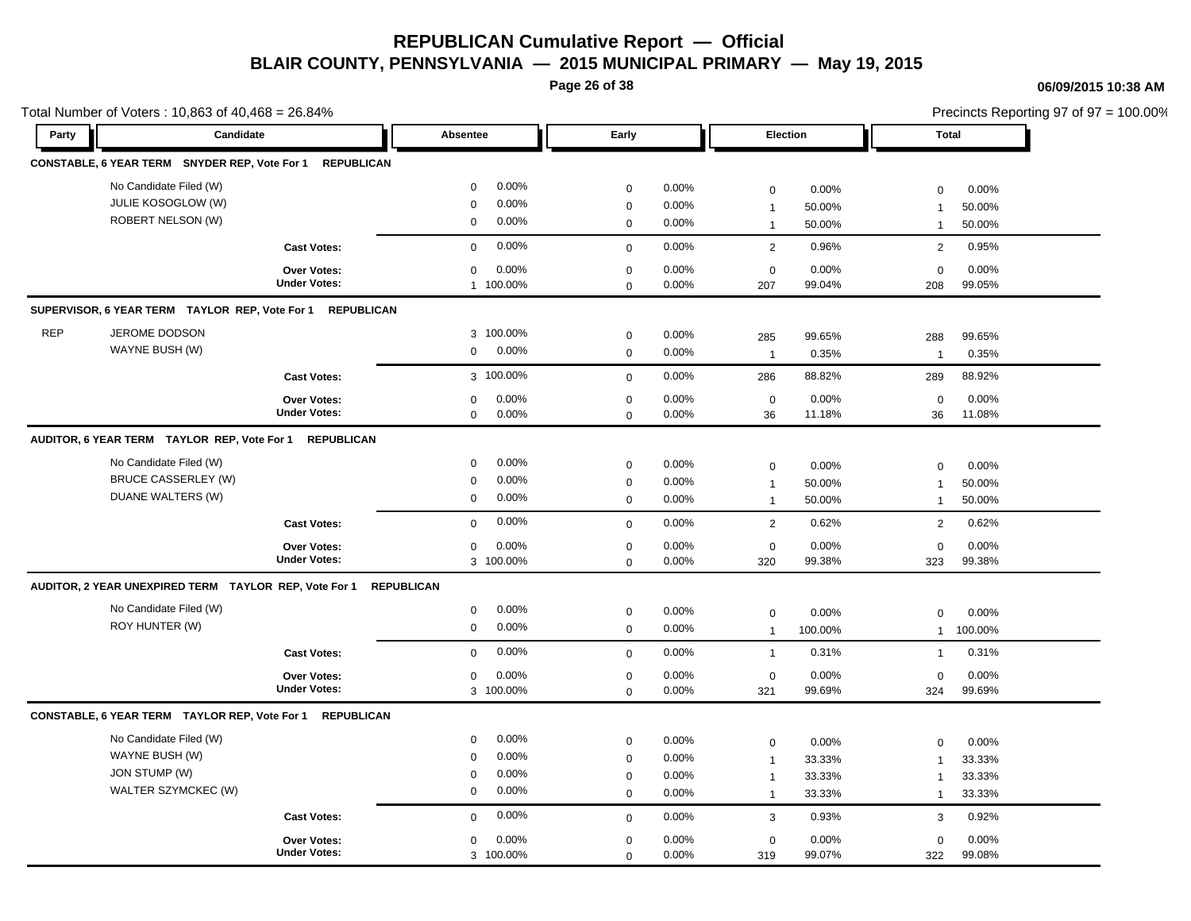**Page 26 of 38**

#### **06/09/2015 10:38 AM**

|            | Total Number of Voters: 10,863 of 40,468 = 26.84%                                |                                           |                                                                                       |                                      |                                     |                                                       |                                     |                                                             |                                     | Precincts Reporting 97 of 97 = 100.00% |
|------------|----------------------------------------------------------------------------------|-------------------------------------------|---------------------------------------------------------------------------------------|--------------------------------------|-------------------------------------|-------------------------------------------------------|-------------------------------------|-------------------------------------------------------------|-------------------------------------|----------------------------------------|
| Party      | Candidate                                                                        |                                           | Absentee                                                                              | Early                                |                                     | Election                                              |                                     | <b>Total</b>                                                |                                     |                                        |
|            | CONSTABLE, 6 YEAR TERM SNYDER REP, Vote For 1 REPUBLICAN                         |                                           |                                                                                       |                                      |                                     |                                                       |                                     |                                                             |                                     |                                        |
|            | No Candidate Filed (W)<br>JULIE KOSOGLOW (W)<br><b>ROBERT NELSON (W)</b>         |                                           | $0.00\%$<br>$\mathbf 0$<br>0.00%<br>$\mathbf 0$<br>$0.00\%$<br>$\mathbf 0$            | 0<br>$\mathbf 0$<br>$\mathbf 0$      | 0.00%<br>0.00%<br>0.00%             | $\mathbf 0$<br>$\overline{1}$<br>$\overline{1}$       | 0.00%<br>50.00%<br>50.00%           | $\mathbf 0$<br>$\mathbf{1}$<br>$\mathbf{1}$                 | 0.00%<br>50.00%<br>50.00%           |                                        |
|            |                                                                                  | <b>Cast Votes:</b>                        | 0.00%<br>$\mathbf 0$                                                                  | $\mathbf{0}$                         | 0.00%                               | 2                                                     | 0.96%                               | 2                                                           | 0.95%                               |                                        |
|            |                                                                                  | Over Votes:<br><b>Under Votes:</b>        | 0.00%<br>$\mathbf 0$<br>1 100.00%                                                     | $\mathbf 0$<br>$\mathbf 0$           | 0.00%<br>0.00%                      | $\mathbf 0$<br>207                                    | 0.00%<br>99.04%                     | $\mathbf 0$<br>208                                          | 0.00%<br>99.05%                     |                                        |
|            | SUPERVISOR, 6 YEAR TERM TAYLOR REP, Vote For 1 REPUBLICAN                        |                                           |                                                                                       |                                      |                                     |                                                       |                                     |                                                             |                                     |                                        |
| <b>REP</b> | JEROME DODSON<br>WAYNE BUSH (W)                                                  |                                           | 3 100.00%<br>0.00%<br>$\mathbf 0$                                                     | 0<br>$\mathbf 0$                     | 0.00%<br>0.00%                      | 285<br>$\overline{1}$                                 | 99.65%<br>0.35%                     | 288<br>$\mathbf{1}$                                         | 99.65%<br>0.35%                     |                                        |
|            |                                                                                  | <b>Cast Votes:</b>                        | 3 100.00%                                                                             | $\mathbf 0$                          | 0.00%                               | 286                                                   | 88.82%                              | 289                                                         | 88.92%                              |                                        |
|            |                                                                                  | Over Votes:<br><b>Under Votes:</b>        | 0.00%<br>0<br>0.00%<br>$\mathbf 0$                                                    | 0<br>0                               | 0.00%<br>$0.00\%$                   | $\pmb{0}$<br>36                                       | 0.00%<br>11.18%                     | $\mathbf 0$<br>36                                           | 0.00%<br>11.08%                     |                                        |
|            | AUDITOR, 6 YEAR TERM TAYLOR REP, Vote For 1                                      | <b>REPUBLICAN</b>                         |                                                                                       |                                      |                                     |                                                       |                                     |                                                             |                                     |                                        |
|            | No Candidate Filed (W)<br><b>BRUCE CASSERLEY (W)</b><br>DUANE WALTERS (W)        |                                           | 0.00%<br>$\mathbf 0$<br>0.00%<br>$\mathbf 0$<br>0.00%<br>$\mathbf 0$                  | $\mathbf 0$<br>$\mathbf 0$<br>0      | 0.00%<br>0.00%<br>0.00%             | 0<br>$\overline{\mathbf{1}}$<br>$\overline{1}$        | 0.00%<br>50.00%<br>50.00%           | $\mathbf 0$<br>$\mathbf{1}$<br>$\mathbf{1}$                 | 0.00%<br>50.00%<br>50.00%           |                                        |
|            |                                                                                  | <b>Cast Votes:</b>                        | 0.00%<br>$\mathbf{0}$                                                                 | $\mathbf 0$                          | 0.00%                               | $\overline{2}$                                        | 0.62%                               | 2                                                           | 0.62%                               |                                        |
|            |                                                                                  | <b>Over Votes:</b><br><b>Under Votes:</b> | 0.00%<br>$\mathbf 0$<br>3 100.00%                                                     | $\mathbf 0$<br>$\Omega$              | 0.00%<br>0.00%                      | $\mathbf 0$<br>320                                    | 0.00%<br>99.38%                     | $\mathbf 0$<br>323                                          | 0.00%<br>99.38%                     |                                        |
|            | AUDITOR, 2 YEAR UNEXPIRED TERM TAYLOR REP, Vote For 1                            |                                           | <b>REPUBLICAN</b>                                                                     |                                      |                                     |                                                       |                                     |                                                             |                                     |                                        |
|            | No Candidate Filed (W)<br>ROY HUNTER (W)                                         |                                           | 0.00%<br>$\mathbf 0$<br>$\mathbf 0$<br>$0.00\%$                                       | 0<br>$\mathbf 0$                     | 0.00%<br>0.00%                      | 0<br>$\overline{1}$                                   | 0.00%<br>100.00%                    | $\mathbf 0$<br>$\mathbf{1}$                                 | 0.00%<br>100.00%                    |                                        |
|            |                                                                                  | <b>Cast Votes:</b>                        | 0.00%<br>$\mathbf 0$                                                                  | $\mathbf 0$                          | 0.00%                               | $\overline{1}$                                        | 0.31%                               | $\mathbf{1}$                                                | 0.31%                               |                                        |
|            |                                                                                  | Over Votes:<br><b>Under Votes:</b>        | 0.00%<br>$\mathbf 0$<br>3 100.00%                                                     | $\mathbf 0$<br>$\mathbf 0$           | 0.00%<br>0.00%                      | $\mathbf 0$<br>321                                    | 0.00%<br>99.69%                     | $\mathbf 0$<br>324                                          | 0.00%<br>99.69%                     |                                        |
|            | CONSTABLE, 6 YEAR TERM TAYLOR REP, Vote For 1 REPUBLICAN                         |                                           |                                                                                       |                                      |                                     |                                                       |                                     |                                                             |                                     |                                        |
|            | No Candidate Filed (W)<br>WAYNE BUSH (W)<br>JON STUMP (W)<br>WALTER SZYMCKEC (W) |                                           | 0.00%<br>$\mathbf 0$<br>0.00%<br>$\mathbf 0$<br>$0.00\%$<br>0<br>0.00%<br>$\mathbf 0$ | 0<br>0<br>$\mathbf 0$<br>$\mathbf 0$ | 0.00%<br>0.00%<br>0.00%<br>$0.00\%$ | 0<br>$\overline{1}$<br>$\overline{1}$<br>$\mathbf{1}$ | 0.00%<br>33.33%<br>33.33%<br>33.33% | $\mathbf 0$<br>$\mathbf{1}$<br>$\mathbf{1}$<br>$\mathbf{1}$ | 0.00%<br>33.33%<br>33.33%<br>33.33% |                                        |
|            |                                                                                  | <b>Cast Votes:</b>                        | $0.00\%$<br>$\mathbf{0}$                                                              | 0                                    | 0.00%                               | 3                                                     | 0.93%                               | 3                                                           | 0.92%                               |                                        |
|            |                                                                                  | <b>Over Votes:</b><br><b>Under Votes:</b> | 0.00%<br>$\mathbf 0$<br>3 100.00%                                                     | 0<br>$\mathbf 0$                     | 0.00%<br>0.00%                      | 0<br>319                                              | 0.00%<br>99.07%                     | $\mathbf 0$<br>322                                          | 0.00%<br>99.08%                     |                                        |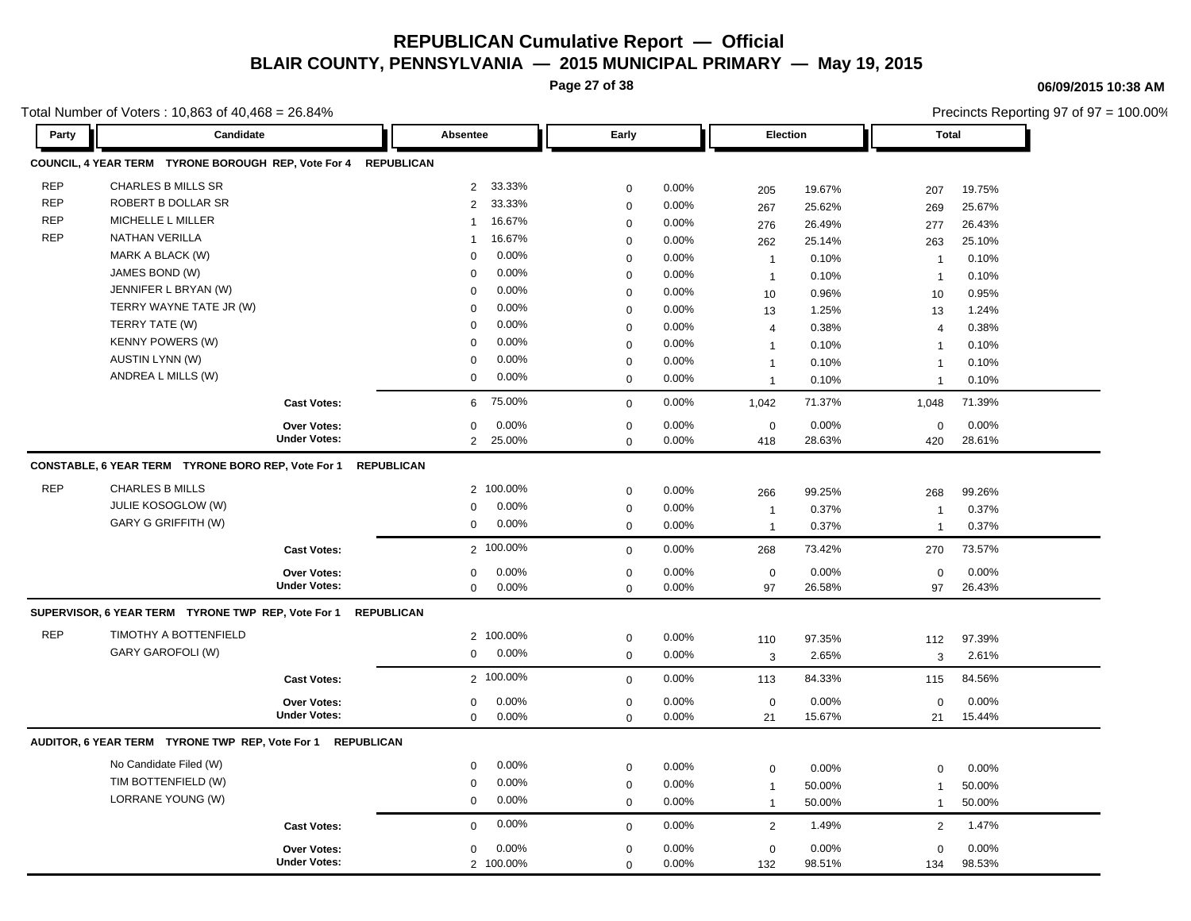**Page 27 of 38**

**06/09/2015 10:38 AM**

|            | Total Number of Voters: 10,863 of 40,468 = 26.84%              |                     |                            |             |          |                 |        |                | Precincts Reporting 97 of 97 = 100.00% |
|------------|----------------------------------------------------------------|---------------------|----------------------------|-------------|----------|-----------------|--------|----------------|----------------------------------------|
| Party      | Candidate                                                      |                     | Absentee                   | Early       |          | <b>Election</b> |        | <b>Total</b>   |                                        |
|            | COUNCIL, 4 YEAR TERM TYRONE BOROUGH REP, Vote For 4 REPUBLICAN |                     |                            |             |          |                 |        |                |                                        |
| <b>REP</b> | <b>CHARLES B MILLS SR</b>                                      |                     | 2 33.33%                   | 0           | 0.00%    | 205             | 19.67% | 207            | 19.75%                                 |
| <b>REP</b> | ROBERT B DOLLAR SR                                             |                     | 33.33%<br>$\overline{2}$   | $\pmb{0}$   | 0.00%    | 267             | 25.62% | 269            | 25.67%                                 |
| <b>REP</b> | MICHELLE L MILLER                                              |                     | 16.67%<br>$\overline{1}$   | $\mathbf 0$ | 0.00%    | 276             | 26.49% | 277            | 26.43%                                 |
| <b>REP</b> | <b>NATHAN VERILLA</b>                                          |                     | 16.67%<br>-1               | $\mathbf 0$ | 0.00%    | 262             | 25.14% | 263            | 25.10%                                 |
|            | MARK A BLACK (W)                                               |                     | 0.00%<br>$\mathbf 0$       | $\mathbf 0$ | 0.00%    | $\overline{1}$  | 0.10%  | $\mathbf{1}$   | 0.10%                                  |
|            | JAMES BOND (W)                                                 |                     | 0.00%<br>$\Omega$          | $\mathbf 0$ | 0.00%    | $\overline{1}$  | 0.10%  | $\overline{1}$ | 0.10%                                  |
|            | JENNIFER L BRYAN (W)                                           |                     | 0.00%<br>0                 | $\mathbf 0$ | 0.00%    | 10              | 0.96%  | 10             | 0.95%                                  |
|            | TERRY WAYNE TATE JR (W)                                        |                     | 0.00%<br>$\Omega$          | $\mathbf 0$ | $0.00\%$ | 13              | 1.25%  | 13             | 1.24%                                  |
|            | TERRY TATE (W)                                                 |                     | 0.00%<br>0                 | $\mathbf 0$ | 0.00%    | 4               | 0.38%  | $\overline{4}$ | 0.38%                                  |
|            | <b>KENNY POWERS (W)</b>                                        |                     | 0.00%<br>0                 | $\mathbf 0$ | 0.00%    | $\mathbf 1$     | 0.10%  | $\mathbf{1}$   | 0.10%                                  |
|            | <b>AUSTIN LYNN (W)</b>                                         |                     | 0.00%<br>$\mathbf 0$       | $\mathbf 0$ | 0.00%    | $\overline{1}$  | 0.10%  | $\mathbf{1}$   | 0.10%                                  |
|            | ANDREA L MILLS (W)                                             |                     | 0.00%<br>0                 | $\mathbf 0$ | $0.00\%$ | $\mathbf{1}$    | 0.10%  | $\mathbf{1}$   | 0.10%                                  |
|            |                                                                | <b>Cast Votes:</b>  | 75.00%<br>6                | $\mathbf 0$ | 0.00%    | 1,042           | 71.37% | 1,048          | 71.39%                                 |
|            |                                                                | Over Votes:         | 0.00%<br>0                 | $\mathbf 0$ | 0.00%    | $\mathbf 0$     | 0.00%  | $\mathbf 0$    | 0.00%                                  |
|            |                                                                | <b>Under Votes:</b> | $\overline{2}$<br>25.00%   | $\mathbf 0$ | 0.00%    | 418             | 28.63% | 420            | 28.61%                                 |
|            | CONSTABLE, 6 YEAR TERM TYRONE BORO REP, Vote For 1 REPUBLICAN  |                     |                            |             |          |                 |        |                |                                        |
| <b>REP</b> | <b>CHARLES B MILLS</b>                                         |                     | 2 100.00%                  | 0           | 0.00%    | 266             | 99.25% | 268            | 99.26%                                 |
|            | JULIE KOSOGLOW (W)                                             |                     | 0.00%<br>0                 | $\mathbf 0$ | 0.00%    | $\mathbf 1$     | 0.37%  | $\overline{1}$ | 0.37%                                  |
|            | GARY G GRIFFITH (W)                                            |                     | 0.00%<br>0                 | $\mathbf 0$ | 0.00%    | $\mathbf{1}$    | 0.37%  | $\mathbf{1}$   | 0.37%                                  |
|            |                                                                | <b>Cast Votes:</b>  | 2 100.00%                  | $\mathbf 0$ | 0.00%    | 268             | 73.42% | 270            | 73.57%                                 |
|            |                                                                | <b>Over Votes:</b>  | 0.00%<br>0                 | $\mathbf 0$ | 0.00%    | $\mathbf 0$     | 0.00%  | $\mathbf 0$    | 0.00%                                  |
|            |                                                                | <b>Under Votes:</b> | 0.00%<br>$\mathbf 0$       | $\mathbf 0$ | 0.00%    | 97              | 26.58% | 97             | 26.43%                                 |
|            | SUPERVISOR, 6 YEAR TERM TYRONE TWP REP, Vote For 1 REPUBLICAN  |                     |                            |             |          |                 |        |                |                                        |
| <b>REP</b> | TIMOTHY A BOTTENFIELD                                          |                     | 2 100.00%                  | $\mathbf 0$ | 0.00%    |                 | 97.35% | 112            | 97.39%                                 |
|            | GARY GAROFOLI (W)                                              |                     | $\overline{0}$<br>$0.00\%$ | $\mathbf 0$ | 0.00%    | 110<br>3        | 2.65%  | 3              | 2.61%                                  |
|            |                                                                |                     |                            |             |          |                 |        |                |                                        |
|            |                                                                | <b>Cast Votes:</b>  | 2 100.00%                  | $\mathbf 0$ | 0.00%    | 113             | 84.33% | 115            | 84.56%                                 |
|            |                                                                | Over Votes:         | 0.00%<br>0                 | 0           | 0.00%    | $\mathbf 0$     | 0.00%  | 0              | 0.00%                                  |
|            |                                                                | <b>Under Votes:</b> | 0<br>0.00%                 | $\mathbf 0$ | 0.00%    | 21              | 15.67% | 21             | 15.44%                                 |
|            | AUDITOR, 6 YEAR TERM TYRONE TWP REP, Vote For 1 REPUBLICAN     |                     |                            |             |          |                 |        |                |                                        |
|            | No Candidate Filed (W)                                         |                     | 0.00%<br>0                 | $\mathbf 0$ | 0.00%    | $\pmb{0}$       | 0.00%  | $\mathbf 0$    | 0.00%                                  |
|            | TIM BOTTENFIELD (W)                                            |                     | 0.00%<br>0                 | 0           | 0.00%    | $\overline{1}$  | 50.00% | $\mathbf{1}$   | 50.00%                                 |
|            | LORRANE YOUNG (W)                                              |                     | 0.00%<br>0                 | $\mathbf 0$ | 0.00%    | $\mathbf{1}$    | 50.00% | $\mathbf{1}$   | 50.00%                                 |
|            |                                                                | <b>Cast Votes:</b>  | 0.00%<br>$\mathbf 0$       | $\mathbf 0$ | 0.00%    | 2               | 1.49%  | 2              | 1.47%                                  |
|            |                                                                |                     |                            |             |          |                 |        |                |                                        |
|            |                                                                | Over Votes:         | 0.00%<br>$\mathbf 0$       | $\mathbf 0$ | 0.00%    | $\mathbf 0$     | 0.00%  | $\mathbf 0$    | 0.00%                                  |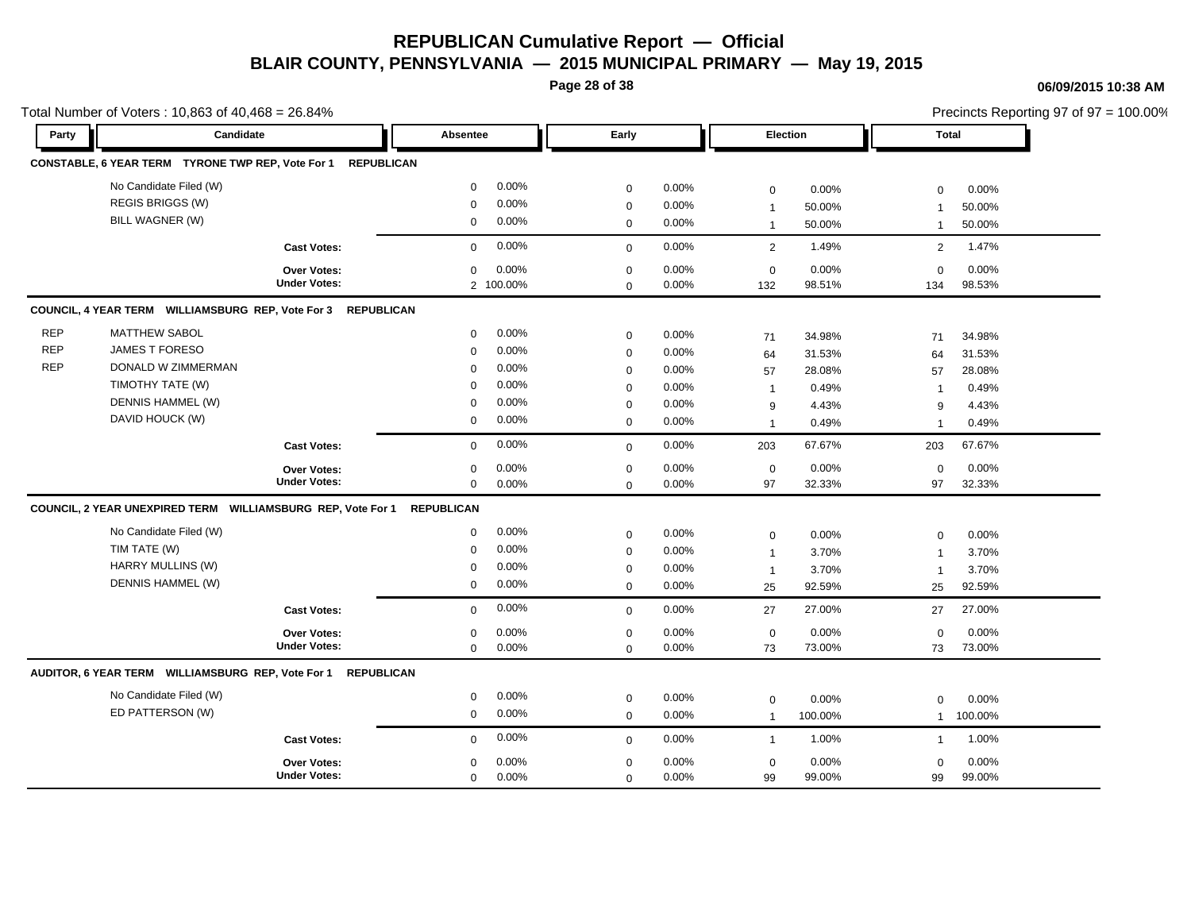**Page 28 of 38**

|            | Total Number of Voters: 10,863 of 40,468 = 26.84%                      |                     |                          |              |       |                 |          |                |           | Precincts Reporting 97 of 97 = 100.00% |
|------------|------------------------------------------------------------------------|---------------------|--------------------------|--------------|-------|-----------------|----------|----------------|-----------|----------------------------------------|
| Party      | Candidate                                                              |                     | Absentee                 | Early        |       | <b>Election</b> |          | Total          |           |                                        |
|            | CONSTABLE, 6 YEAR TERM TYRONE TWP REP, Vote For 1 REPUBLICAN           |                     |                          |              |       |                 |          |                |           |                                        |
|            | No Candidate Filed (W)                                                 |                     | 0.00%<br>$\mathbf 0$     | $\mathbf 0$  | 0.00% | $\mathbf 0$     | 0.00%    | $\mathbf 0$    | 0.00%     |                                        |
|            | REGIS BRIGGS (W)                                                       |                     | 0.00%<br>$\mathbf 0$     | $\mathbf 0$  | 0.00% | -1              | 50.00%   |                | 50.00%    |                                        |
|            | BILL WAGNER (W)                                                        |                     | 0.00%<br>$\Omega$        | $\mathbf 0$  | 0.00% | $\overline{1}$  | 50.00%   |                | 50.00%    |                                        |
|            |                                                                        | <b>Cast Votes:</b>  | 0.00%<br>$\overline{0}$  | $\Omega$     | 0.00% | 2               | 1.49%    | $\overline{2}$ | 1.47%     |                                        |
|            |                                                                        | Over Votes:         | 0.00%<br>$\mathbf 0$     | $\Omega$     | 0.00% | $\mathbf 0$     | 0.00%    | $\mathbf 0$    | 0.00%     |                                        |
|            |                                                                        | <b>Under Votes:</b> | 2 100.00%                | $\mathbf 0$  | 0.00% | 132             | 98.51%   | 134            | 98.53%    |                                        |
|            | COUNCIL, 4 YEAR TERM WILLIAMSBURG REP, Vote For 3 REPUBLICAN           |                     |                          |              |       |                 |          |                |           |                                        |
| <b>REP</b> | <b>MATTHEW SABOL</b>                                                   |                     | 0.00%<br>$\mathbf{0}$    | $\mathbf{0}$ | 0.00% | 71              | 34.98%   | 71             | 34.98%    |                                        |
| <b>REP</b> | <b>JAMES T FORESO</b>                                                  |                     | 0.00%<br>$\Omega$        | $\Omega$     | 0.00% | 64              | 31.53%   | 64             | 31.53%    |                                        |
| <b>REP</b> | DONALD W ZIMMERMAN                                                     |                     | $0.00\%$<br>$\Omega$     | $\Omega$     | 0.00% | 57              | 28.08%   | 57             | 28.08%    |                                        |
|            | TIMOTHY TATE (W)                                                       |                     | 0.00%<br>0               | $\Omega$     | 0.00% | - 1             | 0.49%    |                | 0.49%     |                                        |
|            | DENNIS HAMMEL (W)                                                      |                     | 0.00%<br>$\Omega$        | $\Omega$     | 0.00% | 9               | 4.43%    | 9              | 4.43%     |                                        |
|            | DAVID HOUCK (W)                                                        |                     | 0.00%<br>$\Omega$        | $\mathbf{0}$ | 0.00% | $\overline{1}$  | 0.49%    |                | 0.49%     |                                        |
|            |                                                                        | <b>Cast Votes:</b>  | 0.00%<br>$\mathbf{0}$    | $\mathbf{0}$ | 0.00% | 203             | 67.67%   | 203            | 67.67%    |                                        |
|            |                                                                        | <b>Over Votes:</b>  | 0.00%<br>$\mathbf 0$     | $\Omega$     | 0.00% | $\overline{0}$  | 0.00%    | $\Omega$       | 0.00%     |                                        |
|            |                                                                        | <b>Under Votes:</b> | 0.00%<br>$\mathbf 0$     | $\mathbf 0$  | 0.00% | 97              | 32.33%   | 97             | 32.33%    |                                        |
|            | COUNCIL, 2 YEAR UNEXPIRED TERM WILLIAMSBURG REP, Vote For 1 REPUBLICAN |                     |                          |              |       |                 |          |                |           |                                        |
|            | No Candidate Filed (W)                                                 |                     | 0.00%<br>$\mathbf 0$     | $\mathbf 0$  | 0.00% | $\mathbf 0$     | 0.00%    | $\Omega$       | 0.00%     |                                        |
|            | TIM TATE (W)                                                           |                     | 0.00%<br>0               | 0            | 0.00% | $\overline{1}$  | 3.70%    |                | 3.70%     |                                        |
|            | <b>HARRY MULLINS (W)</b>                                               |                     | 0.00%<br>$\Omega$        | 0            | 0.00% | $\overline{1}$  | 3.70%    |                | 3.70%     |                                        |
|            | DENNIS HAMMEL (W)                                                      |                     | 0.00%<br>$\mathbf{0}$    | $\mathbf 0$  | 0.00% | 25              | 92.59%   | 25             | 92.59%    |                                        |
|            |                                                                        | <b>Cast Votes:</b>  | 0.00%<br>$\Omega$        | $\mathbf{0}$ | 0.00% | 27              | 27.00%   | 27             | 27.00%    |                                        |
|            |                                                                        | <b>Over Votes:</b>  | 0.00%<br>$\mathbf 0$     | 0            | 0.00% | $\mathbf 0$     | 0.00%    | 0              | 0.00%     |                                        |
|            |                                                                        | <b>Under Votes:</b> | 0.00%<br>$\mathbf{0}$    | $\mathbf{0}$ | 0.00% | 73              | 73.00%   | 73             | 73.00%    |                                        |
|            | AUDITOR, 6 YEAR TERM WILLIAMSBURG REP, Vote For 1 REPUBLICAN           |                     |                          |              |       |                 |          |                |           |                                        |
|            | No Candidate Filed (W)                                                 |                     | $0.00\%$<br>$\mathbf 0$  | $\mathbf 0$  | 0.00% | $\mathbf 0$     | $0.00\%$ | $\mathbf 0$    | 0.00%     |                                        |
|            | ED PATTERSON (W)                                                       |                     | $0.00\%$<br>$\mathbf{0}$ | $\mathbf{0}$ | 0.00% | $\overline{1}$  | 100.00%  |                | 1 100.00% |                                        |
|            |                                                                        | <b>Cast Votes:</b>  | $0.00\%$<br>$\mathbf{0}$ | $\mathbf{0}$ | 0.00% | $\overline{1}$  | 1.00%    |                | 1.00%     |                                        |
|            |                                                                        | <b>Over Votes:</b>  | 0.00%<br>$\mathbf 0$     | $\Omega$     | 0.00% | $\mathbf 0$     | 0.00%    | $\Omega$       | 0.00%     |                                        |
|            |                                                                        | <b>Under Votes:</b> | 0.00%<br>$\Omega$        | $\Omega$     | 0.00% | 99              | 99.00%   | 99             | 99.00%    |                                        |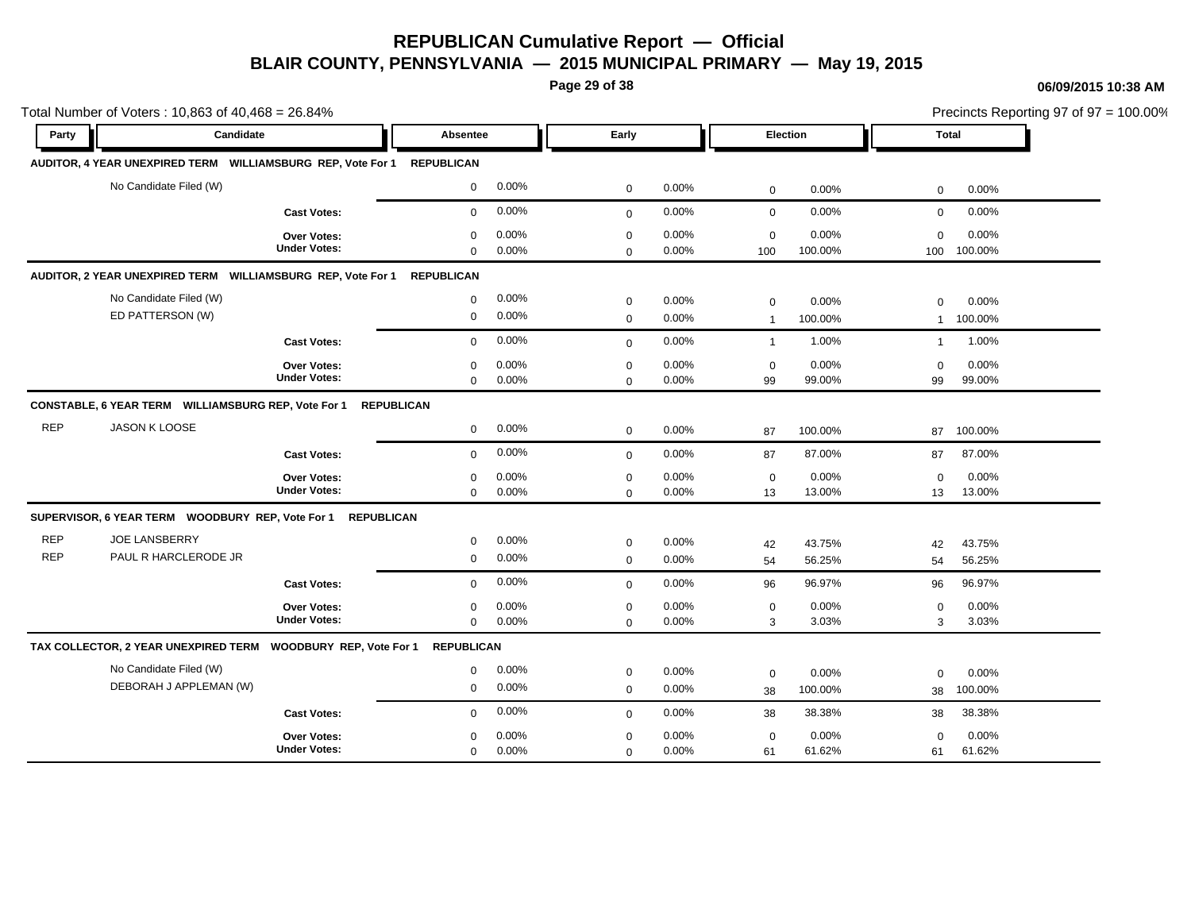**Page 29 of 38**

### **06/09/2015 10:38 AM**

 $\frac{2}{3}$ rincts Reporting 97 of 97 = 100.00%

|                          | Total Number of Voters: 10,863 of 40,468 = 26.84%                            |                                           |                            |                |                            |                |                               |                  |                             |                  | Precincts Reporting 97 of 97 = 100.00% |
|--------------------------|------------------------------------------------------------------------------|-------------------------------------------|----------------------------|----------------|----------------------------|----------------|-------------------------------|------------------|-----------------------------|------------------|----------------------------------------|
| Party                    | Candidate                                                                    |                                           | Absentee                   |                | Early                      |                | Election                      |                  | <b>Total</b>                |                  |                                        |
|                          | AUDITOR, 4 YEAR UNEXPIRED TERM WILLIAMSBURG REP, Vote For 1                  |                                           | <b>REPUBLICAN</b>          |                |                            |                |                               |                  |                             |                  |                                        |
|                          | No Candidate Filed (W)                                                       |                                           | 0                          | 0.00%          | $\mathbf 0$                | 0.00%          | $\mathbf 0$                   | 0.00%            | $\mathbf 0$                 | 0.00%            |                                        |
|                          |                                                                              | <b>Cast Votes:</b>                        | $\mathbf 0$                | 0.00%          | $\mathbf 0$                | 0.00%          | $\mathbf 0$                   | 0.00%            | $\mathbf 0$                 | 0.00%            |                                        |
|                          |                                                                              | <b>Over Votes:</b><br><b>Under Votes:</b> | 0<br>$\Omega$              | 0.00%<br>0.00% | 0<br>$\mathbf 0$           | 0.00%<br>0.00% | $\mathbf 0$<br>100            | 0.00%<br>100.00% | $\mathbf 0$<br>100          | 0.00%<br>100.00% |                                        |
|                          | AUDITOR, 2 YEAR UNEXPIRED TERM    WILLIAMSBURG REP, Vote For 1    REPUBLICAN |                                           |                            |                |                            |                |                               |                  |                             |                  |                                        |
|                          | No Candidate Filed (W)<br>ED PATTERSON (W)                                   |                                           | 0<br>0                     | 0.00%<br>0.00% | $\mathbf 0$<br>$\mathbf 0$ | 0.00%<br>0.00% | $\mathsf 0$<br>$\overline{1}$ | 0.00%<br>100.00% | $\mathbf 0$<br>$\mathbf{1}$ | 0.00%<br>100.00% |                                        |
|                          |                                                                              | <b>Cast Votes:</b>                        | $\mathbf 0$                | 0.00%          | $\Omega$                   | 0.00%          | $\mathbf{1}$                  | 1.00%            | $\mathbf{1}$                | 1.00%            |                                        |
|                          |                                                                              | <b>Over Votes:</b><br><b>Under Votes:</b> | $\mathbf 0$<br>$\mathbf 0$ | 0.00%<br>0.00% | $\mathbf 0$<br>$\mathbf 0$ | 0.00%<br>0.00% | 0<br>99                       | 0.00%<br>99.00%  | $\mathbf 0$<br>99           | 0.00%<br>99.00%  |                                        |
|                          | CONSTABLE, 6 YEAR TERM WILLIAMSBURG REP, Vote For 1                          |                                           | <b>REPUBLICAN</b>          |                |                            |                |                               |                  |                             |                  |                                        |
| <b>REP</b>               | JASON K LOOSE                                                                |                                           | $\mathbf 0$                | 0.00%          | $\mathbf 0$                | 0.00%          | 87                            | 100.00%          | 87                          | 100.00%          |                                        |
|                          |                                                                              | <b>Cast Votes:</b>                        | $\mathbf 0$                | 0.00%          | $\Omega$                   | 0.00%          | 87                            | 87.00%           | 87                          | 87.00%           |                                        |
|                          |                                                                              | <b>Over Votes:</b><br><b>Under Votes:</b> | 0<br>$\mathbf 0$           | 0.00%<br>0.00% | $\mathbf 0$<br>$\mathbf 0$ | 0.00%<br>0.00% | $\mathbf 0$<br>13             | 0.00%<br>13.00%  | $\mathbf 0$<br>13           | 0.00%<br>13.00%  |                                        |
|                          |                                                                              |                                           |                            |                |                            |                |                               |                  |                             |                  |                                        |
| <b>REP</b><br><b>REP</b> | <b>JOE LANSBERRY</b><br>PAUL R HARCLERODE JR                                 |                                           | 0<br>0                     | 0.00%<br>0.00% | $\mathbf 0$<br>$\mathbf 0$ | 0.00%<br>0.00% | 42<br>54                      | 43.75%<br>56.25% | 42<br>54                    | 43.75%<br>56.25% |                                        |
|                          |                                                                              | <b>Cast Votes:</b>                        | 0                          | 0.00%          | $\mathbf 0$                | 0.00%          | 96                            | 96.97%           | 96                          | 96.97%           |                                        |
|                          |                                                                              | Over Votes:<br><b>Under Votes:</b>        | 0<br>0                     | 0.00%<br>0.00% | $\mathbf 0$<br>$\mathbf 0$ | 0.00%<br>0.00% | $\mathbf 0$<br>3              | 0.00%<br>3.03%   | $\mathbf 0$<br>3            | 0.00%<br>3.03%   |                                        |
|                          | TAX COLLECTOR, 2 YEAR UNEXPIRED TERM  WOODBURY REP, Vote For 1               |                                           | <b>REPUBLICAN</b>          |                |                            |                |                               |                  |                             |                  |                                        |
|                          | No Candidate Filed (W)<br>DEBORAH J APPLEMAN (W)                             |                                           | 0<br>0                     | 0.00%<br>0.00% | 0<br>$\mathbf 0$           | 0.00%<br>0.00% | $\mathbf 0$<br>38             | 0.00%<br>100.00% | $\mathbf 0$<br>38           | 0.00%<br>100.00% |                                        |
|                          |                                                                              | <b>Cast Votes:</b>                        | 0                          | 0.00%          | $\mathbf 0$                | 0.00%          | 38                            | 38.38%           | 38                          | 38.38%           |                                        |
|                          |                                                                              | <b>Over Votes:</b><br><b>Under Votes:</b> | $\Omega$<br>$\mathbf 0$    | 0.00%<br>0.00% | $\mathbf 0$<br>$\mathbf 0$ | 0.00%<br>0.00% | $\mathbf 0$<br>61             | 0.00%<br>61.62%  | $\mathbf 0$<br>61           | 0.00%<br>61.62%  |                                        |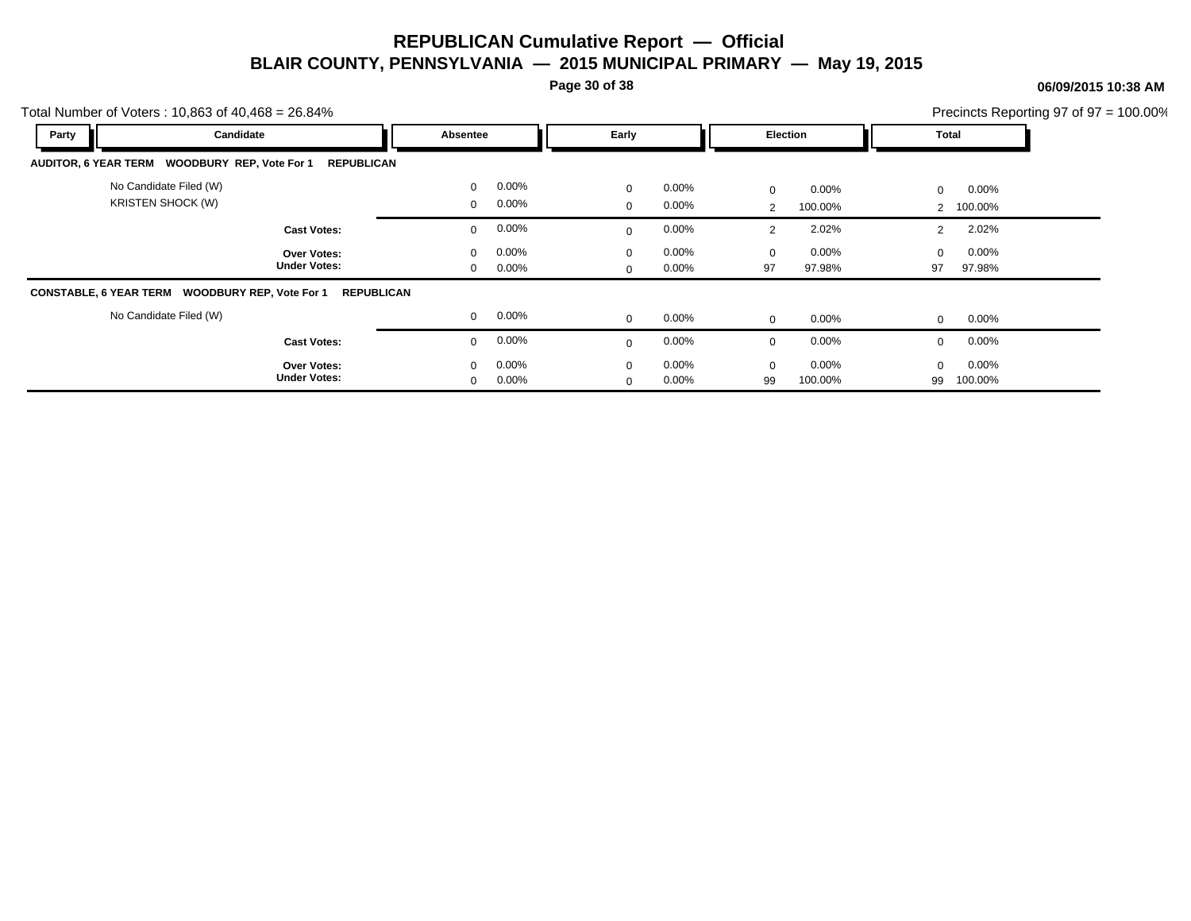**Page 30 of 38**

### **06/09/2015 10:38 AM**

| Total Number of Voters: $10,863$ of $40,468 = 26.84\%$ |                                           |                             |                      |                              |                      |                     |                     |                               |                  | Precincts Reporting 97 of $97 = 100.00\%$ |
|--------------------------------------------------------|-------------------------------------------|-----------------------------|----------------------|------------------------------|----------------------|---------------------|---------------------|-------------------------------|------------------|-------------------------------------------|
| Party                                                  | Candidate                                 | Absentee                    |                      | Early                        |                      |                     | Election            |                               | Total            |                                           |
| AUDITOR, 6 YEAR TERM WOODBURY REP, Vote For 1          | <b>REPUBLICAN</b>                         |                             |                      |                              |                      |                     |                     |                               |                  |                                           |
| No Candidate Filed (W)<br><b>KRISTEN SHOCK (W)</b>     |                                           | $\mathbf 0$<br>$\mathbf{0}$ | $0.00\%$<br>$0.00\%$ | $\mathbf{0}$<br>$\mathbf{0}$ | $0.00\%$<br>$0.00\%$ | 0<br>$\overline{2}$ | $0.00\%$<br>100.00% | $\mathbf 0$<br>$\overline{2}$ | 0.00%<br>100.00% |                                           |
|                                                        | <b>Cast Votes:</b>                        | $\mathbf 0$                 | $0.00\%$             | $\Omega$                     | $0.00\%$             | $\overline{2}$      | 2.02%               | $\overline{2}$                | 2.02%            |                                           |
|                                                        | <b>Over Votes:</b><br><b>Under Votes:</b> | $\mathbf{0}$<br>0           | $0.00\%$<br>$0.00\%$ | $\mathbf{0}$<br>$\mathbf{0}$ | $0.00\%$<br>$0.00\%$ | $\mathbf 0$<br>97   | $0.00\%$<br>97.98%  | $\Omega$<br>97                | 0.00%<br>97.98%  |                                           |
| CONSTABLE, 6 YEAR TERM WOODBURY REP, Vote For 1        | <b>REPUBLICAN</b>                         |                             |                      |                              |                      |                     |                     |                               |                  |                                           |
| No Candidate Filed (W)                                 |                                           | 0                           | $0.00\%$             | $\mathbf{0}$                 | $0.00\%$             | $\mathbf{0}$        | $0.00\%$            | $\mathbf{0}$                  | $0.00\%$         |                                           |
|                                                        | <b>Cast Votes:</b>                        | $\mathbf 0$                 | $0.00\%$             | $\mathbf{0}$                 | $0.00\%$             | 0                   | $0.00\%$            | $\Omega$                      | 0.00%            |                                           |
|                                                        | <b>Over Votes:</b><br><b>Under Votes:</b> | 0<br>0                      | $0.00\%$<br>$0.00\%$ | $\mathbf{0}$<br>$\mathbf{0}$ | $0.00\%$<br>$0.00\%$ | 0<br>99             | $0.00\%$<br>100.00% | $\Omega$<br>99                | 0.00%<br>100.00% |                                           |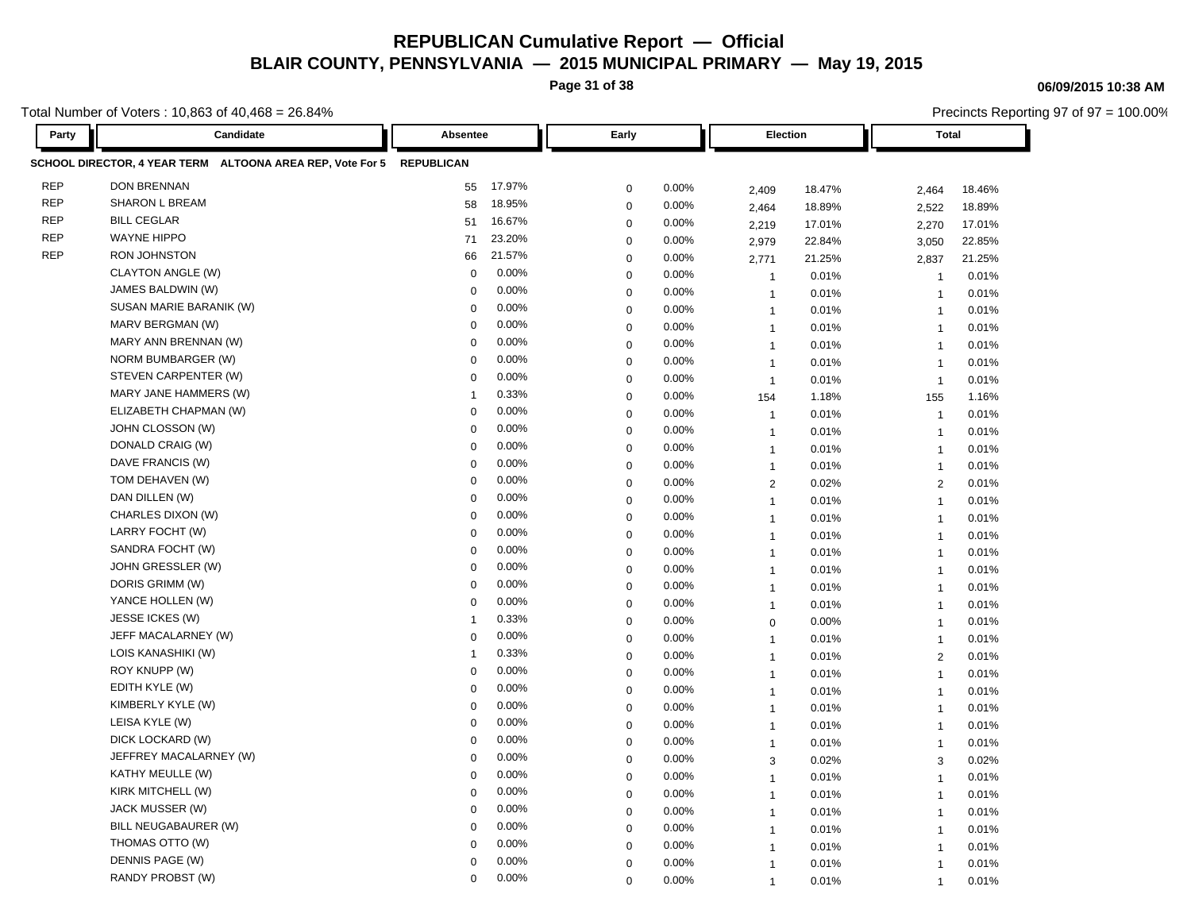**Page 31 of 38**

**06/09/2015 10:38 AM**

Precincts Reporting 97 of 97 = 100.00%

| Party      | Candidate                                                            | Absentee                | Early       |       |                       | Election<br><b>Total</b> |                         |        |
|------------|----------------------------------------------------------------------|-------------------------|-------------|-------|-----------------------|--------------------------|-------------------------|--------|
|            | SCHOOL DIRECTOR, 4 YEAR TERM ALTOONA AREA REP, Vote For 5 REPUBLICAN |                         |             |       |                       |                          |                         |        |
| <b>REP</b> | <b>DON BRENNAN</b>                                                   | 17.97%<br>55            | $\mathbf 0$ | 0.00% | 2,409                 | 18.47%                   | 2,464                   | 18.46% |
| <b>REP</b> | <b>SHARON L BREAM</b>                                                | 18.95%<br>58            | $\mathbf 0$ | 0.00% | 2,464                 | 18.89%                   | 2,522                   | 18.89% |
| <b>REP</b> | <b>BILL CEGLAR</b>                                                   | 16.67%<br>51            | $\mathbf 0$ | 0.00% | 2,219                 | 17.01%                   | 2,270                   | 17.01% |
| <b>REP</b> | <b>WAYNE HIPPO</b>                                                   | 23.20%<br>71            | $\mathbf 0$ | 0.00% | 2,979                 | 22.84%                   | 3,050                   | 22.85% |
| <b>REP</b> | <b>RON JOHNSTON</b>                                                  | 21.57%<br>66            | $\mathbf 0$ | 0.00% | 2,771                 | 21.25%                   | 2,837                   | 21.25% |
|            | <b>CLAYTON ANGLE (W)</b>                                             | 0.00%<br>$\mathbf{0}$   | $\mathbf 0$ | 0.00% | $\overline{1}$        | 0.01%                    | $\overline{1}$          | 0.01%  |
|            | JAMES BALDWIN (W)                                                    | 0.00%<br>$\mathbf 0$    | $\mathbf 0$ | 0.00% | $\overline{1}$        | 0.01%                    | $\overline{1}$          | 0.01%  |
|            | SUSAN MARIE BARANIK (W)                                              | 0.00%<br>0              | $\mathbf 0$ | 0.00% | $\mathbf{1}$          | 0.01%                    | $\overline{\mathbf{1}}$ | 0.01%  |
|            | MARV BERGMAN (W)                                                     | 0.00%<br>$\Omega$       | $\mathbf 0$ | 0.00% | $\overline{1}$        | 0.01%                    | $\overline{1}$          | 0.01%  |
|            | MARY ANN BRENNAN (W)                                                 | 0.00%<br>$\mathbf 0$    | $\mathbf 0$ | 0.00% | $\overline{1}$        | 0.01%                    | $\overline{1}$          | 0.01%  |
|            | NORM BUMBARGER (W)                                                   | 0.00%<br>0              | $\mathbf 0$ | 0.00% | $\overline{1}$        | 0.01%                    | $\overline{1}$          | 0.01%  |
|            | STEVEN CARPENTER (W)                                                 | 0.00%<br>$\Omega$       | $\mathbf 0$ | 0.00% | $\overline{1}$        | 0.01%                    | $\overline{1}$          | 0.01%  |
|            | MARY JANE HAMMERS (W)                                                | 0.33%<br>$\overline{1}$ | $\mathbf 0$ | 0.00% | 154                   | 1.18%                    | 155                     | 1.16%  |
|            | ELIZABETH CHAPMAN (W)                                                | 0.00%<br>$\mathbf 0$    | $\mathbf 0$ | 0.00% | $\overline{1}$        | 0.01%                    | $\overline{1}$          | 0.01%  |
|            | JOHN CLOSSON (W)                                                     | 0.00%<br>$\mathbf 0$    | $\mathbf 0$ | 0.00% | $\overline{1}$        | 0.01%                    | $\overline{1}$          | 0.01%  |
|            | DONALD CRAIG (W)                                                     | 0.00%<br>$\Omega$       | $\mathbf 0$ | 0.00% | $\overline{1}$        | 0.01%                    | $\overline{\mathbf{1}}$ | 0.01%  |
|            | DAVE FRANCIS (W)                                                     | 0.00%<br>$\mathbf 0$    | $\mathbf 0$ | 0.00% | $\overline{1}$        | 0.01%                    | $\overline{1}$          | 0.01%  |
|            | TOM DEHAVEN (W)                                                      | 0.00%<br>$\mathbf 0$    | $\mathbf 0$ | 0.00% | $\mathbf{2}^{\prime}$ | 0.02%                    | 2                       | 0.01%  |
|            | DAN DILLEN (W)                                                       | 0.00%<br>$\mathbf 0$    | $\mathbf 0$ | 0.00% | $\overline{1}$        | 0.01%                    | $\overline{1}$          | 0.01%  |
|            | CHARLES DIXON (W)                                                    | 0.00%<br>0              | $\mathbf 0$ | 0.00% | $\overline{1}$        | 0.01%                    | $\overline{1}$          | 0.01%  |
|            | LARRY FOCHT (W)                                                      | 0.00%<br>$\mathbf 0$    | $\mathbf 0$ | 0.00% | $\overline{1}$        | 0.01%                    | $\overline{1}$          | 0.01%  |
|            | SANDRA FOCHT (W)                                                     | 0.00%<br>$\mathbf 0$    | $\mathbf 0$ | 0.00% | $\overline{1}$        | 0.01%                    | $\overline{1}$          | 0.01%  |
|            | JOHN GRESSLER (W)                                                    | 0.00%<br>0              | $\mathbf 0$ | 0.00% | $\overline{1}$        | 0.01%                    | $\overline{1}$          | 0.01%  |
|            | DORIS GRIMM (W)                                                      | 0.00%<br>0              | $\mathbf 0$ | 0.00% | $\overline{1}$        | 0.01%                    | $\overline{1}$          | 0.01%  |
|            | YANCE HOLLEN (W)                                                     | 0.00%<br>$\mathbf 0$    | $\mathbf 0$ | 0.00% | $\mathbf{1}$          | 0.01%                    | $\overline{1}$          | 0.01%  |
|            | JESSE ICKES (W)                                                      | 0.33%<br>$\overline{1}$ | $\mathbf 0$ | 0.00% | $\mathbf 0$           | 0.00%                    | $\overline{1}$          | 0.01%  |
|            | JEFF MACALARNEY (W)                                                  | 0.00%<br>$\mathbf 0$    | $\mathbf 0$ | 0.00% | $\overline{1}$        | 0.01%                    | $\overline{1}$          | 0.01%  |
|            | LOIS KANASHIKI (W)                                                   | 0.33%<br>$\overline{1}$ | $\mathbf 0$ | 0.00% | $\overline{1}$        | 0.01%                    | $\overline{2}$          | 0.01%  |
|            | ROY KNUPP (W)                                                        | 0.00%<br>$\Omega$       | $\mathbf 0$ | 0.00% | $\overline{1}$        | 0.01%                    | $\overline{1}$          | 0.01%  |
|            | EDITH KYLE (W)                                                       | 0.00%<br>$\mathbf 0$    | $\mathbf 0$ | 0.00% | $\overline{1}$        | 0.01%                    | $\overline{1}$          | 0.01%  |
|            | KIMBERLY KYLE (W)                                                    | 0.00%<br>0              | $\mathbf 0$ | 0.00% | $\overline{1}$        | 0.01%                    | $\overline{1}$          | 0.01%  |
|            | LEISA KYLE (W)                                                       | 0.00%<br>$\Omega$       | $\mathbf 0$ | 0.00% | $\overline{1}$        | 0.01%                    | $\overline{1}$          | 0.01%  |
|            | DICK LOCKARD (W)                                                     | 0.00%<br>$\mathbf 0$    | $\mathbf 0$ | 0.00% | $\overline{1}$        | 0.01%                    | $\overline{1}$          | 0.01%  |
|            | JEFFREY MACALARNEY (W)                                               | 0.00%<br>0              | $\mathbf 0$ | 0.00% | 3                     | 0.02%                    | 3                       | 0.02%  |
|            | KATHY MEULLE (W)                                                     | 0.00%<br>$\mathbf 0$    | $\mathbf 0$ | 0.00% | $\overline{1}$        | 0.01%                    | $\overline{1}$          | 0.01%  |
|            | KIRK MITCHELL (W)                                                    | 0.00%<br>$\mathbf 0$    | $\mathbf 0$ | 0.00% | $\overline{1}$        | 0.01%                    | $\overline{1}$          | 0.01%  |
|            | JACK MUSSER (W)                                                      | 0.00%<br>$\Omega$       | $\mathbf 0$ | 0.00% | $\overline{1}$        | 0.01%                    | $\overline{1}$          | 0.01%  |
|            | BILL NEUGABAURER (W)                                                 | 0.00%<br>$\Omega$       | $\mathbf 0$ | 0.00% | $\overline{1}$        | 0.01%                    | $\overline{1}$          | 0.01%  |
|            | THOMAS OTTO (W)                                                      | 0.00%<br>$\mathbf 0$    | $\mathbf 0$ | 0.00% | $\mathbf{1}$          | 0.01%                    | $\overline{1}$          | 0.01%  |
|            | DENNIS PAGE (W)                                                      | 0.00%<br>$\Omega$       | $\mathbf 0$ | 0.00% | $\mathbf{1}$          | 0.01%                    | $\overline{1}$          | 0.01%  |
|            | RANDY PROBST (W)                                                     | 0.00%<br>$\Omega$       | $\Omega$    | 0.00% | $\mathbf{1}$          | 0.01%                    | $\overline{1}$          | 0.01%  |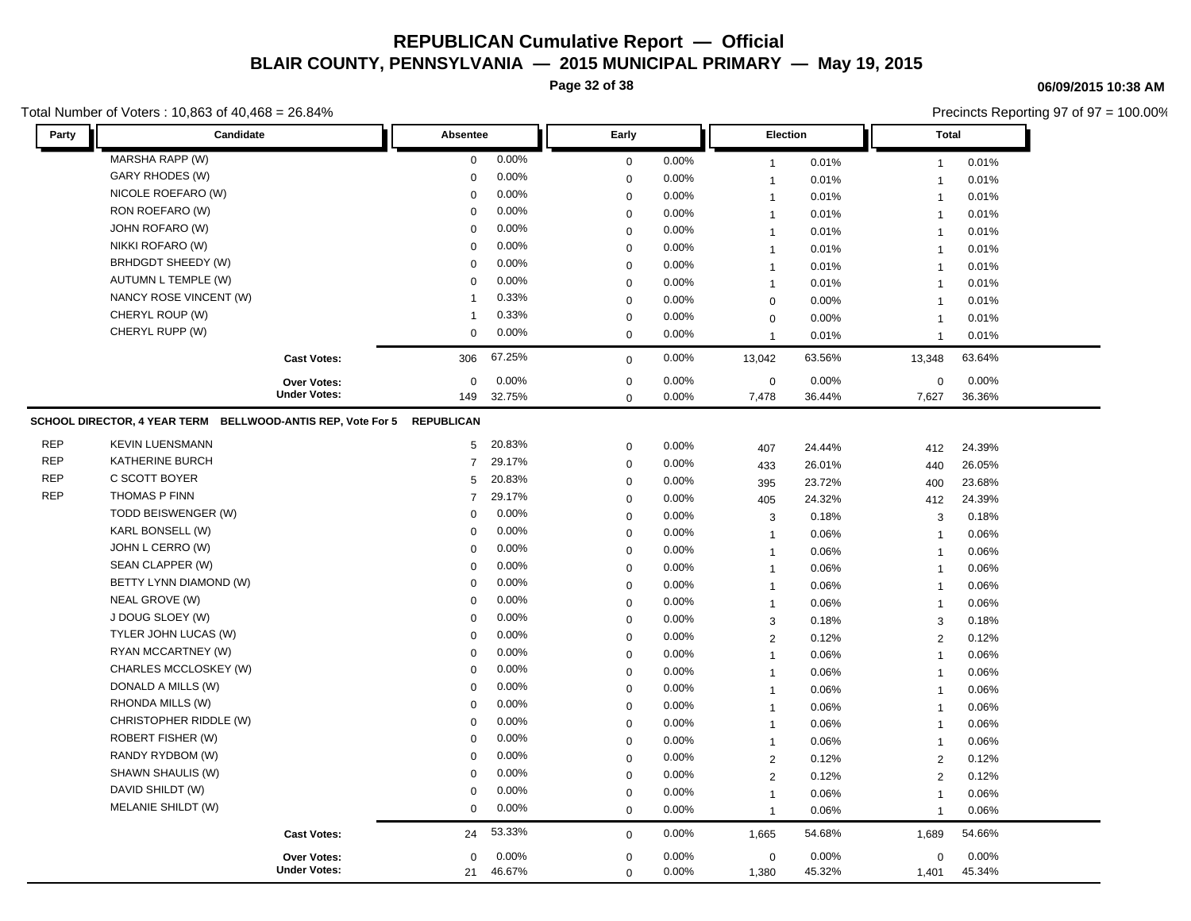**Page 32 of 38**

### Total Number of Voters : 10,863 of 40,468 = 26.84%

### **06/09/2015 10:38 AM**

| Party      | Candidate                                                              |                     | Absentee       |        | Early            |       | Election       |        |                | <b>Total</b> |  |
|------------|------------------------------------------------------------------------|---------------------|----------------|--------|------------------|-------|----------------|--------|----------------|--------------|--|
|            | MARSHA RAPP (W)                                                        |                     | $\mathbf 0$    | 0.00%  | $\mathbf 0$      | 0.00% | $\overline{1}$ | 0.01%  | $\mathbf{1}$   | 0.01%        |  |
|            | GARY RHODES (W)                                                        |                     | $\mathbf 0$    | 0.00%  | $\mathbf 0$      | 0.00% | $\overline{1}$ | 0.01%  | $\overline{1}$ | 0.01%        |  |
|            | NICOLE ROEFARO (W)                                                     |                     | 0              | 0.00%  | $\mathbf 0$      | 0.00% | $\overline{1}$ | 0.01%  | $\mathbf{1}$   | 0.01%        |  |
|            | RON ROEFARO (W)                                                        |                     | 0              | 0.00%  | $\mathbf 0$      | 0.00% | $\overline{1}$ | 0.01%  | $\mathbf{1}$   | 0.01%        |  |
|            | JOHN ROFARO (W)                                                        |                     | $\Omega$       | 0.00%  | $\mathbf 0$      | 0.00% | $\overline{1}$ | 0.01%  | $\overline{1}$ | 0.01%        |  |
|            | NIKKI ROFARO (W)                                                       |                     | 0              | 0.00%  | $\mathbf 0$      | 0.00% | $\overline{1}$ | 0.01%  | $\mathbf{1}$   | 0.01%        |  |
|            | BRHDGDT SHEEDY (W)                                                     |                     | $\mathbf 0$    | 0.00%  | $\mathbf 0$      | 0.00% | $\overline{1}$ | 0.01%  | $\mathbf{1}$   | 0.01%        |  |
|            | AUTUMN L TEMPLE (W)                                                    |                     | 0              | 0.00%  | $\boldsymbol{0}$ | 0.00% | $\overline{1}$ | 0.01%  | $\overline{1}$ | 0.01%        |  |
|            | NANCY ROSE VINCENT (W)                                                 |                     | 1              | 0.33%  | $\mathbf 0$      | 0.00% | $\mathbf 0$    | 0.00%  | $\overline{1}$ | 0.01%        |  |
|            | CHERYL ROUP (W)                                                        |                     | -1             | 0.33%  | $\mathbf 0$      | 0.00% | $\mathbf 0$    | 0.00%  | $\mathbf{1}$   | 0.01%        |  |
|            | CHERYL RUPP (W)                                                        |                     | 0              | 0.00%  | $\mathbf 0$      | 0.00% | $\overline{1}$ | 0.01%  | $\overline{1}$ | 0.01%        |  |
|            |                                                                        | <b>Cast Votes:</b>  | 306            | 67.25% | $\mathbf 0$      | 0.00% | 13,042         | 63.56% | 13,348         | 63.64%       |  |
|            |                                                                        | <b>Over Votes:</b>  | $\mathbf 0$    | 0.00%  | 0                | 0.00% | $\pmb{0}$      | 0.00%  | $\mathbf 0$    | 0.00%        |  |
|            |                                                                        | <b>Under Votes:</b> | 149            | 32.75% | $\mathbf 0$      | 0.00% | 7,478          | 36.44% | 7,627          | 36.36%       |  |
|            | SCHOOL DIRECTOR, 4 YEAR TERM BELLWOOD-ANTIS REP, Vote For 5 REPUBLICAN |                     |                |        |                  |       |                |        |                |              |  |
| <b>REP</b> | <b>KEVIN LUENSMANN</b>                                                 |                     | 5 <sup>5</sup> | 20.83% | $\mathbf 0$      | 0.00% | 407            | 24.44% | 412            | 24.39%       |  |
| <b>REP</b> | <b>KATHERINE BURCH</b>                                                 |                     | $\overline{7}$ | 29.17% | $\mathbf 0$      | 0.00% | 433            | 26.01% | 440            | 26.05%       |  |
| <b>REP</b> | C SCOTT BOYER                                                          |                     | 5              | 20.83% | $\mathbf 0$      | 0.00% | 395            | 23.72% | 400            | 23.68%       |  |
| REP        | THOMAS P FINN                                                          |                     | $\overline{7}$ | 29.17% | $\mathbf 0$      | 0.00% | 405            | 24.32% | 412            | 24.39%       |  |
|            | TODD BEISWENGER (W)                                                    |                     | 0              | 0.00%  | $\mathbf 0$      | 0.00% | 3              | 0.18%  | 3              | 0.18%        |  |
|            | KARL BONSELL (W)                                                       |                     | 0              | 0.00%  | $\mathbf 0$      | 0.00% | $\overline{1}$ | 0.06%  | $\overline{1}$ | 0.06%        |  |
|            | JOHN L CERRO (W)                                                       |                     | $\Omega$       | 0.00%  | $\mathbf 0$      | 0.00% | $\overline{1}$ | 0.06%  | $\mathbf{1}$   | 0.06%        |  |
|            | SEAN CLAPPER (W)                                                       |                     | 0              | 0.00%  | $\mathbf 0$      | 0.00% | $\mathbf 1$    | 0.06%  | $\overline{1}$ | 0.06%        |  |
|            | BETTY LYNN DIAMOND (W)                                                 |                     | $\mathbf 0$    | 0.00%  | $\mathbf 0$      | 0.00% | $\overline{1}$ | 0.06%  | $\mathbf{1}$   | 0.06%        |  |
|            | NEAL GROVE (W)                                                         |                     | 0              | 0.00%  | $\mathbf 0$      | 0.00% | $\overline{1}$ | 0.06%  | $\mathbf{1}$   | 0.06%        |  |
|            | J DOUG SLOEY (W)                                                       |                     | 0              | 0.00%  | $\mathbf 0$      | 0.00% | 3              | 0.18%  | 3              | 0.18%        |  |
|            | TYLER JOHN LUCAS (W)                                                   |                     | $\Omega$       | 0.00%  | $\mathbf 0$      | 0.00% | 2              | 0.12%  | 2              | 0.12%        |  |
|            | RYAN MCCARTNEY (W)                                                     |                     | 0              | 0.00%  | $\mathbf 0$      | 0.00% | $\overline{1}$ | 0.06%  | $\overline{1}$ | 0.06%        |  |
|            | CHARLES MCCLOSKEY (W)                                                  |                     | 0              | 0.00%  | $\mathbf 0$      | 0.00% | $\overline{1}$ | 0.06%  | $\mathbf{1}$   | 0.06%        |  |
|            | DONALD A MILLS (W)                                                     |                     | 0              | 0.00%  | $\mathbf 0$      | 0.00% | $\overline{1}$ | 0.06%  | $\overline{1}$ | 0.06%        |  |
|            | RHONDA MILLS (W)                                                       |                     | 0              | 0.00%  | $\mathbf 0$      | 0.00% | $\overline{1}$ | 0.06%  | $\overline{1}$ | 0.06%        |  |
|            | CHRISTOPHER RIDDLE (W)                                                 |                     | $\mathbf 0$    | 0.00%  | $\mathbf 0$      | 0.00% | $\overline{1}$ | 0.06%  | $\mathbf{1}$   | 0.06%        |  |
|            | <b>ROBERT FISHER (W)</b>                                               |                     | 0              | 0.00%  | $\mathbf 0$      | 0.00% | $\mathbf{1}$   | 0.06%  | $\overline{1}$ | 0.06%        |  |
|            | RANDY RYDBOM (W)                                                       |                     | $\mathbf 0$    | 0.00%  | $\mathbf 0$      | 0.00% | $\overline{2}$ | 0.12%  | 2              | 0.12%        |  |
|            | SHAWN SHAULIS (W)                                                      |                     | 0              | 0.00%  | $\mathbf 0$      | 0.00% | $\overline{2}$ | 0.12%  | 2              | 0.12%        |  |
|            | DAVID SHILDT (W)                                                       |                     | 0              | 0.00%  | $\mathbf 0$      | 0.00% | $\overline{1}$ | 0.06%  | $\mathbf{1}$   | 0.06%        |  |
|            | MELANIE SHILDT (W)                                                     |                     | 0              | 0.00%  | $\mathbf 0$      | 0.00% | $\overline{1}$ | 0.06%  | $\mathbf{1}$   | 0.06%        |  |
|            |                                                                        | <b>Cast Votes:</b>  | 24             | 53.33% | $\mathbf 0$      | 0.00% | 1,665          | 54.68% | 1,689          | 54.66%       |  |
|            |                                                                        | <b>Over Votes:</b>  | 0              | 0.00%  | $\mathbf 0$      | 0.00% | $\mathbf 0$    | 0.00%  | $\mathbf 0$    | 0.00%        |  |
|            |                                                                        | <b>Under Votes:</b> | 21             | 46.67% | $\mathbf 0$      | 0.00% | 1,380          | 45.32% | 1,401          | 45.34%       |  |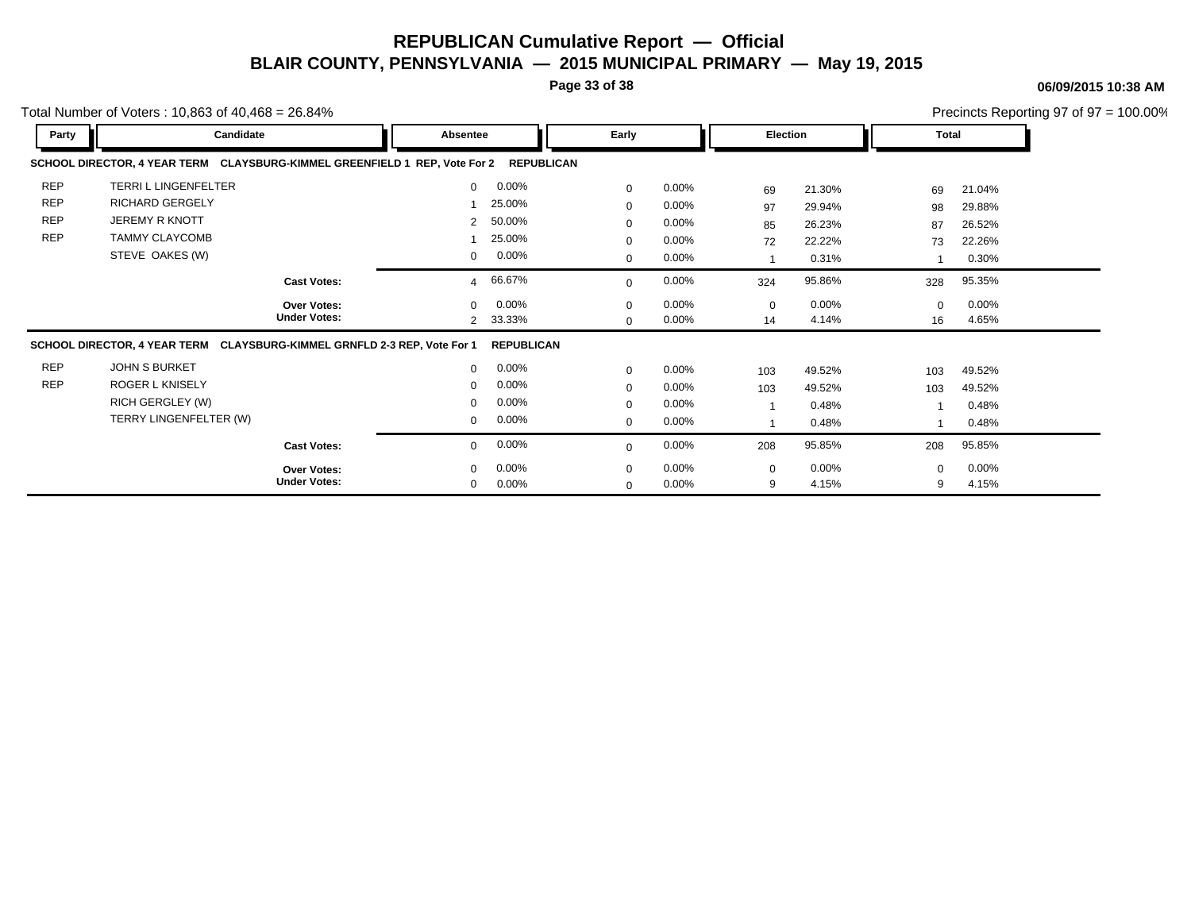**Page 33 of 38**

#### **06/09/2015 10:38 AM**

|            | Total Number of Voters: $10,863$ of $40,468 = 26.84\%$                     |                     |                      |                   |              |          |                 |          |          |          | Precincts Reporting 97 of $97 = 100.00\%$ |
|------------|----------------------------------------------------------------------------|---------------------|----------------------|-------------------|--------------|----------|-----------------|----------|----------|----------|-------------------------------------------|
| Party      | Candidate                                                                  |                     | Absentee             |                   | Early        |          | <b>Election</b> |          | Total    |          |                                           |
|            | SCHOOL DIRECTOR, 4 YEAR TERM CLAYSBURG-KIMMEL GREENFIELD 1 REP, Vote For 2 |                     |                      | <b>REPUBLICAN</b> |              |          |                 |          |          |          |                                           |
| <b>REP</b> | <b>TERRIL LINGENFELTER</b>                                                 |                     | $\mathbf 0$          | $0.00\%$          | $\mathbf 0$  | $0.00\%$ | 69              | 21.30%   | 69       | 21.04%   |                                           |
| <b>REP</b> | RICHARD GERGELY                                                            |                     |                      | 25.00%            | $\mathbf 0$  | $0.00\%$ | 97              | 29.94%   | 98       | 29.88%   |                                           |
| REP        | <b>JEREMY R KNOTT</b>                                                      |                     | $\mathbf{2}^{\circ}$ | 50.00%            | 0            | 0.00%    | 85              | 26.23%   | 87       | 26.52%   |                                           |
| <b>REP</b> | <b>TAMMY CLAYCOMB</b>                                                      |                     |                      | 25.00%            | $\mathbf 0$  | $0.00\%$ | 72              | 22.22%   | 73       | 22.26%   |                                           |
|            | STEVE OAKES (W)                                                            |                     | 0                    | $0.00\%$          | $\mathbf{0}$ | $0.00\%$ | $\mathbf{1}$    | 0.31%    |          | 0.30%    |                                           |
|            |                                                                            | <b>Cast Votes:</b>  | $\overline{4}$       | 66.67%            | $\mathbf{0}$ | $0.00\%$ | 324             | 95.86%   | 328      | 95.35%   |                                           |
|            |                                                                            | <b>Over Votes:</b>  | $\mathbf{0}$         | $0.00\%$          | $\mathbf 0$  | $0.00\%$ | 0               | $0.00\%$ | $\Omega$ | $0.00\%$ |                                           |
|            |                                                                            | <b>Under Votes:</b> | $\overline{2}$       | 33.33%            | $\mathbf{0}$ | $0.00\%$ | 14              | 4.14%    | 16       | 4.65%    |                                           |
|            | SCHOOL DIRECTOR, 4 YEAR TERM CLAYSBURG-KIMMEL GRNFLD 2-3 REP, Vote For 1   |                     |                      | <b>REPUBLICAN</b> |              |          |                 |          |          |          |                                           |
| <b>REP</b> | <b>JOHN S BURKET</b>                                                       |                     | 0                    | $0.00\%$          | $\mathbf{0}$ | $0.00\%$ | 103             | 49.52%   | 103      | 49.52%   |                                           |
| <b>REP</b> | <b>ROGER L KNISELY</b>                                                     |                     | 0                    | $0.00\%$          | 0            | $0.00\%$ | 103             | 49.52%   | 103      | 49.52%   |                                           |
|            | RICH GERGLEY (W)                                                           |                     | $\mathbf 0$          | $0.00\%$          | $\mathbf 0$  | $0.00\%$ | $\mathbf{1}$    | 0.48%    |          | 0.48%    |                                           |
|            | TERRY LINGENFELTER (W)                                                     |                     | $\mathbf{0}$         | $0.00\%$          | 0            | $0.00\%$ | $\mathbf{1}$    | 0.48%    |          | 0.48%    |                                           |
|            |                                                                            | <b>Cast Votes:</b>  | $\mathbf 0$          | $0.00\%$          | $\mathbf{0}$ | $0.00\%$ | 208             | 95.85%   | 208      | 95.85%   |                                           |
|            |                                                                            | <b>Over Votes:</b>  | $\mathbf 0$          | $0.00\%$          | $\mathbf 0$  | $0.00\%$ | 0               | $0.00\%$ | $\Omega$ | 0.00%    |                                           |
|            |                                                                            | <b>Under Votes:</b> | $\mathbf 0$          | $0.00\%$          | $\mathbf 0$  | 0.00%    | 9               | 4.15%    | 9        | 4.15%    |                                           |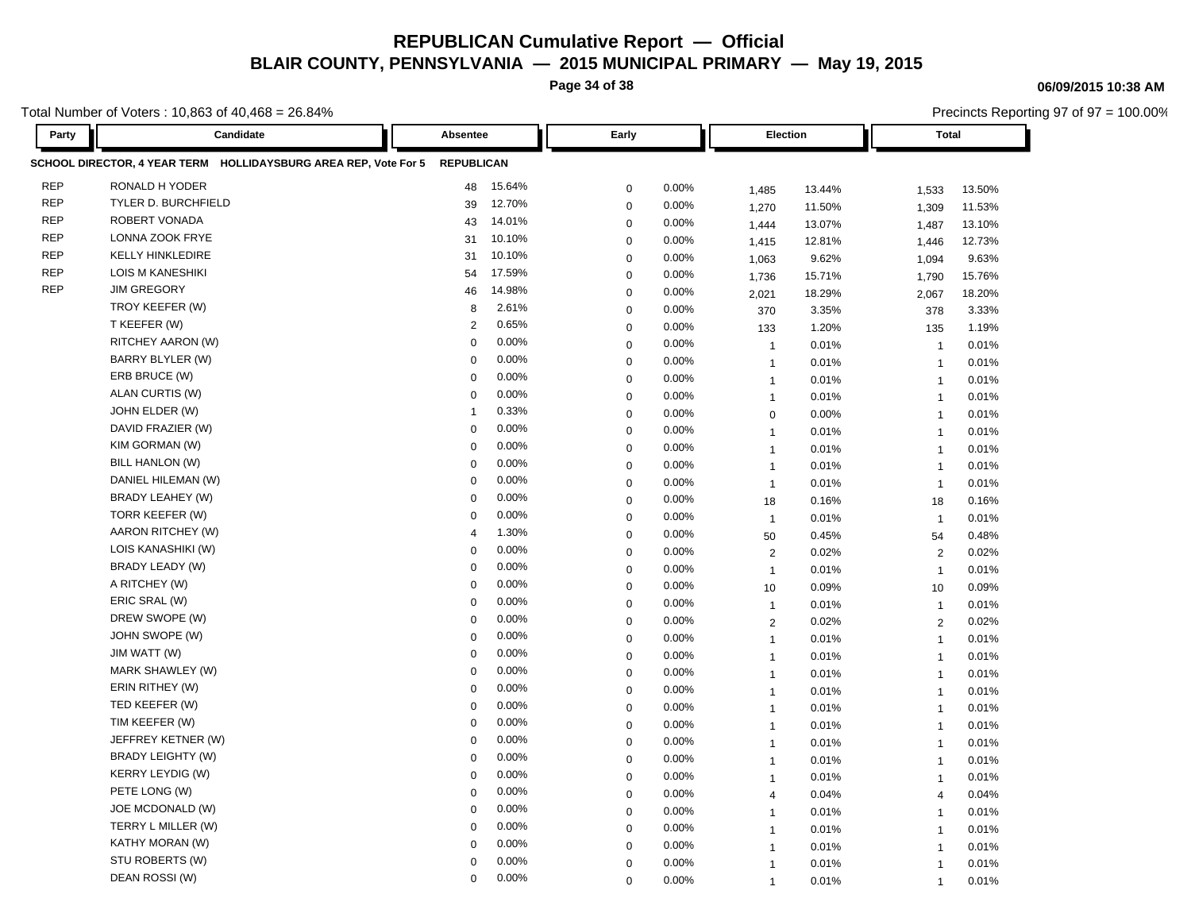**Page 34 of 38**

**06/09/2015 10:38 AM**

Precincts Reporting 97 of 97 = 100.00%

| Party      | Candidate                                                       | Absentee          |        | Early       |       | <b>Election</b> |        | <b>Total</b>   |        |
|------------|-----------------------------------------------------------------|-------------------|--------|-------------|-------|-----------------|--------|----------------|--------|
|            | SCHOOL DIRECTOR, 4 YEAR TERM HOLLIDAYSBURG AREA REP, Vote For 5 | <b>REPUBLICAN</b> |        |             |       |                 |        |                |        |
| <b>REP</b> | RONALD H YODER                                                  | 48                | 15.64% | $\mathbf 0$ | 0.00% | 1,485           | 13.44% | 1,533          | 13.50% |
| <b>REP</b> | TYLER D. BURCHFIELD                                             | 39                | 12.70% | $\mathbf 0$ | 0.00% | 1,270           | 11.50% | 1,309          | 11.53% |
| <b>REP</b> | ROBERT VONADA                                                   | 43                | 14.01% | $\mathbf 0$ | 0.00% | 1,444           | 13.07% | 1,487          | 13.10% |
| <b>REP</b> | LONNA ZOOK FRYE                                                 | 31                | 10.10% | $\mathbf 0$ | 0.00% | 1,415           | 12.81% | 1,446          | 12.73% |
| <b>REP</b> | <b>KELLY HINKLEDIRE</b>                                         | 31                | 10.10% | $\mathbf 0$ | 0.00% | 1,063           | 9.62%  | 1,094          | 9.63%  |
| <b>REP</b> | <b>LOIS M KANESHIKI</b>                                         | 54                | 17.59% | $\pmb{0}$   | 0.00% | 1,736           | 15.71% | 1,790          | 15.76% |
| <b>REP</b> | <b>JIM GREGORY</b>                                              | 46                | 14.98% | $\mathbf 0$ | 0.00% | 2,021           | 18.29% | 2,067          | 18.20% |
|            | TROY KEEFER (W)                                                 | 8                 | 2.61%  | $\mathbf 0$ | 0.00% | 370             | 3.35%  | 378            | 3.33%  |
|            | T KEEFER (W)                                                    | 2                 | 0.65%  | $\mathbf 0$ | 0.00% | 133             | 1.20%  | 135            | 1.19%  |
|            | RITCHEY AARON (W)                                               | $\Omega$          | 0.00%  | $\mathbf 0$ | 0.00% | $\overline{1}$  | 0.01%  | $\overline{1}$ | 0.01%  |
|            | BARRY BLYLER (W)                                                | 0                 | 0.00%  | $\mathbf 0$ | 0.00% | $\overline{1}$  | 0.01%  | $\overline{1}$ | 0.01%  |
|            | ERB BRUCE (W)                                                   | $\mathbf 0$       | 0.00%  | $\mathbf 0$ | 0.00% | $\overline{1}$  | 0.01%  | $\overline{1}$ | 0.01%  |
|            | ALAN CURTIS (W)                                                 | $\Omega$          | 0.00%  | $\mathbf 0$ | 0.00% | $\overline{1}$  | 0.01%  | $\overline{1}$ | 0.01%  |
|            | JOHN ELDER (W)                                                  | -1                | 0.33%  | $\mathbf 0$ | 0.00% | $\mathbf 0$     | 0.00%  | $\overline{1}$ | 0.01%  |
|            | DAVID FRAZIER (W)                                               | $\mathbf 0$       | 0.00%  | $\mathbf 0$ | 0.00% | $\mathbf{1}$    | 0.01%  | $\overline{1}$ | 0.01%  |
|            | KIM GORMAN (W)                                                  | $\mathbf 0$       | 0.00%  | $\mathbf 0$ | 0.00% | $\overline{1}$  | 0.01%  | $\overline{1}$ | 0.01%  |
|            | <b>BILL HANLON (W)</b>                                          | $\mathbf 0$       | 0.00%  | $\mathbf 0$ | 0.00% | $\overline{1}$  | 0.01%  | $\overline{1}$ | 0.01%  |
|            | DANIEL HILEMAN (W)                                              | $\mathbf 0$       | 0.00%  | $\mathbf 0$ | 0.00% | $\overline{1}$  | 0.01%  | $\overline{1}$ | 0.01%  |
|            | BRADY LEAHEY (W)                                                | $\mathbf 0$       | 0.00%  | $\mathbf 0$ | 0.00% | 18              | 0.16%  | 18             | 0.16%  |
|            | TORR KEEFER (W)                                                 | $\mathbf 0$       | 0.00%  | $\mathbf 0$ | 0.00% | $\overline{1}$  | 0.01%  | $\overline{1}$ | 0.01%  |
|            | AARON RITCHEY (W)                                               | $\overline{4}$    | 1.30%  | $\mathbf 0$ | 0.00% | 50              | 0.45%  | 54             | 0.48%  |
|            | LOIS KANASHIKI (W)                                              | $\Omega$          | 0.00%  | $\mathbf 0$ | 0.00% | $\overline{2}$  | 0.02%  | $\overline{2}$ | 0.02%  |
|            | BRADY LEADY (W)                                                 | $\mathbf 0$       | 0.00%  | $\mathbf 0$ | 0.00% | $\overline{1}$  | 0.01%  | $\overline{1}$ | 0.01%  |
|            | A RITCHEY (W)                                                   | $\mathbf 0$       | 0.00%  | $\mathbf 0$ | 0.00% | 10              | 0.09%  | 10             | 0.09%  |
|            | ERIC SRAL (W)                                                   | $\Omega$          | 0.00%  | $\mathbf 0$ | 0.00% | $\mathbf{1}$    | 0.01%  | $\overline{1}$ | 0.01%  |
|            | DREW SWOPE (W)                                                  | $\Omega$          | 0.00%  | $\mathbf 0$ | 0.00% | 2               | 0.02%  | 2              | 0.02%  |
|            | JOHN SWOPE (W)                                                  | $\mathbf 0$       | 0.00%  | $\mathbf 0$ | 0.00% | $\overline{1}$  | 0.01%  | $\overline{1}$ | 0.01%  |
|            | JIM WATT (W)                                                    | $\mathbf 0$       | 0.00%  | $\mathbf 0$ | 0.00% | $\mathbf{1}$    | 0.01%  | $\overline{1}$ | 0.01%  |
|            | MARK SHAWLEY (W)                                                | $\Omega$          | 0.00%  | $\mathbf 0$ | 0.00% | $\overline{1}$  | 0.01%  | $\overline{1}$ | 0.01%  |
|            | ERIN RITHEY (W)                                                 | 0                 | 0.00%  | $\mathbf 0$ | 0.00% | $\overline{1}$  | 0.01%  | $\overline{1}$ | 0.01%  |
|            | TED KEEFER (W)                                                  | $\mathbf 0$       | 0.00%  | $\mathbf 0$ | 0.00% | $\mathbf{1}$    | 0.01%  | $\overline{1}$ | 0.01%  |
|            | TIM KEEFER (W)                                                  | $\mathbf 0$       | 0.00%  | $\mathbf 0$ | 0.00% | $\overline{1}$  | 0.01%  | $\overline{1}$ | 0.01%  |
|            | JEFFREY KETNER (W)                                              | $\mathbf 0$       | 0.00%  | $\mathbf 0$ | 0.00% | $\overline{1}$  | 0.01%  | $\overline{1}$ | 0.01%  |
|            | <b>BRADY LEIGHTY (W)</b>                                        | 0                 | 0.00%  | $\mathbf 0$ | 0.00% | $\overline{1}$  | 0.01%  | $\overline{1}$ | 0.01%  |
|            | <b>KERRY LEYDIG (W)</b>                                         | $\mathbf 0$       | 0.00%  | $\mathbf 0$ | 0.00% | $\overline{1}$  | 0.01%  | $\overline{1}$ | 0.01%  |
|            | PETE LONG (W)                                                   | 0                 | 0.00%  | $\mathbf 0$ | 0.00% | $\overline{4}$  | 0.04%  | $\overline{4}$ | 0.04%  |
|            | JOE MCDONALD (W)                                                | $\Omega$          | 0.00%  | $\mathbf 0$ | 0.00% | $\overline{1}$  | 0.01%  | $\overline{1}$ | 0.01%  |
|            | TERRY L MILLER (W)                                              | $\Omega$          | 0.00%  | $\mathbf 0$ | 0.00% | $\overline{1}$  | 0.01%  | $\overline{1}$ | 0.01%  |
|            | KATHY MORAN (W)                                                 | $\mathbf 0$       | 0.00%  | $\mathbf 0$ | 0.00% | $\mathbf{1}$    | 0.01%  | $\overline{1}$ | 0.01%  |
|            | STU ROBERTS (W)                                                 | -0                | 0.00%  | $\mathbf 0$ | 0.00% | $\mathbf{1}$    | 0.01%  | $\overline{1}$ | 0.01%  |
|            | DEAN ROSSI (W)                                                  | $\mathbf 0$       | 0.00%  | $\Omega$    | 0.00% | $\overline{1}$  | 0.01%  | $\overline{1}$ | 0.01%  |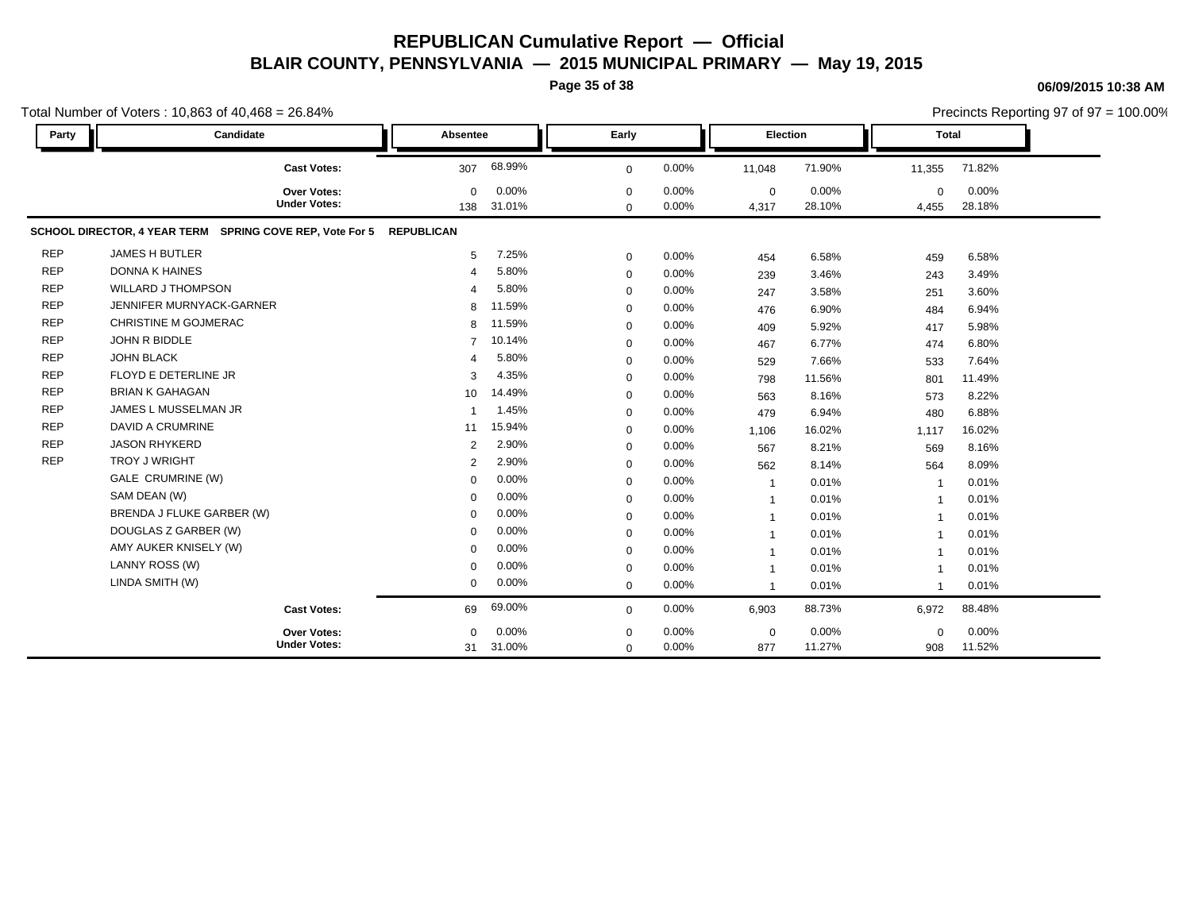**Page 35 of 38**

|            | Total Number of Voters: 10,863 of 40,468 = 26.84%                   |                       |                 |                            |                |                         |                 |                      | Precincts Reporting 97 of 97 = 100.00% |
|------------|---------------------------------------------------------------------|-----------------------|-----------------|----------------------------|----------------|-------------------------|-----------------|----------------------|----------------------------------------|
| Party      | Candidate                                                           | Absentee              |                 | Early                      |                | Election                |                 | <b>Total</b>         |                                        |
|            | <b>Cast Votes:</b>                                                  | 307                   | 68.99%          | $\mathbf 0$                | 0.00%          | 11,048                  | 71.90%          | 11,355               | 71.82%                                 |
|            | <b>Over Votes:</b><br><b>Under Votes:</b>                           | $\Omega$<br>138       | 0.00%<br>31.01% | $\mathbf 0$<br>$\mathbf 0$ | 0.00%<br>0.00% | $\mathbf 0$<br>4,317    | 0.00%<br>28.10% | $\mathbf 0$<br>4,455 | 0.00%<br>28.18%                        |
|            | SCHOOL DIRECTOR, 4 YEAR TERM SPRING COVE REP, Vote For 5 REPUBLICAN |                       |                 |                            |                |                         |                 |                      |                                        |
| <b>REP</b> | <b>JAMES H BUTLER</b>                                               | 5                     | 7.25%           | $\mathbf 0$                | 0.00%          | 454                     | 6.58%           | 459                  | 6.58%                                  |
| <b>REP</b> | <b>DONNA K HAINES</b>                                               | $\overline{4}$        | 5.80%           | $\mathbf 0$                | 0.00%          | 239                     | 3.46%           | 243                  | 3.49%                                  |
| <b>REP</b> | <b>WILLARD J THOMPSON</b>                                           | $\boldsymbol{\Delta}$ | 5.80%           | $\mathbf 0$                | 0.00%          | 247                     | 3.58%           | 251                  | 3.60%                                  |
| <b>REP</b> | JENNIFER MURNYACK-GARNER                                            | 8                     | 11.59%          | $\mathbf 0$                | 0.00%          | 476                     | 6.90%           | 484                  | 6.94%                                  |
| <b>REP</b> | <b>CHRISTINE M GOJMERAC</b>                                         | 8                     | 11.59%          | $\mathbf 0$                | 0.00%          | 409                     | 5.92%           | 417                  | 5.98%                                  |
| <b>REP</b> | JOHN R BIDDLE                                                       | $\overline{7}$        | 10.14%          | $\mathbf 0$                | 0.00%          | 467                     | 6.77%           | 474                  | 6.80%                                  |
| <b>REP</b> | <b>JOHN BLACK</b>                                                   | 4                     | 5.80%           | $\mathbf 0$                | 0.00%          | 529                     | 7.66%           | 533                  | 7.64%                                  |
| <b>REP</b> | FLOYD E DETERLINE JR                                                | 3                     | 4.35%           | $\mathbf 0$                | 0.00%          | 798                     | 11.56%          | 801                  | 11.49%                                 |
| <b>REP</b> | <b>BRIAN K GAHAGAN</b>                                              | 10                    | 14.49%          | $\mathbf 0$                | 0.00%          | 563                     | 8.16%           | 573                  | 8.22%                                  |
| <b>REP</b> | JAMES L MUSSELMAN JR                                                | -1                    | 1.45%           | $\mathbf 0$                | 0.00%          | 479                     | 6.94%           | 480                  | 6.88%                                  |
| <b>REP</b> | DAVID A CRUMRINE                                                    | 11                    | 15.94%          | $\mathbf 0$                | 0.00%          | 1,106                   | 16.02%          | 1,117                | 16.02%                                 |
| <b>REP</b> | <b>JASON RHYKERD</b>                                                | 2                     | 2.90%           | $\mathbf 0$                | 0.00%          | 567                     | 8.21%           | 569                  | 8.16%                                  |
| <b>REP</b> | <b>TROY J WRIGHT</b>                                                | 2                     | 2.90%           | $\mathbf 0$                | 0.00%          | 562                     | 8.14%           | 564                  | 8.09%                                  |
|            | GALE CRUMRINE (W)                                                   | $\Omega$              | 0.00%           | $\mathbf 0$                | 0.00%          | $\mathbf{1}$            | 0.01%           | $\mathbf 1$          | 0.01%                                  |
|            | SAM DEAN (W)                                                        | $\mathbf 0$           | 0.00%           | $\mathbf 0$                | 0.00%          | $\mathbf{1}$            | 0.01%           | $\mathbf 1$          | 0.01%                                  |
|            | BRENDA J FLUKE GARBER (W)                                           | $\mathbf 0$           | 0.00%           | $\mathbf 0$                | 0.00%          | $\overline{1}$          | 0.01%           | $\overline{1}$       | 0.01%                                  |
|            | DOUGLAS Z GARBER (W)                                                | $\Omega$              | 0.00%           | $\mathbf 0$                | 0.00%          | $\mathbf{1}$            | 0.01%           | $\overline{1}$       | 0.01%                                  |
|            | AMY AUKER KNISELY (W)                                               | $\Omega$              | 0.00%           | $\mathbf 0$                | 0.00%          | $\mathbf{1}$            | 0.01%           | $\mathbf{1}$         | 0.01%                                  |
|            | LANNY ROSS (W)                                                      | $\mathbf 0$           | 0.00%           | $\mathbf 0$                | 0.00%          | $\overline{\mathbf{1}}$ | 0.01%           |                      | 0.01%                                  |
|            | LINDA SMITH (W)                                                     | $\mathbf 0$           | 0.00%           | $\mathbf 0$                | 0.00%          | $\mathbf{1}$            | 0.01%           | $\overline{1}$       | 0.01%                                  |
|            | <b>Cast Votes:</b>                                                  | 69                    | 69.00%          | $\mathbf 0$                | 0.00%          | 6,903                   | 88.73%          | 6,972                | 88.48%                                 |
|            | <b>Over Votes:</b>                                                  | $\mathbf 0$           | 0.00%           | $\mathbf 0$                | 0.00%          | $\mathbf 0$             | 0.00%           | $\mathbf 0$          | 0.00%                                  |
|            | <b>Under Votes:</b>                                                 | 31                    | 31.00%          | $\mathbf 0$                | 0.00%          | 877                     | 11.27%          | 908                  | 11.52%                                 |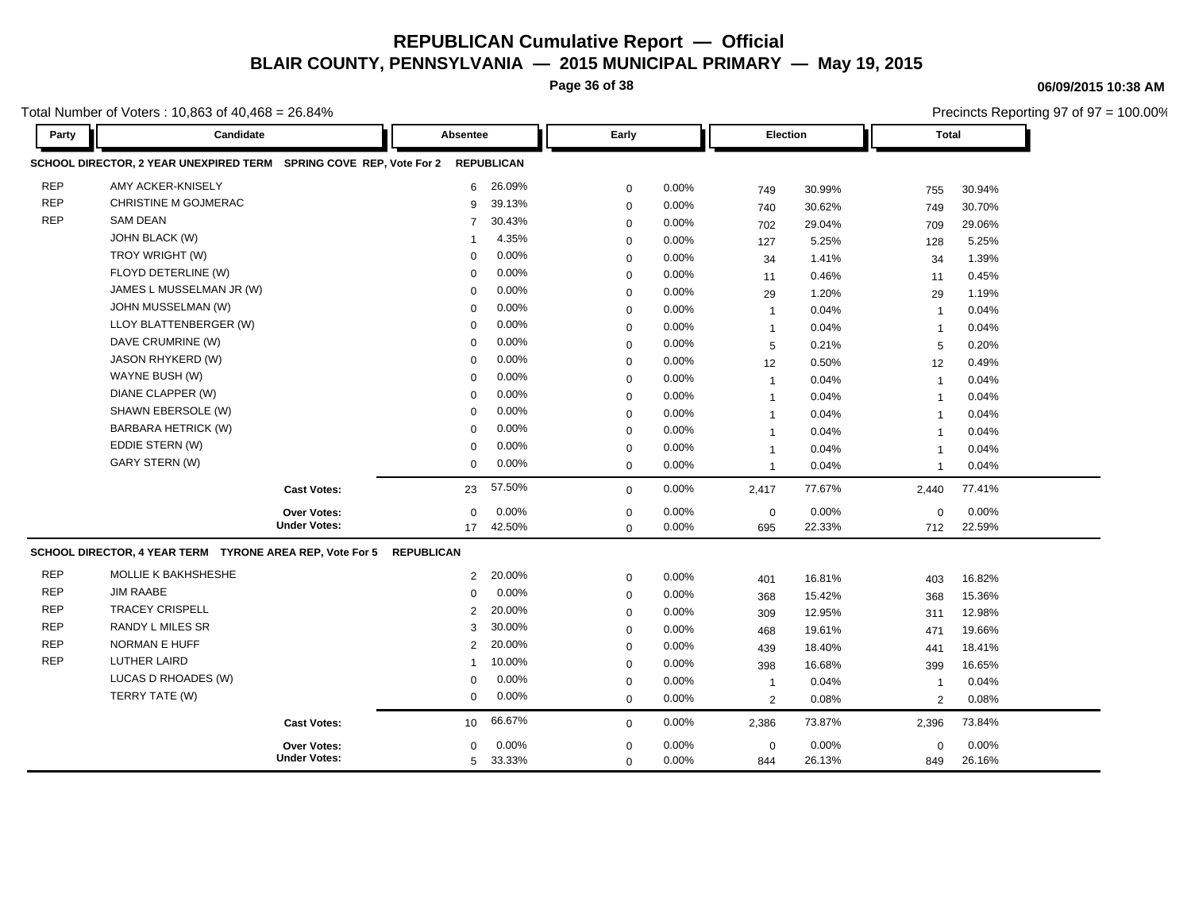**Page 36 of 38**

**06/09/2015 10:38 AM**

Total Number of Voters : 10,863 of 40,468 = 26.84%

| Party      | Candidate                                                           |                     | Absentee       |                   | Early       |          |                | <b>Election</b> |                         | Total  |  |
|------------|---------------------------------------------------------------------|---------------------|----------------|-------------------|-------------|----------|----------------|-----------------|-------------------------|--------|--|
|            | SCHOOL DIRECTOR, 2 YEAR UNEXPIRED TERM SPRING COVE REP, Vote For 2  |                     |                | <b>REPUBLICAN</b> |             |          |                |                 |                         |        |  |
| <b>REP</b> | AMY ACKER-KNISELY                                                   |                     | 6              | 26.09%            | 0           | 0.00%    | 749            | 30.99%          | 755                     | 30.94% |  |
| <b>REP</b> | CHRISTINE M GOJMERAC                                                |                     | 9              | 39.13%            | 0           | 0.00%    | 740            | 30.62%          | 749                     | 30.70% |  |
| <b>REP</b> | <b>SAM DEAN</b>                                                     |                     | $\overline{7}$ | 30.43%            | 0           | 0.00%    | 702            | 29.04%          | 709                     | 29.06% |  |
|            | JOHN BLACK (W)                                                      |                     |                | 4.35%             | 0           | 0.00%    | 127            | 5.25%           | 128                     | 5.25%  |  |
|            | TROY WRIGHT (W)                                                     |                     | $\Omega$       | 0.00%             | $\mathbf 0$ | 0.00%    | 34             | 1.41%           | 34                      | 1.39%  |  |
|            | FLOYD DETERLINE (W)                                                 |                     | $\mathbf 0$    | 0.00%             | $\mathbf 0$ | 0.00%    | 11             | 0.46%           | 11                      | 0.45%  |  |
|            | JAMES L MUSSELMAN JR (W)                                            |                     | $\Omega$       | 0.00%             | $\mathbf 0$ | 0.00%    | 29             | 1.20%           | 29                      | 1.19%  |  |
|            | JOHN MUSSELMAN (W)                                                  |                     | $\Omega$       | 0.00%             | 0           | 0.00%    | $\mathbf{1}$   | 0.04%           | $\overline{1}$          | 0.04%  |  |
|            | LLOY BLATTENBERGER (W)                                              |                     | $\mathbf 0$    | 0.00%             | 0           | 0.00%    | $\mathbf{1}$   | 0.04%           | $\overline{\mathbf{1}}$ | 0.04%  |  |
|            | DAVE CRUMRINE (W)                                                   |                     | $\mathbf 0$    | 0.00%             | 0           | 0.00%    | 5              | 0.21%           | 5                       | 0.20%  |  |
|            | JASON RHYKERD (W)                                                   |                     | $\Omega$       | 0.00%             | $\mathbf 0$ | 0.00%    | 12             | 0.50%           | 12                      | 0.49%  |  |
|            | WAYNE BUSH (W)                                                      |                     | $\mathbf 0$    | 0.00%             | 0           | 0.00%    | $\mathbf{1}$   | 0.04%           | $\overline{\mathbf{1}}$ | 0.04%  |  |
|            | DIANE CLAPPER (W)                                                   |                     | $\mathbf 0$    | 0.00%             | 0           | 0.00%    | $\mathbf{1}$   | 0.04%           | $\overline{\mathbf{1}}$ | 0.04%  |  |
|            | SHAWN EBERSOLE (W)                                                  |                     | $\Omega$       | 0.00%             | 0           | 0.00%    | $\mathbf{1}$   | 0.04%           | $\overline{1}$          | 0.04%  |  |
|            | <b>BARBARA HETRICK (W)</b>                                          |                     | $\mathbf 0$    | 0.00%             | $\mathsf 0$ | 0.00%    | $\mathbf{1}$   | 0.04%           | $\overline{1}$          | 0.04%  |  |
|            | EDDIE STERN (W)                                                     |                     | $\mathbf 0$    | 0.00%             | $\mathbf 0$ | 0.00%    | -1             | 0.04%           | -1                      | 0.04%  |  |
|            | <b>GARY STERN (W)</b>                                               |                     | $\mathbf{0}$   | 0.00%             | $\mathbf 0$ | 0.00%    | $\overline{1}$ | 0.04%           | $\overline{\mathbf{1}}$ | 0.04%  |  |
|            |                                                                     | <b>Cast Votes:</b>  | 23             | 57.50%            | $\mathbf 0$ | 0.00%    | 2,417          | 77.67%          | 2,440                   | 77.41% |  |
|            |                                                                     | Over Votes:         | $\mathbf 0$    | 0.00%             | 0           | 0.00%    | $\mathbf 0$    | 0.00%           | $\mathbf 0$             | 0.00%  |  |
|            |                                                                     | <b>Under Votes:</b> | 17             | 42.50%            | $\mathbf 0$ | 0.00%    | 695            | 22.33%          | 712                     | 22.59% |  |
|            | SCHOOL DIRECTOR, 4 YEAR TERM TYRONE AREA REP, Vote For 5 REPUBLICAN |                     |                |                   |             |          |                |                 |                         |        |  |
| <b>REP</b> | MOLLIE K BAKHSHESHE                                                 |                     | $\overline{2}$ | 20.00%            | $\mathbf 0$ | 0.00%    | 401            | 16.81%          | 403                     | 16.82% |  |
| <b>REP</b> | <b>JIM RAABE</b>                                                    |                     | $\Omega$       | 0.00%             | $\mathbf 0$ | 0.00%    | 368            | 15.42%          | 368                     | 15.36% |  |
| <b>REP</b> | <b>TRACEY CRISPELL</b>                                              |                     | $\overline{2}$ | 20.00%            | $\mathbf 0$ | 0.00%    | 309            | 12.95%          | 311                     | 12.98% |  |
| <b>REP</b> | RANDY L MILES SR                                                    |                     | 3              | 30.00%            | $\mathbf 0$ | 0.00%    | 468            | 19.61%          | 471                     | 19.66% |  |
| <b>REP</b> | <b>NORMAN E HUFF</b>                                                |                     | 2              | 20.00%            | $\mathsf 0$ | 0.00%    | 439            | 18.40%          | 441                     | 18.41% |  |
| <b>REP</b> | <b>LUTHER LAIRD</b>                                                 |                     |                | 10.00%            | $\mathbf 0$ | 0.00%    | 398            | 16.68%          | 399                     | 16.65% |  |
|            | LUCAS D RHOADES (W)                                                 |                     | $\mathbf 0$    | 0.00%             | $\mathbf 0$ | $0.00\%$ | -1             | 0.04%           | -1                      | 0.04%  |  |
|            | TERRY TATE (W)                                                      |                     | $\mathbf 0$    | 0.00%             | $\mathbf 0$ | 0.00%    | 2              | 0.08%           | 2                       | 0.08%  |  |
|            |                                                                     | <b>Cast Votes:</b>  | 10             | 66.67%            | $\mathbf 0$ | $0.00\%$ | 2,386          | 73.87%          | 2,396                   | 73.84% |  |
|            |                                                                     | Over Votes:         | $\mathbf 0$    | 0.00%             | 0           | 0.00%    | $\mathbf 0$    | 0.00%           | 0                       | 0.00%  |  |
|            |                                                                     | <b>Under Votes:</b> | 5              | 33.33%            | $\mathbf 0$ | 0.00%    | 844            | 26.13%          | 849                     | 26.16% |  |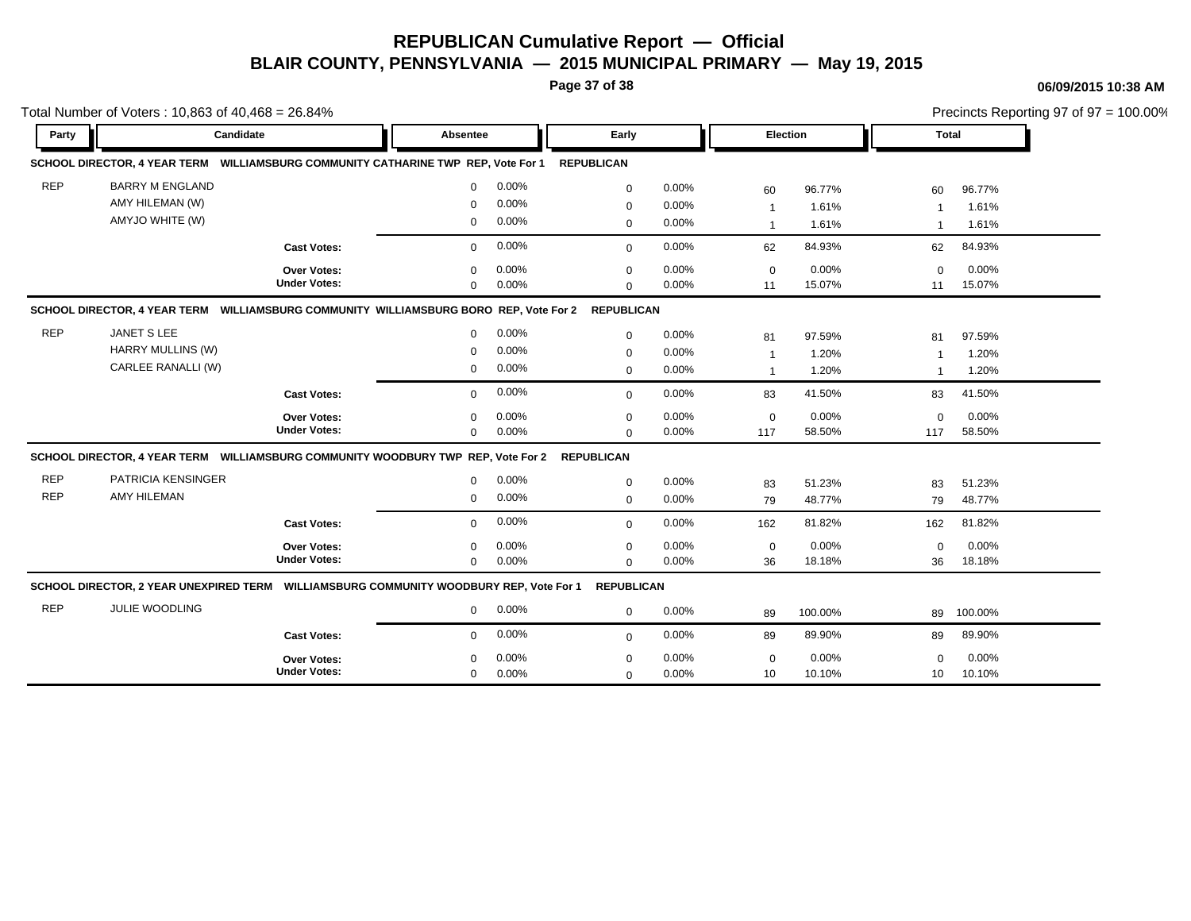**Page 37 of 38**

|            | Total Number of Voters: 10,863 of 40,468 = 26.84%                                      |                     |                 |       |                   |       |                 |         |                | Precincts Reporting 97 of 97 = 100.00% |  |  |
|------------|----------------------------------------------------------------------------------------|---------------------|-----------------|-------|-------------------|-------|-----------------|---------|----------------|----------------------------------------|--|--|
| Party      | Candidate                                                                              |                     | <b>Absentee</b> |       | Early             |       | <b>Election</b> |         | <b>Total</b>   |                                        |  |  |
|            | SCHOOL DIRECTOR, 4 YEAR TERM WILLIAMSBURG COMMUNITY CATHARINE TWP REP, Vote For 1      |                     |                 |       | <b>REPUBLICAN</b> |       |                 |         |                |                                        |  |  |
| <b>REP</b> | <b>BARRY M ENGLAND</b>                                                                 |                     | $\Omega$        | 0.00% | $\mathbf 0$       | 0.00% | 60              | 96.77%  | 60             | 96.77%                                 |  |  |
|            | AMY HILEMAN (W)                                                                        |                     | $\Omega$        | 0.00% | $\mathbf 0$       | 0.00% | $\overline{1}$  | 1.61%   | $\overline{1}$ | 1.61%                                  |  |  |
|            | AMYJO WHITE (W)                                                                        |                     | $\mathbf 0$     | 0.00% | $\mathbf 0$       | 0.00% | $\mathbf 1$     | 1.61%   | -1             | 1.61%                                  |  |  |
|            |                                                                                        | <b>Cast Votes:</b>  | $\Omega$        | 0.00% | $\mathbf{0}$      | 0.00% | 62              | 84.93%  | 62             | 84.93%                                 |  |  |
|            |                                                                                        | Over Votes:         | $\Omega$        | 0.00% | $\mathbf 0$       | 0.00% | $\mathbf 0$     | 0.00%   | $\Omega$       | 0.00%                                  |  |  |
|            |                                                                                        | <b>Under Votes:</b> | $\mathbf 0$     | 0.00% | $\mathbf 0$       | 0.00% | 11              | 15.07%  | 11             | 15.07%                                 |  |  |
|            | SCHOOL DIRECTOR, 4 YEAR TERM WILLIAMSBURG COMMUNITY WILLIAMSBURG BORO REP, Vote For 2  |                     |                 |       | <b>REPUBLICAN</b> |       |                 |         |                |                                        |  |  |
| <b>REP</b> | JANET S LEE                                                                            |                     | $\Omega$        | 0.00% | $\mathbf 0$       | 0.00% | 81              | 97.59%  | 81             | 97.59%                                 |  |  |
|            | HARRY MULLINS (W)                                                                      |                     | $\Omega$        | 0.00% | $\mathbf 0$       | 0.00% | $\overline{1}$  | 1.20%   | 1              | 1.20%                                  |  |  |
|            | CARLEE RANALLI (W)                                                                     |                     | $\mathbf 0$     | 0.00% | $\mathbf 0$       | 0.00% | $\mathbf 1$     | 1.20%   |                | 1.20%                                  |  |  |
|            |                                                                                        | <b>Cast Votes:</b>  | $\Omega$        | 0.00% | $\mathbf 0$       | 0.00% | 83              | 41.50%  | 83             | 41.50%                                 |  |  |
|            |                                                                                        | <b>Over Votes:</b>  | $\Omega$        | 0.00% | $\mathbf 0$       | 0.00% | $\mathbf 0$     | 0.00%   | $\Omega$       | 0.00%                                  |  |  |
|            |                                                                                        | <b>Under Votes:</b> | $\mathbf 0$     | 0.00% | $\Omega$          | 0.00% | 117             | 58.50%  | 117            | 58.50%                                 |  |  |
|            | SCHOOL DIRECTOR, 4 YEAR TERM WILLIAMSBURG COMMUNITY WOODBURY TWP REP, Vote For 2       |                     |                 |       | <b>REPUBLICAN</b> |       |                 |         |                |                                        |  |  |
| <b>REP</b> | PATRICIA KENSINGER                                                                     |                     | $\mathbf 0$     | 0.00% | $\mathbf 0$       | 0.00% | 83              | 51.23%  | 83             | 51.23%                                 |  |  |
| <b>REP</b> | <b>AMY HILEMAN</b>                                                                     |                     | $\mathbf 0$     | 0.00% | $\mathbf 0$       | 0.00% | 79              | 48.77%  | 79             | 48.77%                                 |  |  |
|            |                                                                                        | <b>Cast Votes:</b>  | $\mathbf 0$     | 0.00% | $\mathbf{0}$      | 0.00% | 162             | 81.82%  | 162            | 81.82%                                 |  |  |
|            |                                                                                        | Over Votes:         | $\mathbf 0$     | 0.00% | $\mathbf 0$       | 0.00% | $\mathbf 0$     | 0.00%   | $\mathbf 0$    | 0.00%                                  |  |  |
|            |                                                                                        | <b>Under Votes:</b> | $\mathbf 0$     | 0.00% | $\mathbf 0$       | 0.00% | 36              | 18.18%  | 36             | 18.18%                                 |  |  |
|            | SCHOOL DIRECTOR, 2 YEAR UNEXPIRED TERM WILLIAMSBURG COMMUNITY WOODBURY REP, Vote For 1 |                     |                 |       | <b>REPUBLICAN</b> |       |                 |         |                |                                        |  |  |
| <b>REP</b> | <b>JULIE WOODLING</b>                                                                  |                     | $\mathbf 0$     | 0.00% | $\mathbf 0$       | 0.00% | 89              | 100.00% |                | 89 100.00%                             |  |  |
|            |                                                                                        | <b>Cast Votes:</b>  | $\mathbf 0$     | 0.00% | $\mathbf{0}$      | 0.00% | 89              | 89.90%  | 89             | 89.90%                                 |  |  |
|            |                                                                                        | Over Votes:         | ∩               | 0.00% | 0                 | 0.00% | $\mathbf 0$     | 0.00%   | $\Omega$       | 0.00%                                  |  |  |
|            |                                                                                        | <b>Under Votes:</b> | $\mathbf 0$     | 0.00% | $\mathbf 0$       | 0.00% | 10              | 10.10%  | 10             | 10.10%                                 |  |  |